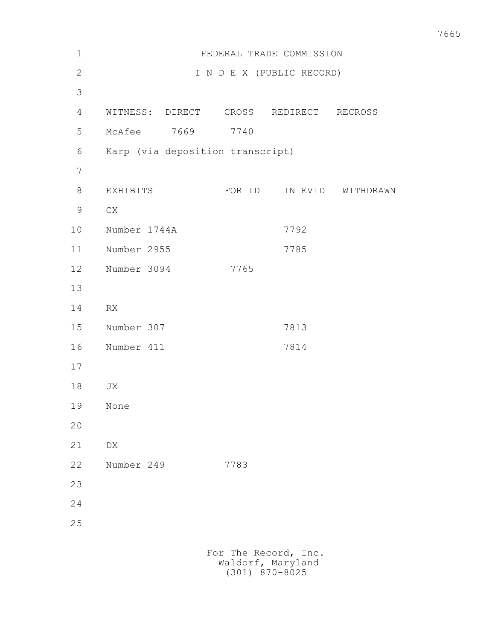| $\mathbf 1$    |                                        | FEDERAL TRADE COMMISSION  |         |           |
|----------------|----------------------------------------|---------------------------|---------|-----------|
| $\mathbf{2}$   |                                        | I N D E X (PUBLIC RECORD) |         |           |
| $\mathfrak{Z}$ |                                        |                           |         |           |
| 4              | WITNESS: DIRECT CROSS REDIRECT RECROSS |                           |         |           |
| 5              | McAfee 7669                            | 7740                      |         |           |
| 6              | Karp (via deposition transcript)       |                           |         |           |
| 7              |                                        |                           |         |           |
| $8\,$          | EXHIBITS                               | FOR ID                    | IN EVID | WITHDRAWN |
| $\mathsf 9$    | ${\rm CX}$                             |                           |         |           |
| 10             | Number 1744A                           |                           | 7792    |           |
| 11             | Number 2955                            |                           | 7785    |           |
| 12             | Number 3094                            | 7765                      |         |           |
| 13             |                                        |                           |         |           |
| 14             | RX                                     |                           |         |           |
| 15             | Number 307                             |                           | 7813    |           |
| 16             | Number 411                             |                           | 7814    |           |
| 17             |                                        |                           |         |           |
| 18             | JX                                     |                           |         |           |
| 19             | None                                   |                           |         |           |
| 20             |                                        |                           |         |           |
| 21             | DX                                     |                           |         |           |
| 22             | Number 249                             | 7783                      |         |           |
| 23             |                                        |                           |         |           |
| 24             |                                        |                           |         |           |
| 25             |                                        |                           |         |           |
|                |                                        | For The Record, Inc.      |         |           |
|                |                                        |                           |         |           |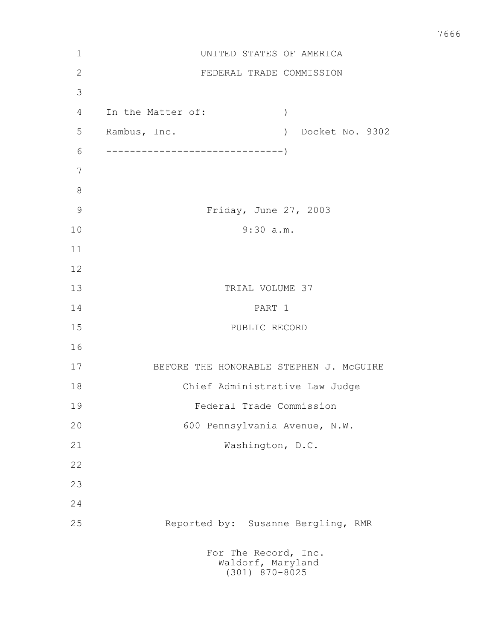| $\mathbf 1$    | UNITED STATES OF AMERICA                                          |
|----------------|-------------------------------------------------------------------|
| $\overline{2}$ | FEDERAL TRADE COMMISSION                                          |
| 3              |                                                                   |
| 4              | In the Matter of:<br>$\left( \right)$                             |
| 5              | Rambus, Inc.<br>Docket No. 9302<br>$\left( \right)$               |
| 6              |                                                                   |
| 7              |                                                                   |
| 8              |                                                                   |
| $\mathcal{G}$  | Friday, June 27, 2003                                             |
| 10             | 9:30 a.m.                                                         |
| 11             |                                                                   |
| 12             |                                                                   |
| 13             | TRIAL VOLUME 37                                                   |
| 14             | PART 1                                                            |
| 15             | PUBLIC RECORD                                                     |
| 16             |                                                                   |
| 17             | BEFORE THE HONORABLE STEPHEN J. MCGUIRE                           |
| 18             | Chief Administrative Law Judge                                    |
| 19             | Federal Trade Commission                                          |
| 20             | 600 Pennsylvania Avenue, N.W.                                     |
| 21             | Washington, D.C.                                                  |
| 22             |                                                                   |
| 23             |                                                                   |
| 24             |                                                                   |
| 25             | Reported by: Susanne Bergling, RMR                                |
|                | For The Record, Inc.<br>Waldorf, Maryland<br>$(301)$ $870 - 8025$ |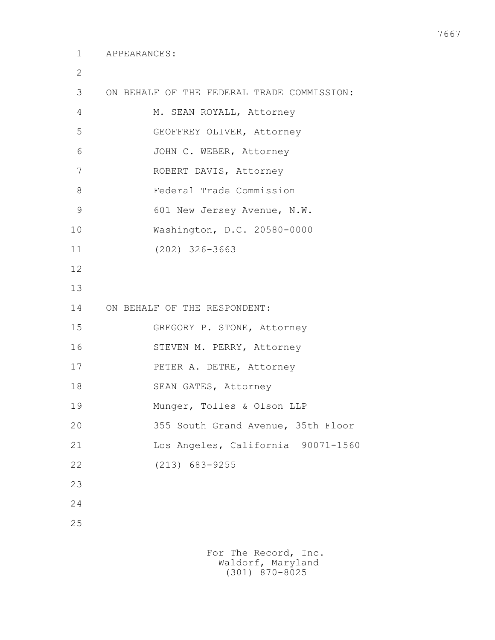2

| 3  | ON BEHALF OF THE FEDERAL TRADE COMMISSION: |
|----|--------------------------------------------|
| 4  | M. SEAN ROYALL, Attorney                   |
| 5  | GEOFFREY OLIVER, Attorney                  |
| 6  | JOHN C. WEBER, Attorney                    |
| 7  | ROBERT DAVIS, Attorney                     |
| 8  | Federal Trade Commission                   |
| 9  | 601 New Jersey Avenue, N.W.                |
| 10 | Washington, D.C. 20580-0000                |
| 11 | $(202)$ 326-3663                           |
| 12 |                                            |
| 13 |                                            |
| 14 | ON BEHALF OF THE RESPONDENT:               |
| 15 | GREGORY P. STONE, Attorney                 |
| 16 | STEVEN M. PERRY, Attorney                  |
| 17 | PETER A. DETRE, Attorney                   |
| 18 | SEAN GATES, Attorney                       |
| 19 | Munger, Tolles & Olson LLP                 |
| 20 | 355 South Grand Avenue, 35th Floor         |
| 21 | Los Angeles, California 90071-1560         |
| 22 | $(213)$ 683-9255                           |
| 23 |                                            |
| 24 |                                            |
| 25 |                                            |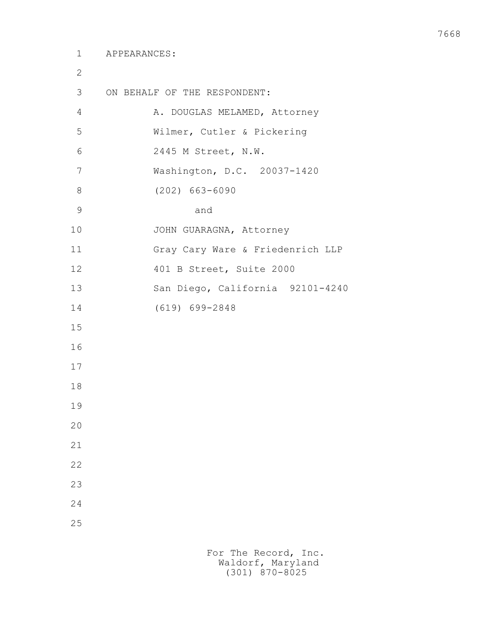2 3 ON BEHALF OF THE RESPONDENT: 4 A. DOUGLAS MELAMED, Attorney 5 Wilmer, Cutler & Pickering 6 2445 M Street, N.W. 7 Washington, D.C. 20037-1420 8 (202) 663-6090 9 and 10 JOHN GUARAGNA, Attorney 11 Gray Cary Ware & Friedenrich LLP 12 401 B Street, Suite 2000 13 San Diego, California 92101-4240 14 (619) 699-2848 15 16 17 18 19 20 21 22 23 24 25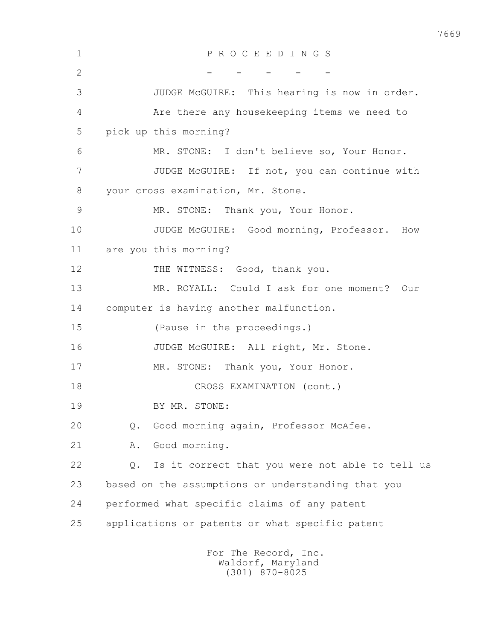| $\mathbf 1$    | PROCEEDINGS                                           |  |
|----------------|-------------------------------------------------------|--|
| $\overline{2}$ |                                                       |  |
| 3              | JUDGE McGUIRE: This hearing is now in order.          |  |
| 4              | Are there any housekeeping items we need to           |  |
| 5              | pick up this morning?                                 |  |
| 6              | MR. STONE: I don't believe so, Your Honor.            |  |
| 7              | JUDGE McGUIRE: If not, you can continue with          |  |
| 8              | your cross examination, Mr. Stone.                    |  |
| $\overline{9}$ | MR. STONE: Thank you, Your Honor.                     |  |
| 10             | JUDGE McGUIRE: Good morning, Professor.<br>How        |  |
| 11             | are you this morning?                                 |  |
| 12             | THE WITNESS: Good, thank you.                         |  |
| 13             | MR. ROYALL: Could I ask for one moment? Our           |  |
| 14             | computer is having another malfunction.               |  |
| 15             | (Pause in the proceedings.)                           |  |
| 16             | JUDGE McGUIRE: All right, Mr. Stone.                  |  |
| 17             | MR. STONE: Thank you, Your Honor.                     |  |
| 18             | CROSS EXAMINATION (cont.)                             |  |
| 19             | BY MR. STONE:                                         |  |
| 20             | Good morning again, Professor McAfee.<br>$Q$ .        |  |
| 21             | Good morning.<br>Α.                                   |  |
| 22             | Is it correct that you were not able to tell us<br>Q. |  |
| 23             | based on the assumptions or understanding that you    |  |
| 24             | performed what specific claims of any patent          |  |
| 25             | applications or patents or what specific patent       |  |
|                | For The Record, Inc.                                  |  |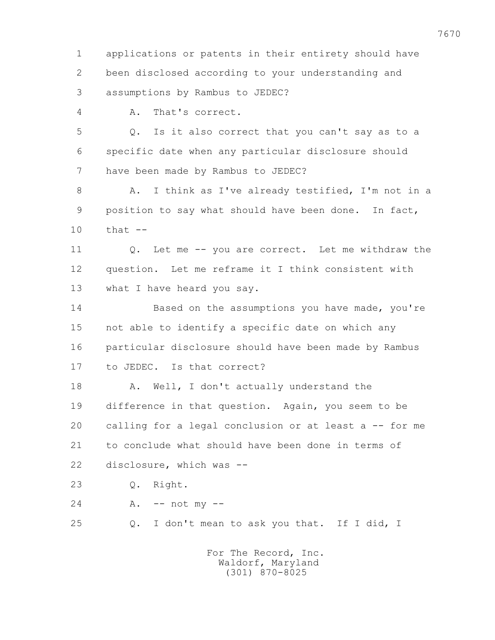1 applications or patents in their entirety should have 2 been disclosed according to your understanding and 3 assumptions by Rambus to JEDEC? 4 A. That's correct. 5 Q. Is it also correct that you can't say as to a 6 specific date when any particular disclosure should 7 have been made by Rambus to JEDEC? 8 A. I think as I've already testified, I'm not in a 9 position to say what should have been done. In fact, 10 that -- 11 Q. Let me -- you are correct. Let me withdraw the 12 question. Let me reframe it I think consistent with 13 what I have heard you say. 14 Based on the assumptions you have made, you're 15 not able to identify a specific date on which any 16 particular disclosure should have been made by Rambus 17 to JEDEC. Is that correct? 18 A. Well, I don't actually understand the 19 difference in that question. Again, you seem to be 20 calling for a legal conclusion or at least a -- for me 21 to conclude what should have been done in terms of 22 disclosure, which was -- 23 Q. Right. 24 A. -- not my -- 25 Q. I don't mean to ask you that. If I did, I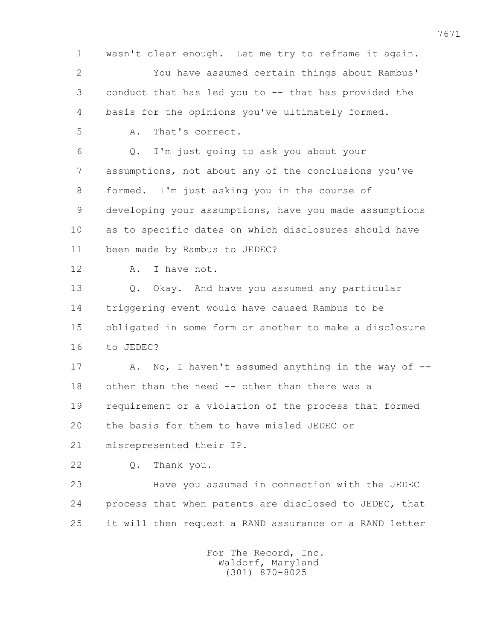1 wasn't clear enough. Let me try to reframe it again. 2 You have assumed certain things about Rambus' 3 conduct that has led you to -- that has provided the 4 basis for the opinions you've ultimately formed. 5 A. That's correct. 6 Q. I'm just going to ask you about your 7 assumptions, not about any of the conclusions you've 8 formed. I'm just asking you in the course of 9 developing your assumptions, have you made assumptions 10 as to specific dates on which disclosures should have 11 been made by Rambus to JEDEC? 12 A. I have not. 13 Q. Okay. And have you assumed any particular 14 triggering event would have caused Rambus to be 15 obligated in some form or another to make a disclosure 16 to JEDEC? 17 A. No, I haven't assumed anything in the way of  $-$  18 other than the need -- other than there was a 19 requirement or a violation of the process that formed 20 the basis for them to have misled JEDEC or 21 misrepresented their IP. 22 Q. Thank you. 23 Have you assumed in connection with the JEDEC 24 process that when patents are disclosed to JEDEC, that 25 it will then request a RAND assurance or a RAND letter For The Record, Inc.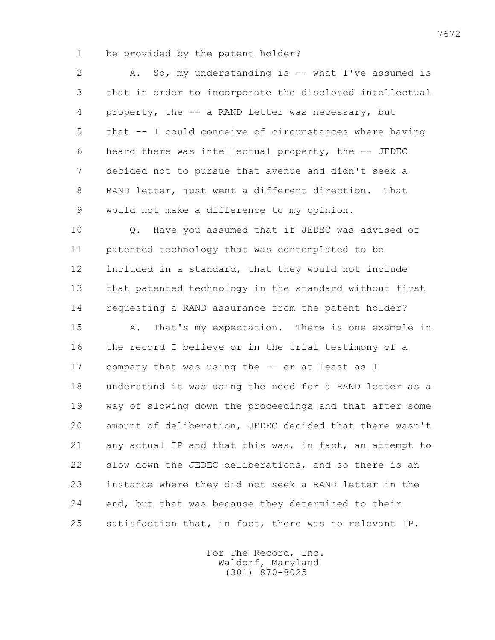1 be provided by the patent holder?

2 A. So, my understanding is -- what I've assumed is 3 that in order to incorporate the disclosed intellectual 4 property, the -- a RAND letter was necessary, but 5 that -- I could conceive of circumstances where having 6 heard there was intellectual property, the -- JEDEC 7 decided not to pursue that avenue and didn't seek a 8 RAND letter, just went a different direction. That 9 would not make a difference to my opinion.

 10 Q. Have you assumed that if JEDEC was advised of 11 patented technology that was contemplated to be 12 included in a standard, that they would not include 13 that patented technology in the standard without first 14 requesting a RAND assurance from the patent holder?

 15 A. That's my expectation. There is one example in 16 the record I believe or in the trial testimony of a 17 company that was using the -- or at least as I 18 understand it was using the need for a RAND letter as a 19 way of slowing down the proceedings and that after some 20 amount of deliberation, JEDEC decided that there wasn't 21 any actual IP and that this was, in fact, an attempt to 22 slow down the JEDEC deliberations, and so there is an 23 instance where they did not seek a RAND letter in the 24 end, but that was because they determined to their 25 satisfaction that, in fact, there was no relevant IP.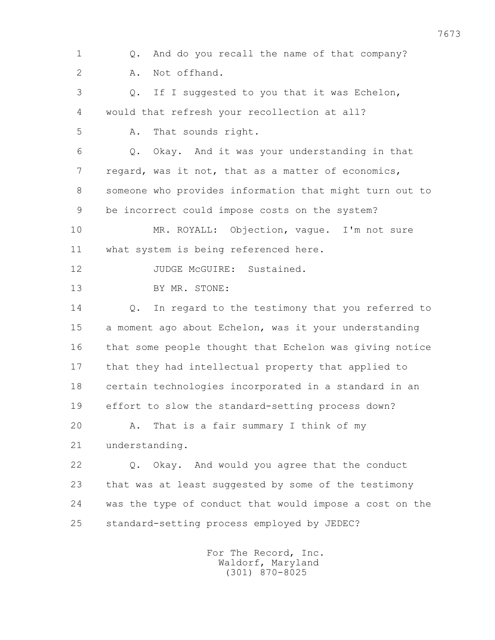1 Q. And do you recall the name of that company? 2 A. Not offhand. 3 Q. If I suggested to you that it was Echelon, 4 would that refresh your recollection at all? 5 A. That sounds right. 6 Q. Okay. And it was your understanding in that 7 regard, was it not, that as a matter of economics, 8 someone who provides information that might turn out to 9 be incorrect could impose costs on the system? 10 MR. ROYALL: Objection, vague. I'm not sure 11 what system is being referenced here. 12 JUDGE McGUIRE: Sustained. 13 BY MR. STONE: 14 Q. In regard to the testimony that you referred to 15 a moment ago about Echelon, was it your understanding 16 that some people thought that Echelon was giving notice 17 that they had intellectual property that applied to 18 certain technologies incorporated in a standard in an 19 effort to slow the standard-setting process down? 20 A. That is a fair summary I think of my 21 understanding. 22 Q. Okay. And would you agree that the conduct 23 that was at least suggested by some of the testimony 24 was the type of conduct that would impose a cost on the 25 standard-setting process employed by JEDEC?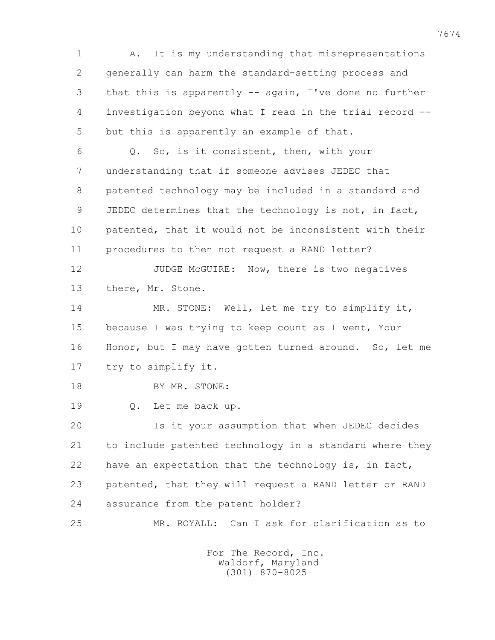1 A. It is my understanding that misrepresentations 2 generally can harm the standard-setting process and 3 that this is apparently -- again, I've done no further 4 investigation beyond what I read in the trial record -- 5 but this is apparently an example of that. 6 Q. So, is it consistent, then, with your 7 understanding that if someone advises JEDEC that 8 patented technology may be included in a standard and 9 JEDEC determines that the technology is not, in fact, 10 patented, that it would not be inconsistent with their 11 procedures to then not request a RAND letter? 12 JUDGE McGUIRE: Now, there is two negatives 13 there, Mr. Stone. 14 MR. STONE: Well, let me try to simplify it, 15 because I was trying to keep count as I went, Your 16 Honor, but I may have gotten turned around. So, let me 17 try to simplify it. 18 BY MR. STONE: 19 Q. Let me back up. 20 Is it your assumption that when JEDEC decides 21 to include patented technology in a standard where they 22 have an expectation that the technology is, in fact, 23 patented, that they will request a RAND letter or RAND 24 assurance from the patent holder? 25 MR. ROYALL: Can I ask for clarification as to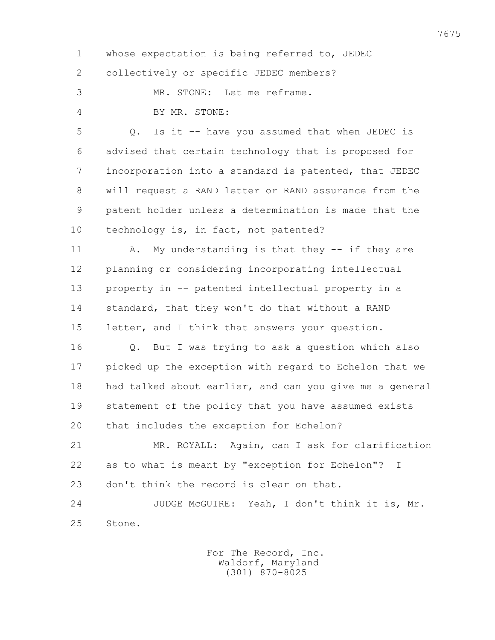1 whose expectation is being referred to, JEDEC 2 collectively or specific JEDEC members?

3 MR. STONE: Let me reframe.

4 BY MR. STONE:

 5 Q. Is it -- have you assumed that when JEDEC is 6 advised that certain technology that is proposed for 7 incorporation into a standard is patented, that JEDEC 8 will request a RAND letter or RAND assurance from the 9 patent holder unless a determination is made that the 10 technology is, in fact, not patented?

11 A. My understanding is that they -- if they are 12 planning or considering incorporating intellectual 13 property in -- patented intellectual property in a 14 standard, that they won't do that without a RAND 15 letter, and I think that answers your question.

 16 Q. But I was trying to ask a question which also 17 picked up the exception with regard to Echelon that we 18 had talked about earlier, and can you give me a general 19 statement of the policy that you have assumed exists 20 that includes the exception for Echelon?

 21 MR. ROYALL: Again, can I ask for clarification 22 as to what is meant by "exception for Echelon"? I 23 don't think the record is clear on that.

 24 JUDGE McGUIRE: Yeah, I don't think it is, Mr. 25 Stone.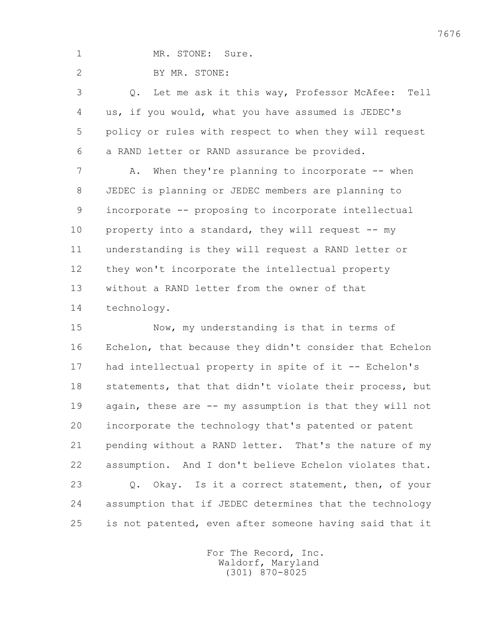1 MR. STONE: Sure.

2 BY MR. STONE:

 3 Q. Let me ask it this way, Professor McAfee: Tell 4 us, if you would, what you have assumed is JEDEC's 5 policy or rules with respect to when they will request 6 a RAND letter or RAND assurance be provided.

7 A. When they're planning to incorporate -- when 8 JEDEC is planning or JEDEC members are planning to 9 incorporate -- proposing to incorporate intellectual 10 property into a standard, they will request -- my 11 understanding is they will request a RAND letter or 12 they won't incorporate the intellectual property 13 without a RAND letter from the owner of that 14 technology.

 15 Now, my understanding is that in terms of 16 Echelon, that because they didn't consider that Echelon 17 had intellectual property in spite of it -- Echelon's 18 statements, that that didn't violate their process, but 19 again, these are -- my assumption is that they will not 20 incorporate the technology that's patented or patent 21 pending without a RAND letter. That's the nature of my 22 assumption. And I don't believe Echelon violates that. 23 Q. Okay. Is it a correct statement, then, of your 24 assumption that if JEDEC determines that the technology 25 is not patented, even after someone having said that it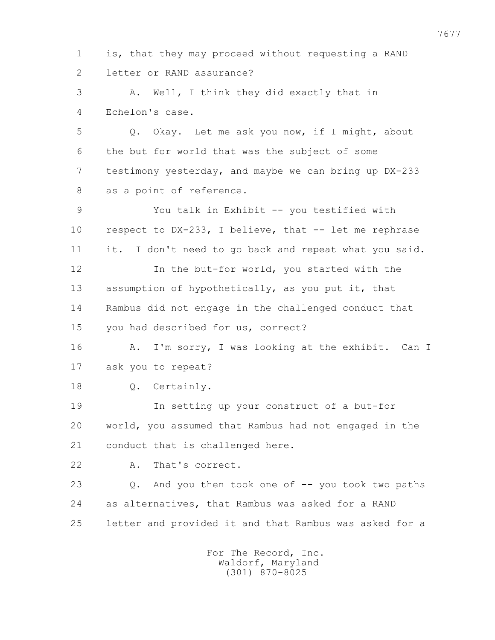1 is, that they may proceed without requesting a RAND 2 letter or RAND assurance?

 3 A. Well, I think they did exactly that in 4 Echelon's case.

 5 Q. Okay. Let me ask you now, if I might, about 6 the but for world that was the subject of some 7 testimony yesterday, and maybe we can bring up DX-233 8 as a point of reference.

 9 You talk in Exhibit -- you testified with 10 respect to DX-233, I believe, that -- let me rephrase 11 it. I don't need to go back and repeat what you said. 12 In the but-for world, you started with the 13 assumption of hypothetically, as you put it, that 14 Rambus did not engage in the challenged conduct that 15 you had described for us, correct?

 16 A. I'm sorry, I was looking at the exhibit. Can I 17 ask you to repeat?

18 0. Certainly.

 19 In setting up your construct of a but-for 20 world, you assumed that Rambus had not engaged in the 21 conduct that is challenged here.

22 A. That's correct.

 23 Q. And you then took one of -- you took two paths 24 as alternatives, that Rambus was asked for a RAND 25 letter and provided it and that Rambus was asked for a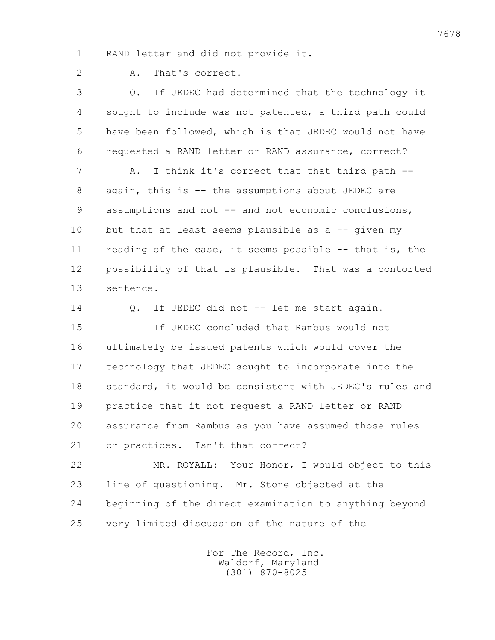1 RAND letter and did not provide it.

2 A. That's correct.

 3 Q. If JEDEC had determined that the technology it 4 sought to include was not patented, a third path could 5 have been followed, which is that JEDEC would not have 6 requested a RAND letter or RAND assurance, correct? 7 A. I think it's correct that that third path -- 8 again, this is -- the assumptions about JEDEC are 9 assumptions and not -- and not economic conclusions, 10 but that at least seems plausible as a -- given my 11 reading of the case, it seems possible -- that is, the 12 possibility of that is plausible. That was a contorted 13 sentence. 14 Q. If JEDEC did not -- let me start again. 15 If JEDEC concluded that Rambus would not 16 ultimately be issued patents which would cover the 17 technology that JEDEC sought to incorporate into the 18 standard, it would be consistent with JEDEC's rules and 19 practice that it not request a RAND letter or RAND 20 assurance from Rambus as you have assumed those rules 21 or practices. Isn't that correct? 22 MR. ROYALL: Your Honor, I would object to this 23 line of questioning. Mr. Stone objected at the

 24 beginning of the direct examination to anything beyond 25 very limited discussion of the nature of the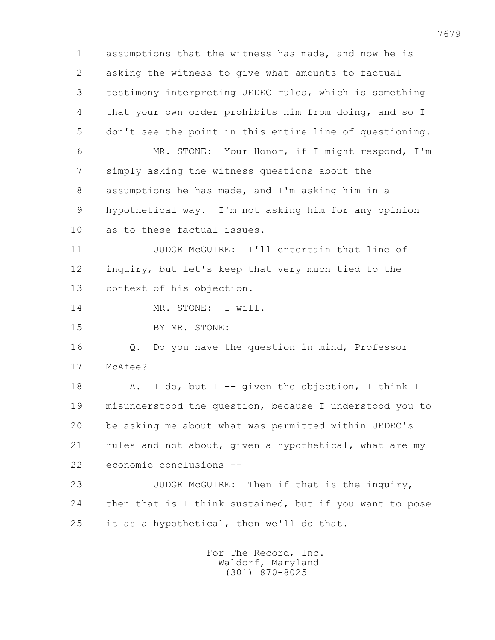1 assumptions that the witness has made, and now he is 2 asking the witness to give what amounts to factual 3 testimony interpreting JEDEC rules, which is something 4 that your own order prohibits him from doing, and so I 5 don't see the point in this entire line of questioning. 6 MR. STONE: Your Honor, if I might respond, I'm 7 simply asking the witness questions about the 8 assumptions he has made, and I'm asking him in a 9 hypothetical way. I'm not asking him for any opinion 10 as to these factual issues. 11 JUDGE McGUIRE: I'll entertain that line of 12 inquiry, but let's keep that very much tied to the 13 context of his objection. 14 MR. STONE: I will. 15 BY MR. STONE: 16 Q. Do you have the question in mind, Professor 17 McAfee? 18 A. I do, but I -- given the objection, I think I 19 misunderstood the question, because I understood you to 20 be asking me about what was permitted within JEDEC's 21 rules and not about, given a hypothetical, what are my 22 economic conclusions -- 23 JUDGE McGUIRE: Then if that is the inquiry, 24 then that is I think sustained, but if you want to pose 25 it as a hypothetical, then we'll do that.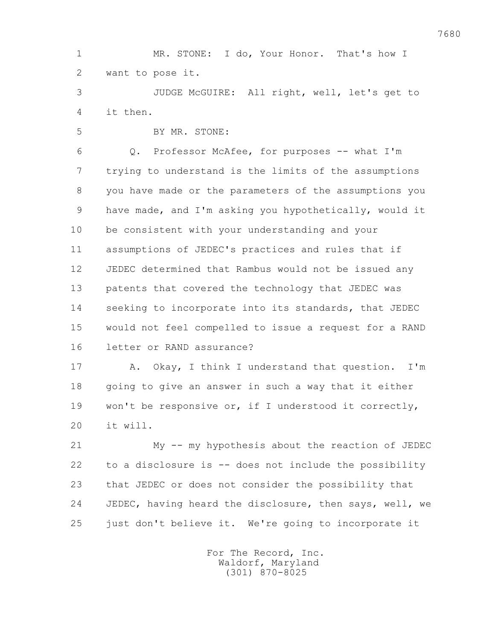1 MR. STONE: I do, Your Honor. That's how I 2 want to pose it.

 3 JUDGE McGUIRE: All right, well, let's get to 4 it then.

5 BY MR. STONE:

 6 Q. Professor McAfee, for purposes -- what I'm 7 trying to understand is the limits of the assumptions 8 you have made or the parameters of the assumptions you 9 have made, and I'm asking you hypothetically, would it 10 be consistent with your understanding and your 11 assumptions of JEDEC's practices and rules that if 12 JEDEC determined that Rambus would not be issued any 13 patents that covered the technology that JEDEC was 14 seeking to incorporate into its standards, that JEDEC 15 would not feel compelled to issue a request for a RAND 16 letter or RAND assurance?

 17 A. Okay, I think I understand that question. I'm 18 going to give an answer in such a way that it either 19 won't be responsive or, if I understood it correctly, 20 it will.

 21 My -- my hypothesis about the reaction of JEDEC 22 to a disclosure is -- does not include the possibility 23 that JEDEC or does not consider the possibility that 24 JEDEC, having heard the disclosure, then says, well, we 25 just don't believe it. We're going to incorporate it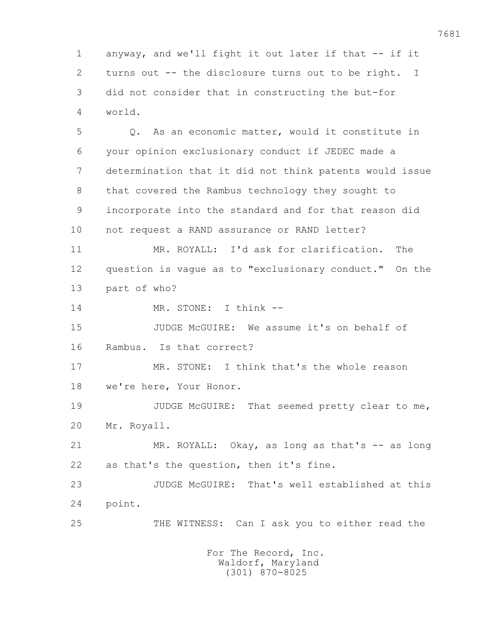1 anyway, and we'll fight it out later if that -- if it 2 turns out -- the disclosure turns out to be right. I 3 did not consider that in constructing the but-for 4 world.

 5 Q. As an economic matter, would it constitute in 6 your opinion exclusionary conduct if JEDEC made a 7 determination that it did not think patents would issue 8 that covered the Rambus technology they sought to 9 incorporate into the standard and for that reason did 10 not request a RAND assurance or RAND letter?

 11 MR. ROYALL: I'd ask for clarification. The 12 question is vague as to "exclusionary conduct." On the 13 part of who?

14 MR. STONE: I think --

 15 JUDGE McGUIRE: We assume it's on behalf of 16 Rambus. Is that correct?

 17 MR. STONE: I think that's the whole reason 18 we're here, Your Honor.

19 JUDGE McGUIRE: That seemed pretty clear to me, 20 Mr. Royall.

 21 MR. ROYALL: Okay, as long as that's -- as long 22 as that's the question, then it's fine.

 23 JUDGE McGUIRE: That's well established at this 24 point.

25 THE WITNESS: Can I ask you to either read the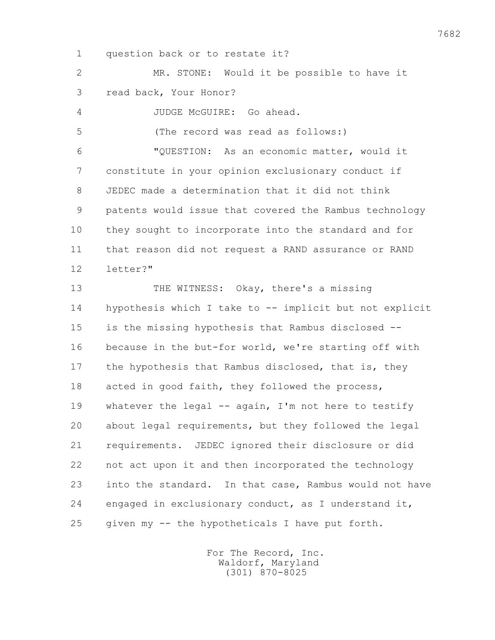1 question back or to restate it?

 2 MR. STONE: Would it be possible to have it 3 read back, Your Honor?

4 JUDGE McGUIRE: Go ahead.

5 (The record was read as follows:)

 6 "QUESTION: As an economic matter, would it 7 constitute in your opinion exclusionary conduct if 8 JEDEC made a determination that it did not think 9 patents would issue that covered the Rambus technology 10 they sought to incorporate into the standard and for 11 that reason did not request a RAND assurance or RAND 12 letter?"

 13 THE WITNESS: Okay, there's a missing 14 hypothesis which I take to -- implicit but not explicit 15 is the missing hypothesis that Rambus disclosed -- 16 because in the but-for world, we're starting off with 17 the hypothesis that Rambus disclosed, that is, they 18 acted in good faith, they followed the process, 19 whatever the legal -- again, I'm not here to testify 20 about legal requirements, but they followed the legal 21 requirements. JEDEC ignored their disclosure or did 22 not act upon it and then incorporated the technology 23 into the standard. In that case, Rambus would not have 24 engaged in exclusionary conduct, as I understand it, 25 given my -- the hypotheticals I have put forth.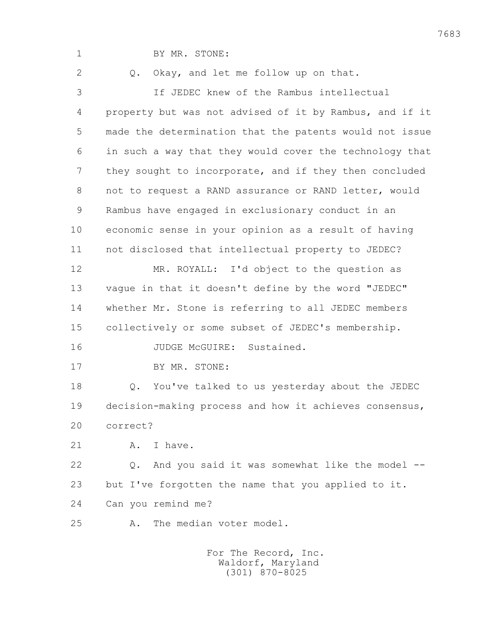1 BY MR. STONE: 2 0. Okay, and let me follow up on that. 3 If JEDEC knew of the Rambus intellectual 4 property but was not advised of it by Rambus, and if it 5 made the determination that the patents would not issue 6 in such a way that they would cover the technology that 7 they sought to incorporate, and if they then concluded 8 not to request a RAND assurance or RAND letter, would 9 Rambus have engaged in exclusionary conduct in an 10 economic sense in your opinion as a result of having 11 not disclosed that intellectual property to JEDEC? 12 MR. ROYALL: I'd object to the question as 13 vague in that it doesn't define by the word "JEDEC" 14 whether Mr. Stone is referring to all JEDEC members 15 collectively or some subset of JEDEC's membership. 16 JUDGE McGUIRE: Sustained. 17 BY MR. STONE: 18 Q. You've talked to us yesterday about the JEDEC 19 decision-making process and how it achieves consensus, 20 correct? 21 A. I have. 22 Q. And you said it was somewhat like the model -- 23 but I've forgotten the name that you applied to it. 24 Can you remind me? 25 A. The median voter model. For The Record, Inc. Waldorf, Maryland

(301) 870-8025

7683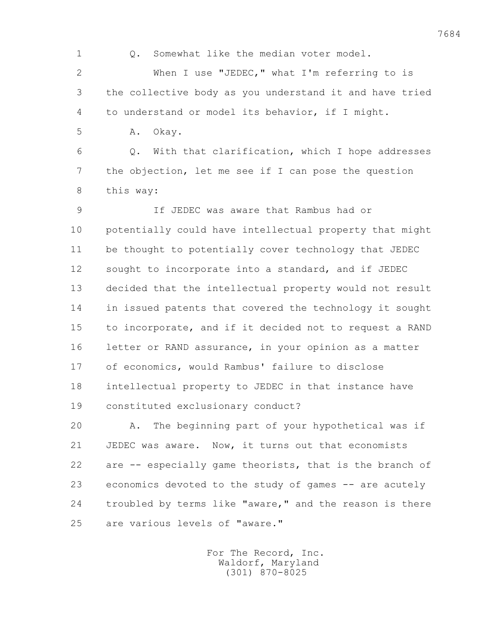7684 1 0. Somewhat like the median voter model. 2 When I use "JEDEC," what I'm referring to is 3 the collective body as you understand it and have tried 4 to understand or model its behavior, if I might. 5 A. Okay. 6 Q. With that clarification, which I hope addresses 7 the objection, let me see if I can pose the question 8 this way: 9 If JEDEC was aware that Rambus had or 10 potentially could have intellectual property that might 11 be thought to potentially cover technology that JEDEC 12 sought to incorporate into a standard, and if JEDEC 13 decided that the intellectual property would not result 14 in issued patents that covered the technology it sought 15 to incorporate, and if it decided not to request a RAND 16 letter or RAND assurance, in your opinion as a matter 17 of economics, would Rambus' failure to disclose 18 intellectual property to JEDEC in that instance have 19 constituted exclusionary conduct? 20 A. The beginning part of your hypothetical was if 21 JEDEC was aware. Now, it turns out that economists 22 are -- especially game theorists, that is the branch of 23 economics devoted to the study of games -- are acutely 24 troubled by terms like "aware," and the reason is there

> For The Record, Inc. Waldorf, Maryland (301) 870-8025

25 are various levels of "aware."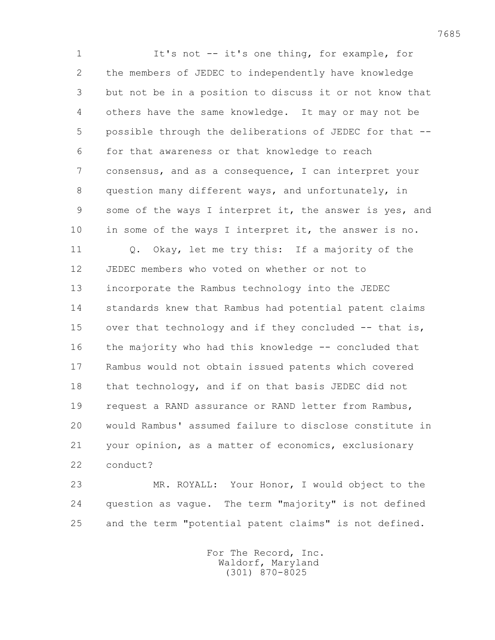1 It's not -- it's one thing, for example, for 2 the members of JEDEC to independently have knowledge 3 but not be in a position to discuss it or not know that 4 others have the same knowledge. It may or may not be 5 possible through the deliberations of JEDEC for that -- 6 for that awareness or that knowledge to reach 7 consensus, and as a consequence, I can interpret your 8 question many different ways, and unfortunately, in 9 some of the ways I interpret it, the answer is yes, and 10 in some of the ways I interpret it, the answer is no. 11 Q. Okay, let me try this: If a majority of the 12 JEDEC members who voted on whether or not to 13 incorporate the Rambus technology into the JEDEC 14 standards knew that Rambus had potential patent claims 15 over that technology and if they concluded -- that is, 16 the majority who had this knowledge -- concluded that 17 Rambus would not obtain issued patents which covered 18 that technology, and if on that basis JEDEC did not 19 request a RAND assurance or RAND letter from Rambus, 20 would Rambus' assumed failure to disclose constitute in 21 your opinion, as a matter of economics, exclusionary 22 conduct?

 23 MR. ROYALL: Your Honor, I would object to the 24 question as vague. The term "majority" is not defined 25 and the term "potential patent claims" is not defined.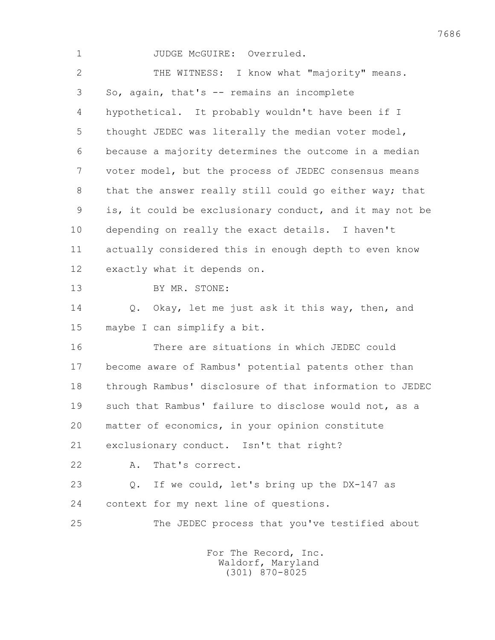| $\mathbf 1$    | JUDGE McGUIRE: Overruled.                               |
|----------------|---------------------------------------------------------|
| $\overline{2}$ | THE WITNESS: I know what "majority" means.              |
| 3              | So, again, that's -- remains an incomplete              |
| 4              | hypothetical. It probably wouldn't have been if I       |
| 5              | thought JEDEC was literally the median voter model,     |
| 6              | because a majority determines the outcome in a median   |
| 7              | voter model, but the process of JEDEC consensus means   |
| 8              | that the answer really still could go either way; that  |
| 9              | is, it could be exclusionary conduct, and it may not be |
| 10             | depending on really the exact details. I haven't        |
| 11             | actually considered this in enough depth to even know   |
| 12             | exactly what it depends on.                             |
| 13             | BY MR. STONE:                                           |
| 14             | Okay, let me just ask it this way, then, and<br>$Q$ .   |
| 15             | maybe I can simplify a bit.                             |
| 16             | There are situations in which JEDEC could               |
| 17             | become aware of Rambus' potential patents other than    |
| 18             | through Rambus' disclosure of that information to JEDEC |
| 19             | such that Rambus' failure to disclose would not, as a   |
| 20             | matter of economics, in your opinion constitute         |
| 21             | exclusionary conduct. Isn't that right?                 |
| 22             | That's correct.<br>Α.                                   |
| 23             | If we could, let's bring up the DX-147 as<br>Q.         |
| 24             | context for my next line of questions.                  |
| 25             | The JEDEC process that you've testified about           |
|                | For The Record, Inc.                                    |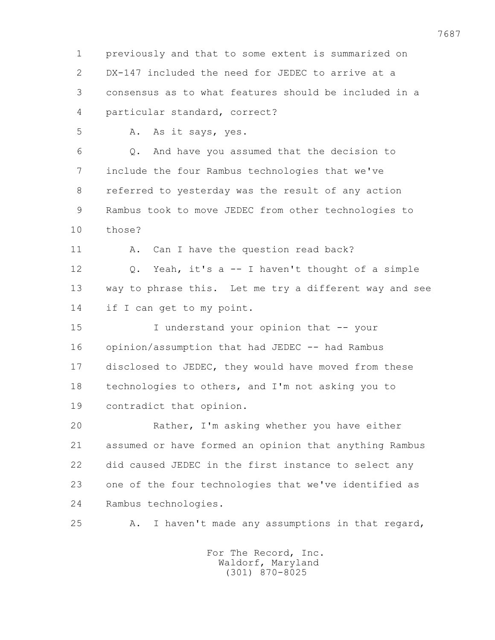1 previously and that to some extent is summarized on 2 DX-147 included the need for JEDEC to arrive at a 3 consensus as to what features should be included in a 4 particular standard, correct? 5 A. As it says, yes. 6 Q. And have you assumed that the decision to 7 include the four Rambus technologies that we've 8 referred to yesterday was the result of any action 9 Rambus took to move JEDEC from other technologies to 10 those? 11 A. Can I have the question read back? 12 Q. Yeah, it's a -- I haven't thought of a simple 13 way to phrase this. Let me try a different way and see 14 if I can get to my point. 15 I understand your opinion that -- your 16 opinion/assumption that had JEDEC -- had Rambus 17 disclosed to JEDEC, they would have moved from these 18 technologies to others, and I'm not asking you to 19 contradict that opinion. 20 Rather, I'm asking whether you have either 21 assumed or have formed an opinion that anything Rambus 22 did caused JEDEC in the first instance to select any 23 one of the four technologies that we've identified as 24 Rambus technologies. 25 A. I haven't made any assumptions in that regard,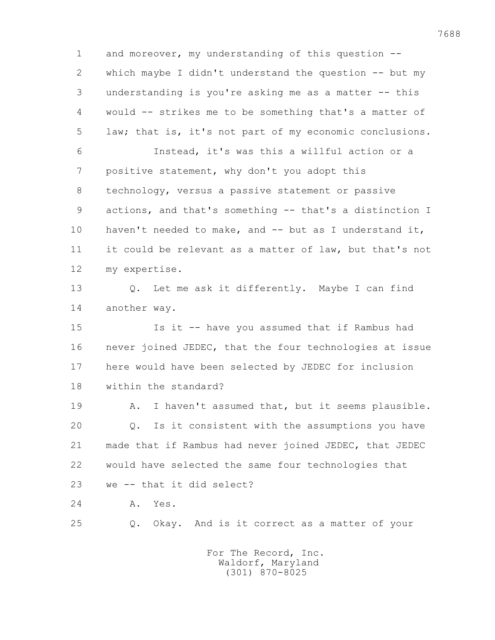1 and moreover, my understanding of this question -- 2 which maybe I didn't understand the question -- but my 3 understanding is you're asking me as a matter -- this 4 would -- strikes me to be something that's a matter of 5 law; that is, it's not part of my economic conclusions. 6 Instead, it's was this a willful action or a 7 positive statement, why don't you adopt this 8 technology, versus a passive statement or passive 9 actions, and that's something -- that's a distinction I 10 haven't needed to make, and -- but as I understand it, 11 it could be relevant as a matter of law, but that's not 12 my expertise. 13 Q. Let me ask it differently. Maybe I can find 14 another way. 15 Is it -- have you assumed that if Rambus had 16 never joined JEDEC, that the four technologies at issue 17 here would have been selected by JEDEC for inclusion 18 within the standard? 19 A. I haven't assumed that, but it seems plausible. 20 Q. Is it consistent with the assumptions you have 21 made that if Rambus had never joined JEDEC, that JEDEC 22 would have selected the same four technologies that 23 we -- that it did select? 24 A. Yes. 25 Q. Okay. And is it correct as a matter of your For The Record, Inc.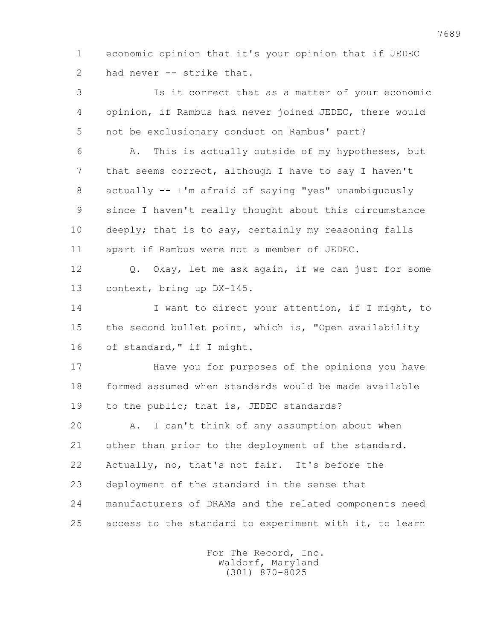1 economic opinion that it's your opinion that if JEDEC 2 had never -- strike that.

 3 Is it correct that as a matter of your economic 4 opinion, if Rambus had never joined JEDEC, there would 5 not be exclusionary conduct on Rambus' part? 6 A. This is actually outside of my hypotheses, but 7 that seems correct, although I have to say I haven't 8 actually -- I'm afraid of saying "yes" unambiguously 9 since I haven't really thought about this circumstance 10 deeply; that is to say, certainly my reasoning falls 11 apart if Rambus were not a member of JEDEC. 12 Q. Okay, let me ask again, if we can just for some 13 context, bring up DX-145. 14 I want to direct your attention, if I might, to 15 the second bullet point, which is, "Open availability 16 of standard," if I might. 17 Have you for purposes of the opinions you have 18 formed assumed when standards would be made available 19 to the public; that is, JEDEC standards? 20 A. I can't think of any assumption about when 21 other than prior to the deployment of the standard. 22 Actually, no, that's not fair. It's before the 23 deployment of the standard in the sense that 24 manufacturers of DRAMs and the related components need 25 access to the standard to experiment with it, to learn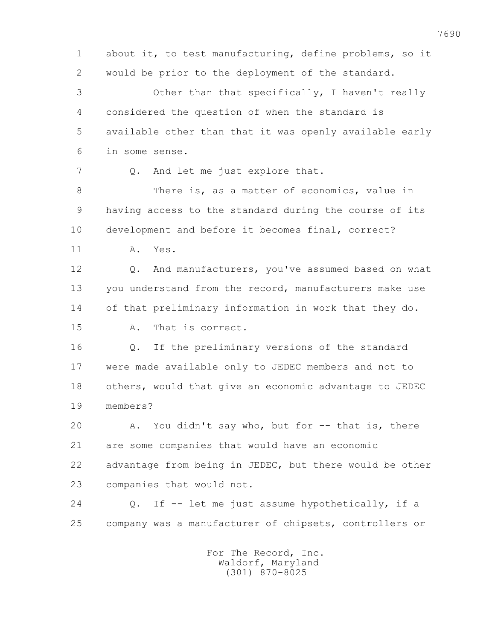1 about it, to test manufacturing, define problems, so it 2 would be prior to the deployment of the standard. 3 Other than that specifically, I haven't really 4 considered the question of when the standard is 5 available other than that it was openly available early 6 in some sense. 7 Q. And let me just explore that. 8 There is, as a matter of economics, value in 9 having access to the standard during the course of its 10 development and before it becomes final, correct? 11 A. Yes. 12 Q. And manufacturers, you've assumed based on what 13 you understand from the record, manufacturers make use 14 of that preliminary information in work that they do. 15 A. That is correct. 16 Q. If the preliminary versions of the standard 17 were made available only to JEDEC members and not to 18 others, would that give an economic advantage to JEDEC 19 members? 20 A. You didn't say who, but for -- that is, there 21 are some companies that would have an economic 22 advantage from being in JEDEC, but there would be other 23 companies that would not. 24 Q. If -- let me just assume hypothetically, if a 25 company was a manufacturer of chipsets, controllers or For The Record, Inc.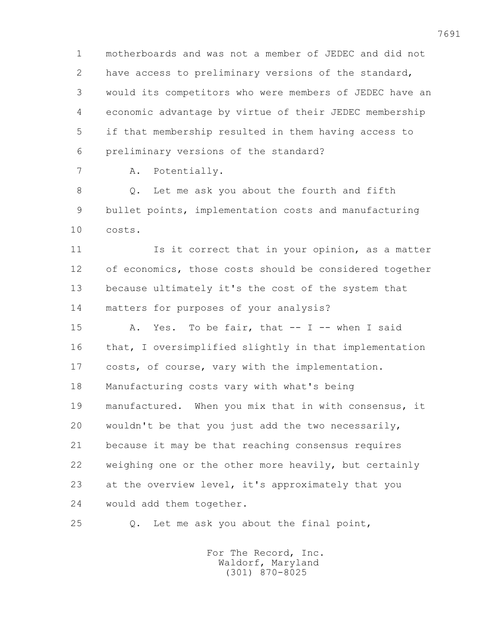1 motherboards and was not a member of JEDEC and did not 2 have access to preliminary versions of the standard, 3 would its competitors who were members of JEDEC have an 4 economic advantage by virtue of their JEDEC membership 5 if that membership resulted in them having access to 6 preliminary versions of the standard?

7 A. Potentially.

 8 Q. Let me ask you about the fourth and fifth 9 bullet points, implementation costs and manufacturing 10 costs.

11 Is it correct that in your opinion, as a matter 12 of economics, those costs should be considered together 13 because ultimately it's the cost of the system that 14 matters for purposes of your analysis?

 15 A. Yes. To be fair, that -- I -- when I said 16 that, I oversimplified slightly in that implementation 17 costs, of course, vary with the implementation. 18 Manufacturing costs vary with what's being 19 manufactured. When you mix that in with consensus, it 20 wouldn't be that you just add the two necessarily, 21 because it may be that reaching consensus requires 22 weighing one or the other more heavily, but certainly 23 at the overview level, it's approximately that you 24 would add them together.

25 Q. Let me ask you about the final point,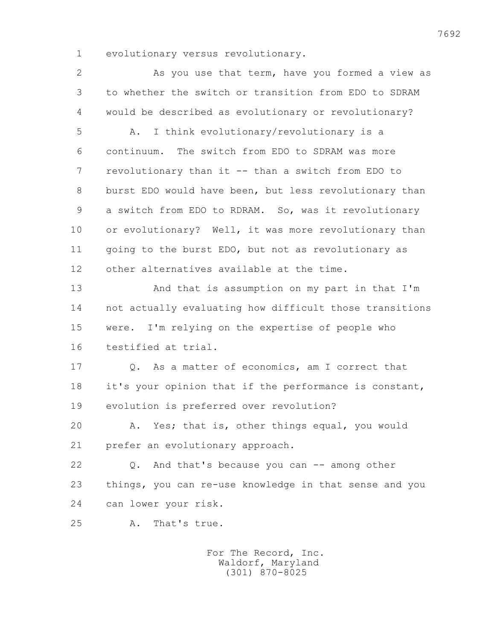1 evolutionary versus revolutionary.

 2 As you use that term, have you formed a view as 3 to whether the switch or transition from EDO to SDRAM 4 would be described as evolutionary or revolutionary? 5 A. I think evolutionary/revolutionary is a 6 continuum. The switch from EDO to SDRAM was more 7 revolutionary than it -- than a switch from EDO to 8 burst EDO would have been, but less revolutionary than 9 a switch from EDO to RDRAM. So, was it revolutionary 10 or evolutionary? Well, it was more revolutionary than 11 going to the burst EDO, but not as revolutionary as 12 other alternatives available at the time. 13 And that is assumption on my part in that I'm 14 not actually evaluating how difficult those transitions 15 were. I'm relying on the expertise of people who 16 testified at trial. 17 Q. As a matter of economics, am I correct that 18 it's your opinion that if the performance is constant, 19 evolution is preferred over revolution? 20 A. Yes; that is, other things equal, you would 21 prefer an evolutionary approach. 22 Q. And that's because you can -- among other 23 things, you can re-use knowledge in that sense and you 24 can lower your risk. 25 A. That's true.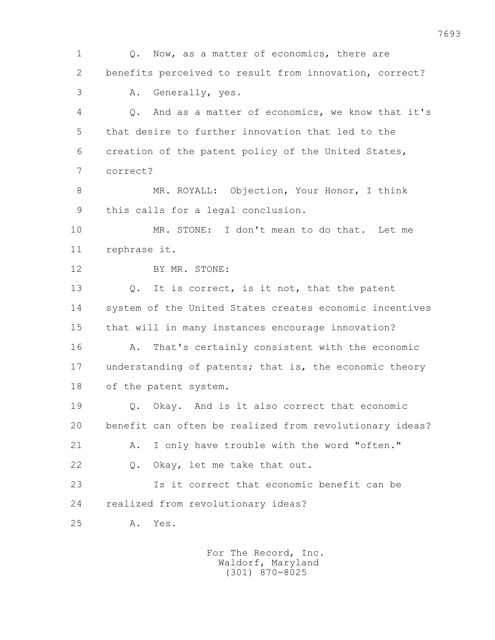1 Q. Now, as a matter of economics, there are 2 benefits perceived to result from innovation, correct? 3 A. Generally, yes. 4 Q. And as a matter of economics, we know that it's 5 that desire to further innovation that led to the 6 creation of the patent policy of the United States, 7 correct? 8 MR. ROYALL: Objection, Your Honor, I think 9 this calls for a legal conclusion. 10 MR. STONE: I don't mean to do that. Let me 11 rephrase it. 12 BY MR. STONE: 13 Q. It is correct, is it not, that the patent 14 system of the United States creates economic incentives 15 that will in many instances encourage innovation? 16 A. That's certainly consistent with the economic 17 understanding of patents; that is, the economic theory 18 of the patent system. 19 Q. Okay. And is it also correct that economic 20 benefit can often be realized from revolutionary ideas? 21 A. I only have trouble with the word "often." 22 Q. Okay, let me take that out. 23 Is it correct that economic benefit can be 24 realized from revolutionary ideas? 25 A. Yes.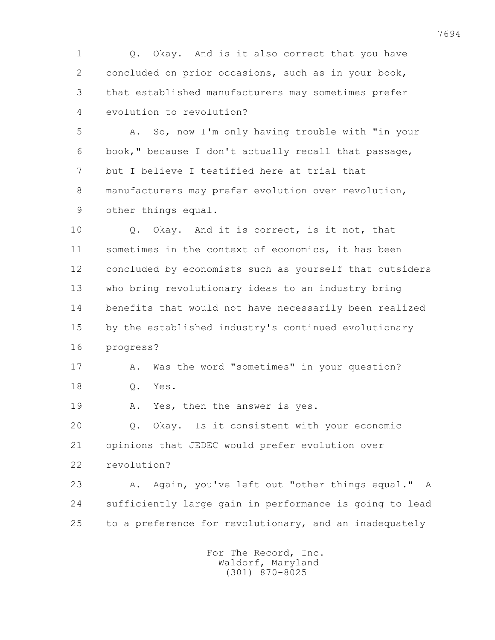1 Q. Okay. And is it also correct that you have 2 concluded on prior occasions, such as in your book, 3 that established manufacturers may sometimes prefer 4 evolution to revolution?

 5 A. So, now I'm only having trouble with "in your 6 book," because I don't actually recall that passage, 7 but I believe I testified here at trial that 8 manufacturers may prefer evolution over revolution, 9 other things equal.

 10 Q. Okay. And it is correct, is it not, that 11 sometimes in the context of economics, it has been 12 concluded by economists such as yourself that outsiders 13 who bring revolutionary ideas to an industry bring 14 benefits that would not have necessarily been realized 15 by the established industry's continued evolutionary 16 progress?

17 A. Was the word "sometimes" in your question? 18 Q. Yes.

19 A. Yes, then the answer is yes.

 20 Q. Okay. Is it consistent with your economic 21 opinions that JEDEC would prefer evolution over

22 revolution?

 23 A. Again, you've left out "other things equal." A 24 sufficiently large gain in performance is going to lead 25 to a preference for revolutionary, and an inadequately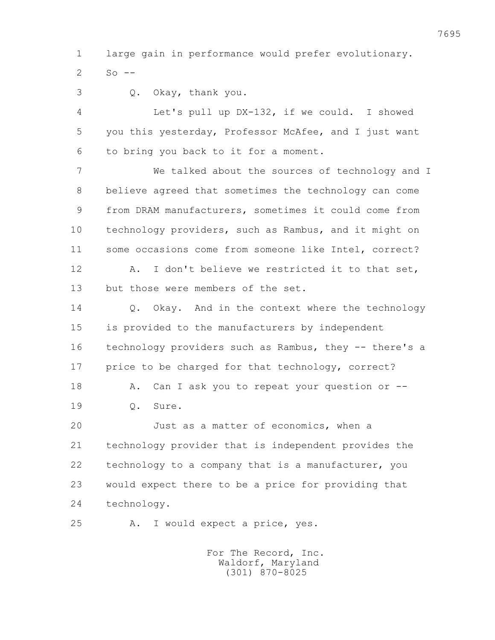1 large gain in performance would prefer evolutionary.  $2 S_0$  --

3 Q. Okay, thank you.

 4 Let's pull up DX-132, if we could. I showed 5 you this yesterday, Professor McAfee, and I just want 6 to bring you back to it for a moment.

 7 We talked about the sources of technology and I 8 believe agreed that sometimes the technology can come 9 from DRAM manufacturers, sometimes it could come from 10 technology providers, such as Rambus, and it might on 11 some occasions come from someone like Intel, correct? 12 A. I don't believe we restricted it to that set, 13 but those were members of the set.

 14 Q. Okay. And in the context where the technology 15 is provided to the manufacturers by independent 16 technology providers such as Rambus, they -- there's a 17 price to be charged for that technology, correct? 18 A. Can I ask you to repeat your question or --19 Q. Sure.

 20 Just as a matter of economics, when a 21 technology provider that is independent provides the 22 technology to a company that is a manufacturer, you 23 would expect there to be a price for providing that 24 technology.

25 A. I would expect a price, yes.

 For The Record, Inc. Waldorf, Maryland (301) 870-8025

7695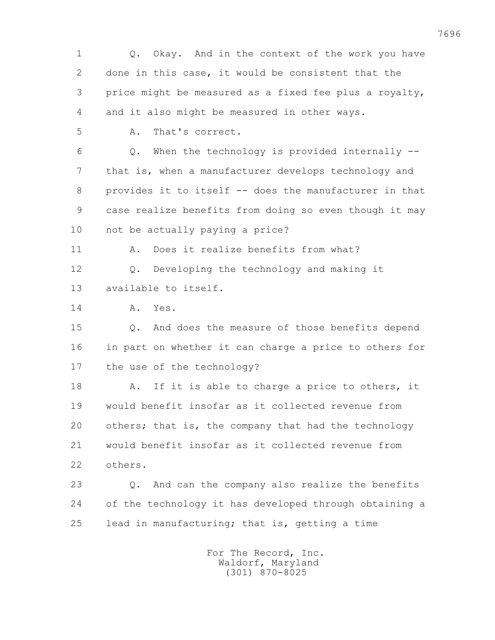1 Q. Okay. And in the context of the work you have 2 done in this case, it would be consistent that the 3 price might be measured as a fixed fee plus a royalty, 4 and it also might be measured in other ways. 5 A. That's correct. 6 Q. When the technology is provided internally -- 7 that is, when a manufacturer develops technology and 8 provides it to itself -- does the manufacturer in that 9 case realize benefits from doing so even though it may 10 not be actually paying a price? 11 A. Does it realize benefits from what? 12 0. Developing the technology and making it 13 available to itself. 14 A. Yes. 15 Q. And does the measure of those benefits depend 16 in part on whether it can charge a price to others for 17 the use of the technology? 18 A. If it is able to charge a price to others, it 19 would benefit insofar as it collected revenue from 20 others; that is, the company that had the technology 21 would benefit insofar as it collected revenue from 22 others. 23 Q. And can the company also realize the benefits 24 of the technology it has developed through obtaining a 25 lead in manufacturing; that is, getting a time For The Record, Inc.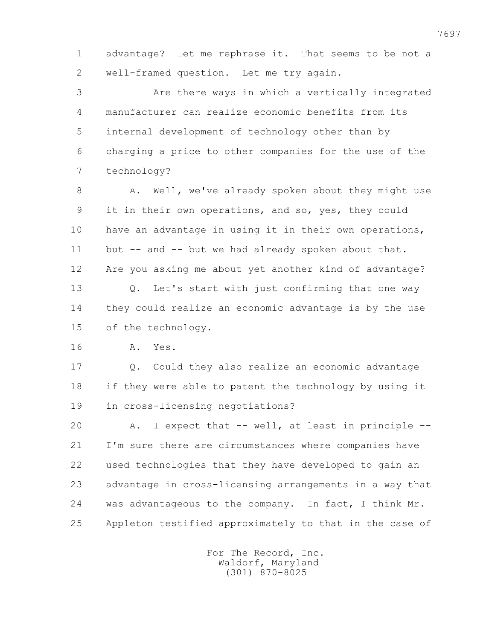1 advantage? Let me rephrase it. That seems to be not a 2 well-framed question. Let me try again.

 3 Are there ways in which a vertically integrated 4 manufacturer can realize economic benefits from its 5 internal development of technology other than by 6 charging a price to other companies for the use of the 7 technology?

8 A. Well, we've already spoken about they might use 9 it in their own operations, and so, yes, they could 10 have an advantage in using it in their own operations, 11 but -- and -- but we had already spoken about that. 12 Are you asking me about yet another kind of advantage? 13 Q. Let's start with just confirming that one way 14 they could realize an economic advantage is by the use 15 of the technology.

16 A. Yes.

 17 Q. Could they also realize an economic advantage 18 if they were able to patent the technology by using it 19 in cross-licensing negotiations?

 20 A. I expect that -- well, at least in principle -- 21 I'm sure there are circumstances where companies have 22 used technologies that they have developed to gain an 23 advantage in cross-licensing arrangements in a way that 24 was advantageous to the company. In fact, I think Mr. 25 Appleton testified approximately to that in the case of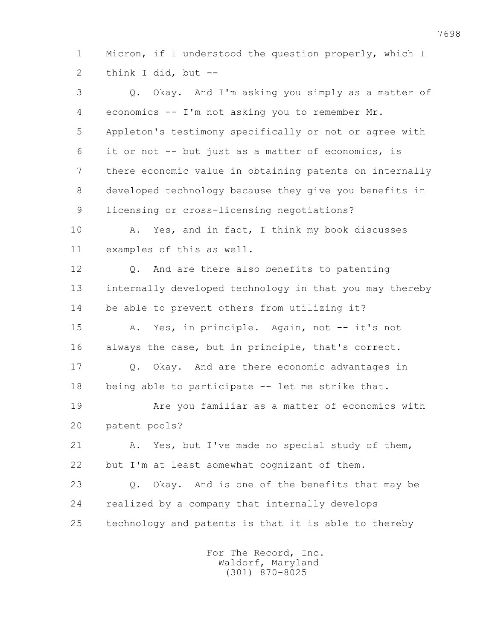1 Micron, if I understood the question properly, which I 2 think I did, but --

 3 Q. Okay. And I'm asking you simply as a matter of 4 economics -- I'm not asking you to remember Mr. 5 Appleton's testimony specifically or not or agree with 6 it or not -- but just as a matter of economics, is 7 there economic value in obtaining patents on internally 8 developed technology because they give you benefits in 9 licensing or cross-licensing negotiations? 10 A. Yes, and in fact, I think my book discusses 11 examples of this as well. 12 0. And are there also benefits to patenting 13 internally developed technology in that you may thereby 14 be able to prevent others from utilizing it? 15 A. Yes, in principle. Again, not -- it's not 16 always the case, but in principle, that's correct. 17 Q. Okay. And are there economic advantages in 18 being able to participate -- let me strike that. 19 Are you familiar as a matter of economics with 20 patent pools? 21 A. Yes, but I've made no special study of them, 22 but I'm at least somewhat cognizant of them. 23 Q. Okay. And is one of the benefits that may be 24 realized by a company that internally develops 25 technology and patents is that it is able to thereby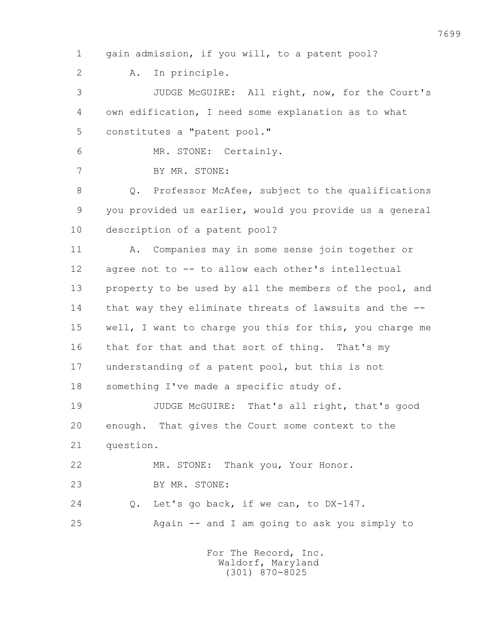1 gain admission, if you will, to a patent pool? 2 A. In principle. 3 JUDGE McGUIRE: All right, now, for the Court's 4 own edification, I need some explanation as to what 5 constitutes a "patent pool." 6 MR. STONE: Certainly. 7 BY MR. STONE: 8 Q. Professor McAfee, subject to the qualifications 9 you provided us earlier, would you provide us a general 10 description of a patent pool? 11 A. Companies may in some sense join together or 12 agree not to -- to allow each other's intellectual 13 property to be used by all the members of the pool, and 14 that way they eliminate threats of lawsuits and the -- 15 well, I want to charge you this for this, you charge me 16 that for that and that sort of thing. That's my 17 understanding of a patent pool, but this is not 18 something I've made a specific study of. 19 JUDGE McGUIRE: That's all right, that's good 20 enough. That gives the Court some context to the 21 question. 22 MR. STONE: Thank you, Your Honor. 23 BY MR. STONE: 24 O. Let's go back, if we can, to DX-147. 25 Again -- and I am going to ask you simply to For The Record, Inc. Waldorf, Maryland (301) 870-8025

7699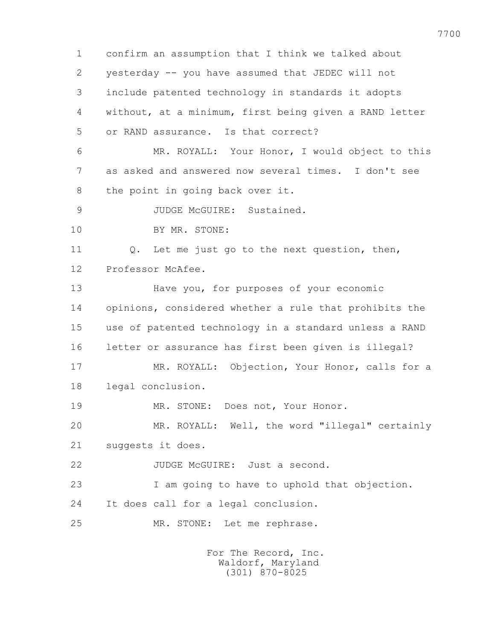1 confirm an assumption that I think we talked about 2 yesterday -- you have assumed that JEDEC will not 3 include patented technology in standards it adopts 4 without, at a minimum, first being given a RAND letter 5 or RAND assurance. Is that correct? 6 MR. ROYALL: Your Honor, I would object to this 7 as asked and answered now several times. I don't see 8 the point in going back over it. 9 JUDGE McGUIRE: Sustained. 10 BY MR. STONE: 11 Q. Let me just go to the next question, then, 12 Professor McAfee. 13 Have you, for purposes of your economic 14 opinions, considered whether a rule that prohibits the 15 use of patented technology in a standard unless a RAND 16 letter or assurance has first been given is illegal? 17 MR. ROYALL: Objection, Your Honor, calls for a 18 legal conclusion. 19 MR. STONE: Does not, Your Honor. 20 MR. ROYALL: Well, the word "illegal" certainly 21 suggests it does. 22 JUDGE McGUIRE: Just a second. 23 I am going to have to uphold that objection. 24 It does call for a legal conclusion. 25 MR. STONE: Let me rephrase.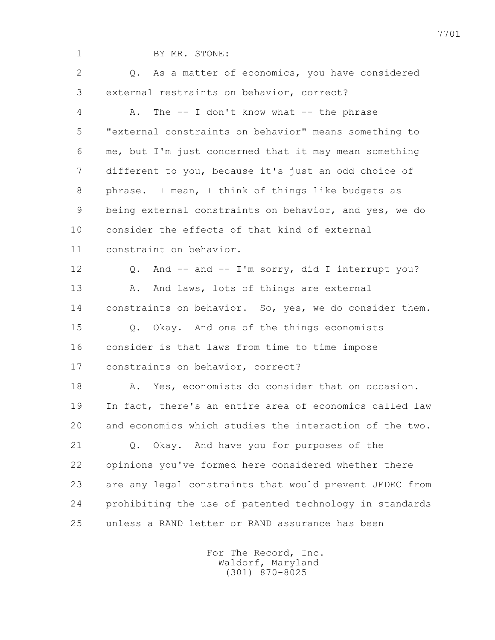| $\mathbf 1$ | BY MR. STONE:                                           |
|-------------|---------------------------------------------------------|
| 2           | Q. As a matter of economics, you have considered        |
| 3           | external restraints on behavior, correct?               |
| 4           | The $-$ I don't know what $-$ the phrase<br>Α.          |
| 5           | "external constraints on behavior" means something to   |
| 6           | me, but I'm just concerned that it may mean something   |
| 7           | different to you, because it's just an odd choice of    |
| 8           | phrase. I mean, I think of things like budgets as       |
| 9           | being external constraints on behavior, and yes, we do  |
| 10          | consider the effects of that kind of external           |
| 11          | constraint on behavior.                                 |
| 12          | Q. And -- and -- I'm sorry, did I interrupt you?        |
| 13          | And laws, lots of things are external<br>Α.             |
| 14          | constraints on behavior. So, yes, we do consider them.  |
| 15          | Q. Okay. And one of the things economists               |
| 16          | consider is that laws from time to time impose          |
| 17          | constraints on behavior, correct?                       |
| 18          | A. Yes, economists do consider that on occasion.        |
| 19          | In fact, there's an entire area of economics called law |
| 20          | and economics which studies the interaction of the two. |
| 21          | Q. Okay. And have you for purposes of the               |
| 22          | opinions you've formed here considered whether there    |
| 23          | are any legal constraints that would prevent JEDEC from |
| 24          | prohibiting the use of patented technology in standards |
| 25          | unless a RAND letter or RAND assurance has been         |
|             |                                                         |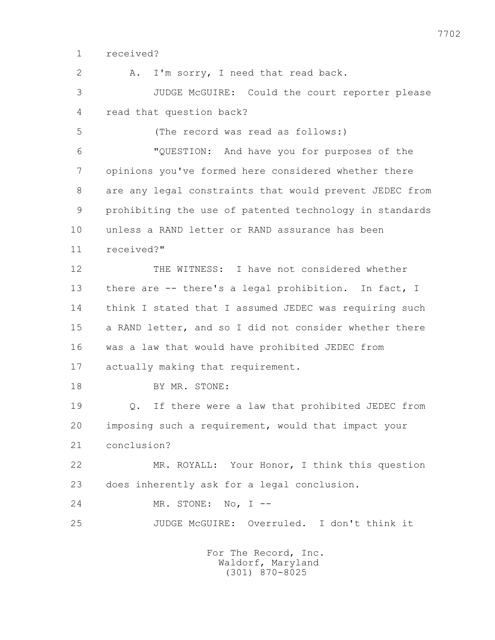1 received?

2 A. I'm sorry, I need that read back.

 3 JUDGE McGUIRE: Could the court reporter please 4 read that question back?

5 (The record was read as follows:)

 6 "QUESTION: And have you for purposes of the 7 opinions you've formed here considered whether there 8 are any legal constraints that would prevent JEDEC from 9 prohibiting the use of patented technology in standards 10 unless a RAND letter or RAND assurance has been 11 received?"

 12 THE WITNESS: I have not considered whether 13 there are -- there's a legal prohibition. In fact, I 14 think I stated that I assumed JEDEC was requiring such 15 a RAND letter, and so I did not consider whether there 16 was a law that would have prohibited JEDEC from 17 actually making that requirement.

18 BY MR. STONE:

 19 Q. If there were a law that prohibited JEDEC from 20 imposing such a requirement, would that impact your 21 conclusion?

 22 MR. ROYALL: Your Honor, I think this question 23 does inherently ask for a legal conclusion.

24 MR. STONE: No, I --

25 JUDGE McGUIRE: Overruled. I don't think it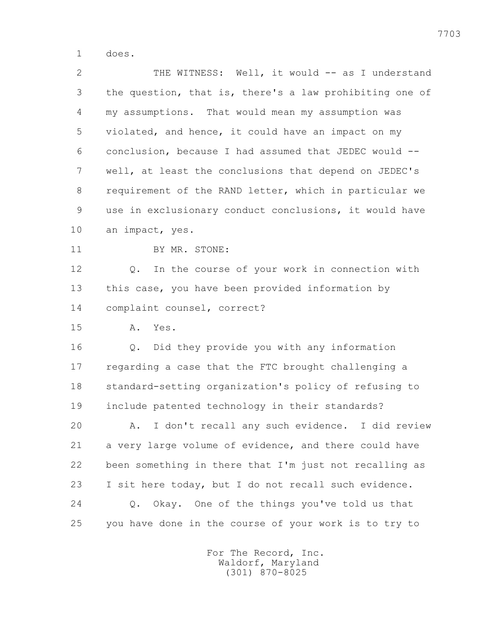1 does.

2 THE WITNESS: Well, it would -- as I understand 3 the question, that is, there's a law prohibiting one of 4 my assumptions. That would mean my assumption was 5 violated, and hence, it could have an impact on my 6 conclusion, because I had assumed that JEDEC would -- 7 well, at least the conclusions that depend on JEDEC's 8 requirement of the RAND letter, which in particular we 9 use in exclusionary conduct conclusions, it would have 10 an impact, yes.

11 BY MR. STONE:

 12 Q. In the course of your work in connection with 13 this case, you have been provided information by 14 complaint counsel, correct?

15 A. Yes.

 16 Q. Did they provide you with any information 17 regarding a case that the FTC brought challenging a 18 standard-setting organization's policy of refusing to 19 include patented technology in their standards? 20 A. I don't recall any such evidence. I did review

 21 a very large volume of evidence, and there could have 22 been something in there that I'm just not recalling as 23 I sit here today, but I do not recall such evidence. 24 Q. Okay. One of the things you've told us that 25 you have done in the course of your work is to try to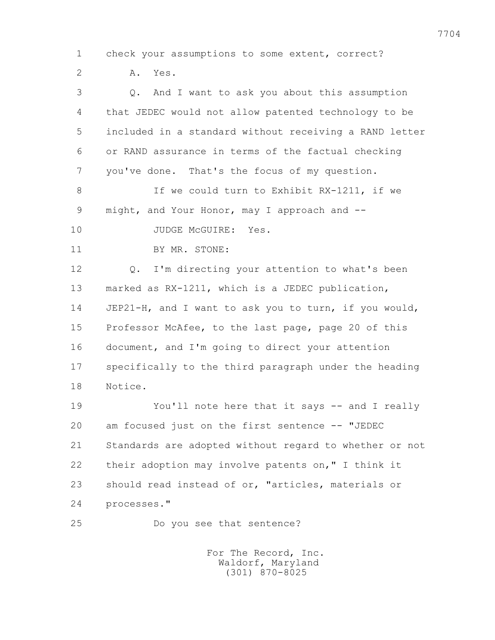1 check your assumptions to some extent, correct? 2 A. Yes. 3 Q. And I want to ask you about this assumption 4 that JEDEC would not allow patented technology to be 5 included in a standard without receiving a RAND letter 6 or RAND assurance in terms of the factual checking 7 you've done. That's the focus of my question. 8 If we could turn to Exhibit RX-1211, if we 9 might, and Your Honor, may I approach and -- 10 JUDGE McGUIRE: Yes. 11 BY MR. STONE: 12 0. I'm directing your attention to what's been 13 marked as RX-1211, which is a JEDEC publication, 14 JEP21-H, and I want to ask you to turn, if you would, 15 Professor McAfee, to the last page, page 20 of this 16 document, and I'm going to direct your attention 17 specifically to the third paragraph under the heading 18 Notice. 19 You'll note here that it says -- and I really 20 am focused just on the first sentence -- "JEDEC 21 Standards are adopted without regard to whether or not 22 their adoption may involve patents on," I think it 23 should read instead of or, "articles, materials or 24 processes." 25 Do you see that sentence?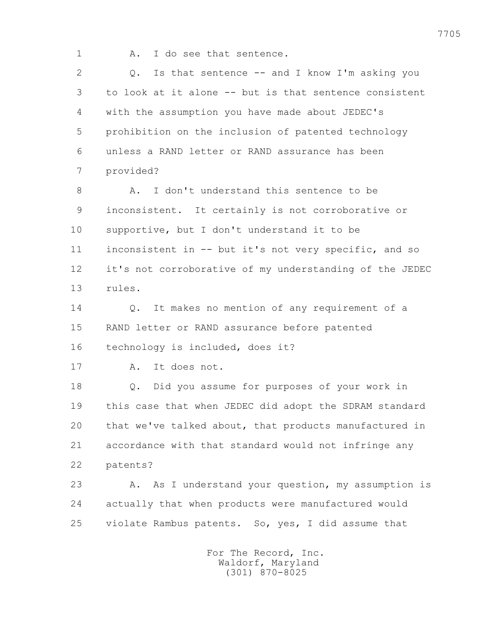1 A. I do see that sentence.

 2 Q. Is that sentence -- and I know I'm asking you 3 to look at it alone -- but is that sentence consistent 4 with the assumption you have made about JEDEC's 5 prohibition on the inclusion of patented technology 6 unless a RAND letter or RAND assurance has been 7 provided?

 8 A. I don't understand this sentence to be 9 inconsistent. It certainly is not corroborative or 10 supportive, but I don't understand it to be 11 inconsistent in -- but it's not very specific, and so 12 it's not corroborative of my understanding of the JEDEC 13 rules.

 14 Q. It makes no mention of any requirement of a 15 RAND letter or RAND assurance before patented

16 technology is included, does it?

17 A. It does not.

 18 Q. Did you assume for purposes of your work in 19 this case that when JEDEC did adopt the SDRAM standard 20 that we've talked about, that products manufactured in 21 accordance with that standard would not infringe any 22 patents?

 23 A. As I understand your question, my assumption is 24 actually that when products were manufactured would 25 violate Rambus patents. So, yes, I did assume that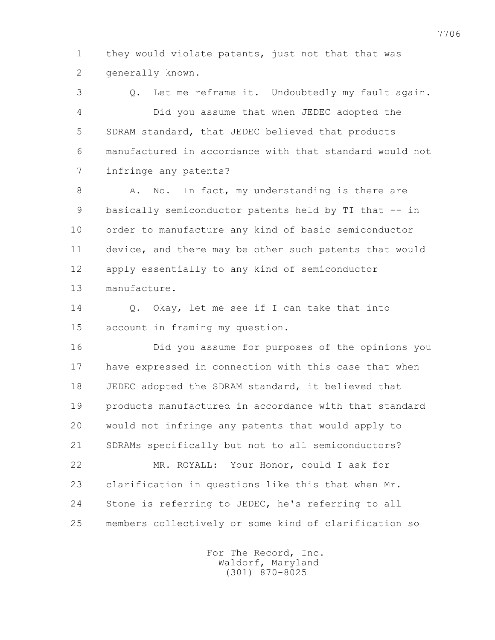1 they would violate patents, just not that that was 2 generally known.

 3 Q. Let me reframe it. Undoubtedly my fault again. 4 Did you assume that when JEDEC adopted the 5 SDRAM standard, that JEDEC believed that products 6 manufactured in accordance with that standard would not 7 infringe any patents?

8 A. No. In fact, my understanding is there are 9 basically semiconductor patents held by TI that -- in 10 order to manufacture any kind of basic semiconductor 11 device, and there may be other such patents that would 12 apply essentially to any kind of semiconductor 13 manufacture.

 14 Q. Okay, let me see if I can take that into 15 account in framing my question.

 16 Did you assume for purposes of the opinions you 17 have expressed in connection with this case that when 18 JEDEC adopted the SDRAM standard, it believed that 19 products manufactured in accordance with that standard 20 would not infringe any patents that would apply to 21 SDRAMs specifically but not to all semiconductors?

 22 MR. ROYALL: Your Honor, could I ask for 23 clarification in questions like this that when Mr. 24 Stone is referring to JEDEC, he's referring to all 25 members collectively or some kind of clarification so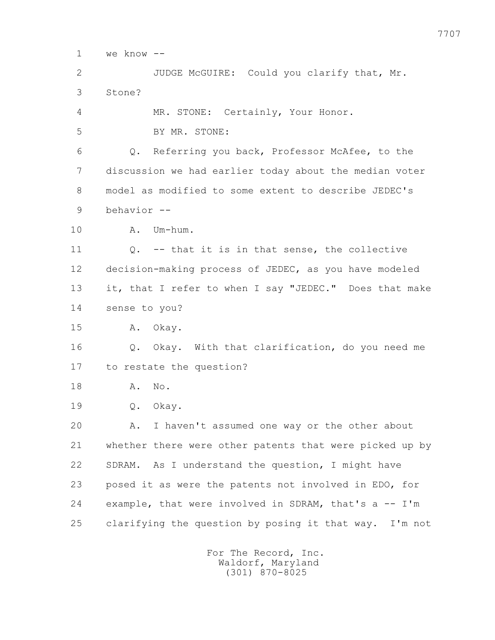1 we know --

 2 JUDGE McGUIRE: Could you clarify that, Mr. 3 Stone? 4 MR. STONE: Certainly, Your Honor. 5 BY MR. STONE:

 6 Q. Referring you back, Professor McAfee, to the 7 discussion we had earlier today about the median voter 8 model as modified to some extent to describe JEDEC's 9 behavior --

10 A. Um-hum.

 11 Q. -- that it is in that sense, the collective 12 decision-making process of JEDEC, as you have modeled 13 it, that I refer to when I say "JEDEC." Does that make 14 sense to you?

15 A. Okay.

 16 Q. Okay. With that clarification, do you need me 17 to restate the question?

18 A. No.

19 Q. Okay.

 20 A. I haven't assumed one way or the other about 21 whether there were other patents that were picked up by 22 SDRAM. As I understand the question, I might have 23 posed it as were the patents not involved in EDO, for 24 example, that were involved in SDRAM, that's a -- I'm 25 clarifying the question by posing it that way. I'm not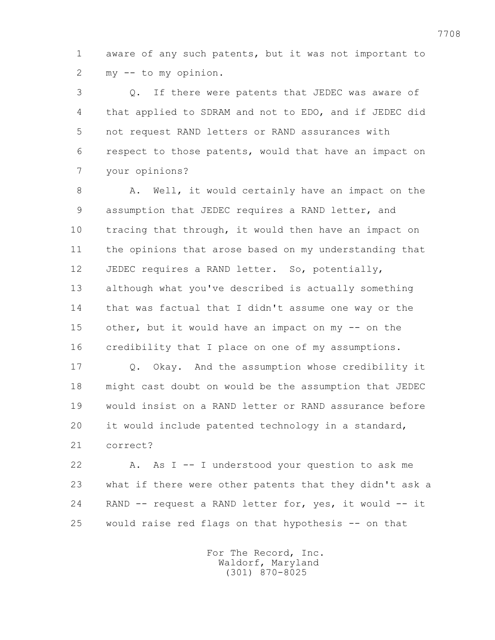1 aware of any such patents, but it was not important to 2 my -- to my opinion.

 3 Q. If there were patents that JEDEC was aware of 4 that applied to SDRAM and not to EDO, and if JEDEC did 5 not request RAND letters or RAND assurances with 6 respect to those patents, would that have an impact on 7 your opinions?

8 A. Well, it would certainly have an impact on the 9 assumption that JEDEC requires a RAND letter, and 10 tracing that through, it would then have an impact on 11 the opinions that arose based on my understanding that 12 JEDEC requires a RAND letter. So, potentially, 13 although what you've described is actually something 14 that was factual that I didn't assume one way or the 15 other, but it would have an impact on my -- on the 16 credibility that I place on one of my assumptions.

 17 Q. Okay. And the assumption whose credibility it 18 might cast doubt on would be the assumption that JEDEC 19 would insist on a RAND letter or RAND assurance before 20 it would include patented technology in a standard, 21 correct?

 22 A. As I -- I understood your question to ask me 23 what if there were other patents that they didn't ask a 24 RAND -- request a RAND letter for, yes, it would -- it 25 would raise red flags on that hypothesis -- on that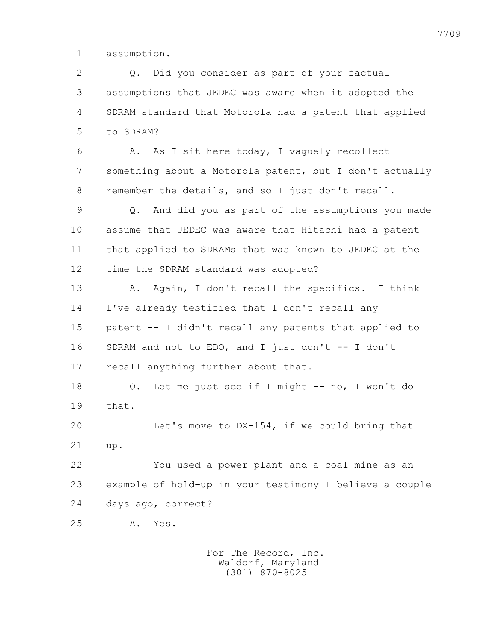1 assumption.

 2 Q. Did you consider as part of your factual 3 assumptions that JEDEC was aware when it adopted the 4 SDRAM standard that Motorola had a patent that applied 5 to SDRAM?

 6 A. As I sit here today, I vaguely recollect 7 something about a Motorola patent, but I don't actually 8 remember the details, and so I just don't recall.

 9 Q. And did you as part of the assumptions you made 10 assume that JEDEC was aware that Hitachi had a patent 11 that applied to SDRAMs that was known to JEDEC at the 12 time the SDRAM standard was adopted?

13 A. Again, I don't recall the specifics. I think 14 I've already testified that I don't recall any 15 patent -- I didn't recall any patents that applied to 16 SDRAM and not to EDO, and I just don't -- I don't 17 recall anything further about that.

 18 Q. Let me just see if I might -- no, I won't do 19 that.

 20 Let's move to DX-154, if we could bring that 21 up.

 22 You used a power plant and a coal mine as an 23 example of hold-up in your testimony I believe a couple 24 days ago, correct?

25 A. Yes.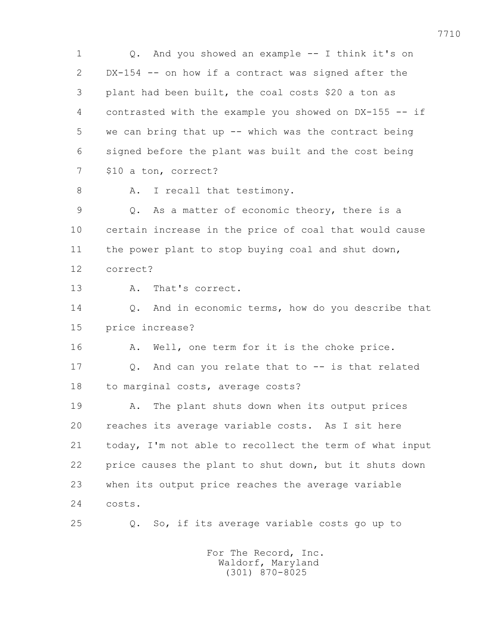1 Q. And you showed an example -- I think it's on 2 DX-154 -- on how if a contract was signed after the 3 plant had been built, the coal costs \$20 a ton as 4 contrasted with the example you showed on DX-155 -- if 5 we can bring that up -- which was the contract being 6 signed before the plant was built and the cost being 7 \$10 a ton, correct? 8 A. I recall that testimony. 9 Q. As a matter of economic theory, there is a 10 certain increase in the price of coal that would cause 11 the power plant to stop buying coal and shut down, 12 correct? 13 A. That's correct. 14 Q. And in economic terms, how do you describe that 15 price increase? 16 A. Well, one term for it is the choke price. 17 Q. And can you relate that to -- is that related 18 to marginal costs, average costs? 19 A. The plant shuts down when its output prices 20 reaches its average variable costs. As I sit here 21 today, I'm not able to recollect the term of what input 22 price causes the plant to shut down, but it shuts down 23 when its output price reaches the average variable 24 costs. 25 Q. So, if its average variable costs go up to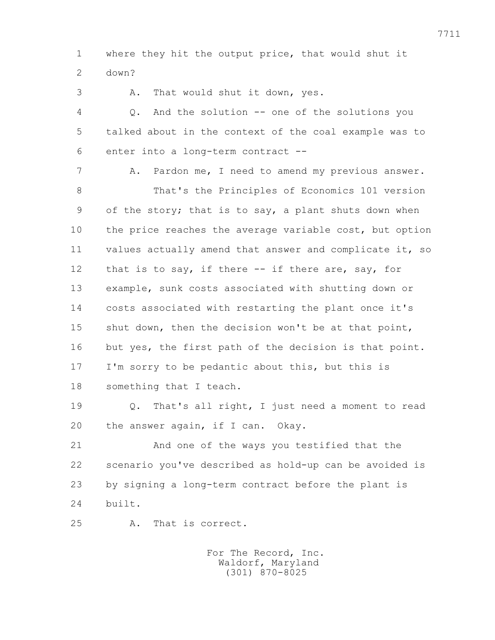1 where they hit the output price, that would shut it 2 down?

3 A. That would shut it down, yes.

 4 Q. And the solution -- one of the solutions you 5 talked about in the context of the coal example was to 6 enter into a long-term contract --

7 A. Pardon me, I need to amend my previous answer.

 8 That's the Principles of Economics 101 version 9 of the story; that is to say, a plant shuts down when 10 the price reaches the average variable cost, but option 11 values actually amend that answer and complicate it, so 12 that is to say, if there -- if there are, say, for 13 example, sunk costs associated with shutting down or 14 costs associated with restarting the plant once it's 15 shut down, then the decision won't be at that point, 16 but yes, the first path of the decision is that point. 17 I'm sorry to be pedantic about this, but this is 18 something that I teach.

 19 Q. That's all right, I just need a moment to read 20 the answer again, if I can. Okay.

 21 And one of the ways you testified that the 22 scenario you've described as hold-up can be avoided is 23 by signing a long-term contract before the plant is 24 built.

25 A. That is correct.

 For The Record, Inc. Waldorf, Maryland (301) 870-8025

7711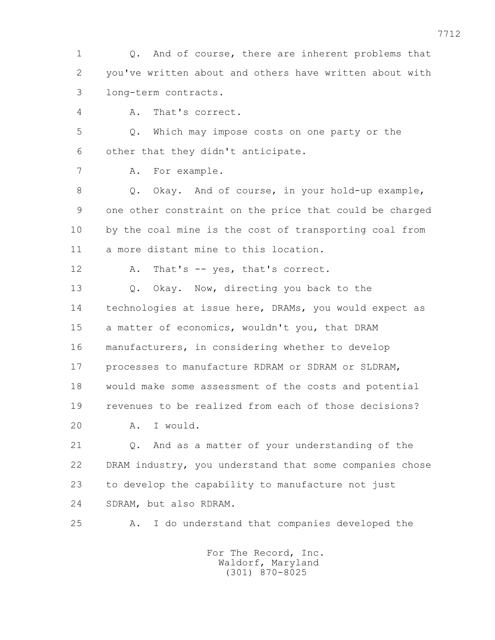1 Q. And of course, there are inherent problems that 2 you've written about and others have written about with 3 long-term contracts.

4 A. That's correct.

 5 Q. Which may impose costs on one party or the 6 other that they didn't anticipate.

7 A. For example.

 8 Q. Okay. And of course, in your hold-up example, 9 one other constraint on the price that could be charged 10 by the coal mine is the cost of transporting coal from 11 a more distant mine to this location.

12 A. That's -- yes, that's correct.

 13 Q. Okay. Now, directing you back to the 14 technologies at issue here, DRAMs, you would expect as 15 a matter of economics, wouldn't you, that DRAM 16 manufacturers, in considering whether to develop 17 processes to manufacture RDRAM or SDRAM or SLDRAM, 18 would make some assessment of the costs and potential 19 revenues to be realized from each of those decisions? 20 A. I would.

 21 Q. And as a matter of your understanding of the 22 DRAM industry, you understand that some companies chose 23 to develop the capability to manufacture not just 24 SDRAM, but also RDRAM.

25 A. I do understand that companies developed the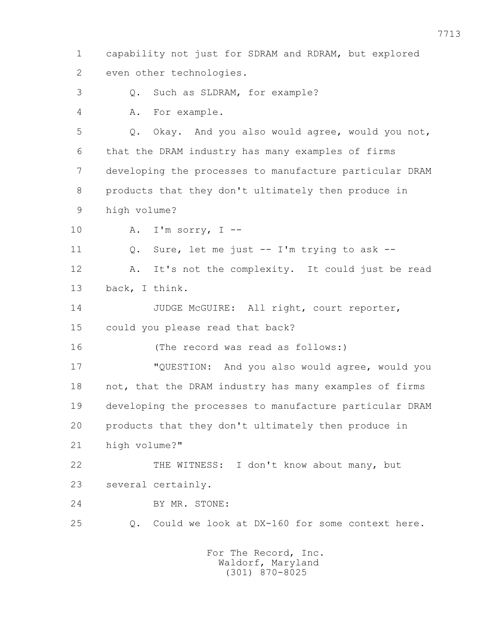1 capability not just for SDRAM and RDRAM, but explored 2 even other technologies. 3 Q. Such as SLDRAM, for example? 4 A. For example. 5 Q. Okay. And you also would agree, would you not, 6 that the DRAM industry has many examples of firms 7 developing the processes to manufacture particular DRAM 8 products that they don't ultimately then produce in 9 high volume? 10 A. I'm sorry, I -- 11 Q. Sure, let me just -- I'm trying to ask -- 12 A. It's not the complexity. It could just be read 13 back, I think. 14 JUDGE McGUIRE: All right, court reporter, 15 could you please read that back? 16 (The record was read as follows:) 17 "QUESTION: And you also would agree, would you 18 not, that the DRAM industry has many examples of firms 19 developing the processes to manufacture particular DRAM 20 products that they don't ultimately then produce in 21 high volume?" 22 THE WITNESS: I don't know about many, but 23 several certainly. 24 BY MR. STONE: 25 Q. Could we look at DX-160 for some context here. For The Record, Inc. Waldorf, Maryland

(301) 870-8025

7713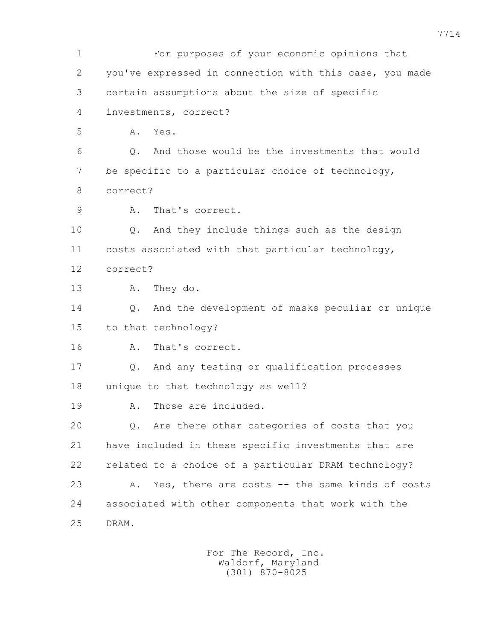1 For purposes of your economic opinions that 2 you've expressed in connection with this case, you made 3 certain assumptions about the size of specific 4 investments, correct? 5 A. Yes. 6 Q. And those would be the investments that would 7 be specific to a particular choice of technology, 8 correct? 9 A. That's correct. 10 Q. And they include things such as the design 11 costs associated with that particular technology, 12 correct? 13 A. They do. 14 Q. And the development of masks peculiar or unique 15 to that technology? 16 A. That's correct. 17 Q. And any testing or qualification processes 18 unique to that technology as well? 19 A. Those are included. 20 Q. Are there other categories of costs that you 21 have included in these specific investments that are 22 related to a choice of a particular DRAM technology? 23 A. Yes, there are costs -- the same kinds of costs 24 associated with other components that work with the 25 DRAM.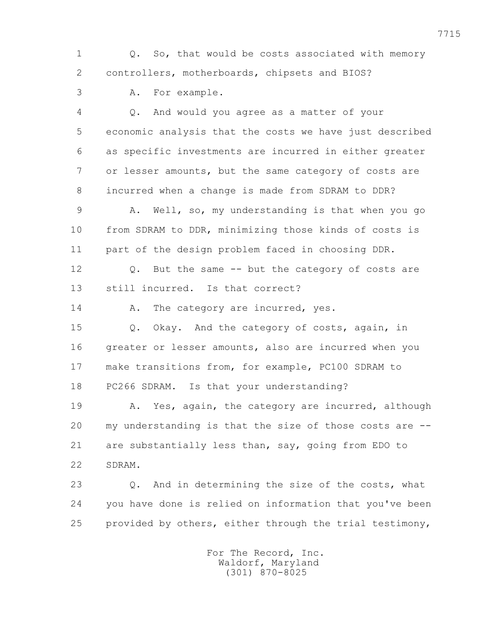1 Q. So, that would be costs associated with memory 2 controllers, motherboards, chipsets and BIOS?

3 A. For example.

 4 Q. And would you agree as a matter of your 5 economic analysis that the costs we have just described 6 as specific investments are incurred in either greater 7 or lesser amounts, but the same category of costs are 8 incurred when a change is made from SDRAM to DDR?

 9 A. Well, so, my understanding is that when you go 10 from SDRAM to DDR, minimizing those kinds of costs is 11 part of the design problem faced in choosing DDR.

 12 Q. But the same -- but the category of costs are 13 still incurred. Is that correct?

14 A. The category are incurred, yes.

 15 Q. Okay. And the category of costs, again, in 16 greater or lesser amounts, also are incurred when you 17 make transitions from, for example, PC100 SDRAM to 18 PC266 SDRAM. Is that your understanding?

19 A. Yes, again, the category are incurred, although 20 my understanding is that the size of those costs are -- 21 are substantially less than, say, going from EDO to 22 SDRAM.

 23 Q. And in determining the size of the costs, what 24 you have done is relied on information that you've been 25 provided by others, either through the trial testimony,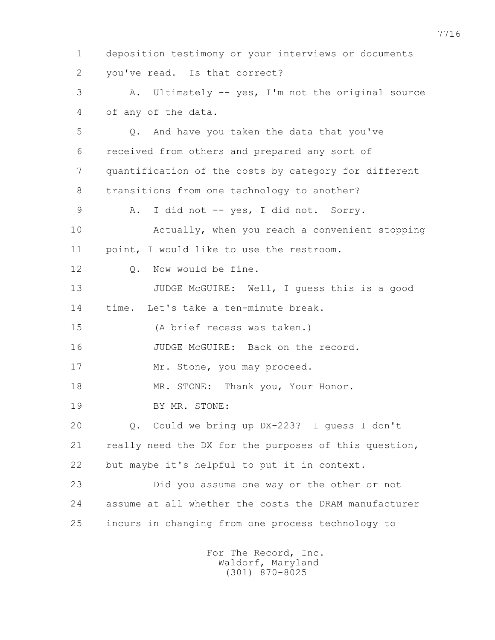1 deposition testimony or your interviews or documents 2 you've read. Is that correct? 3 A. Ultimately -- yes, I'm not the original source 4 of any of the data. 5 Q. And have you taken the data that you've 6 received from others and prepared any sort of 7 quantification of the costs by category for different 8 transitions from one technology to another? 9 A. I did not -- yes, I did not. Sorry. 10 Actually, when you reach a convenient stopping 11 point, I would like to use the restroom. 12 0. Now would be fine. 13 JUDGE McGUIRE: Well, I guess this is a good 14 time. Let's take a ten-minute break. 15 (A brief recess was taken.) 16 JUDGE McGUIRE: Back on the record. 17 Mr. Stone, you may proceed. 18 MR. STONE: Thank you, Your Honor. 19 BY MR. STONE: 20 Q. Could we bring up DX-223? I guess I don't 21 really need the DX for the purposes of this question, 22 but maybe it's helpful to put it in context. 23 Did you assume one way or the other or not 24 assume at all whether the costs the DRAM manufacturer 25 incurs in changing from one process technology to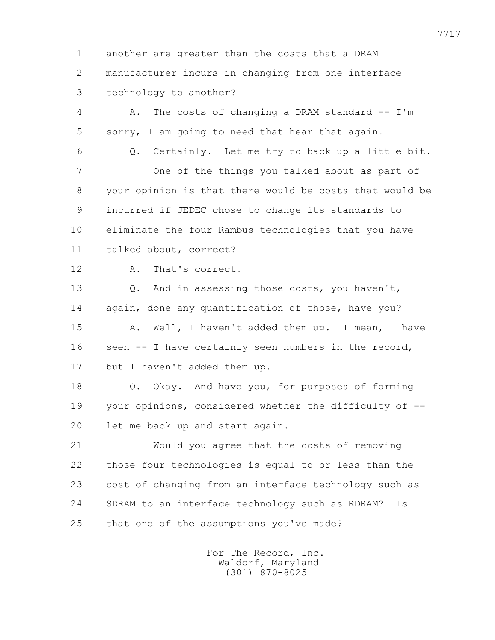1 another are greater than the costs that a DRAM 2 manufacturer incurs in changing from one interface 3 technology to another?

 4 A. The costs of changing a DRAM standard -- I'm 5 sorry, I am going to need that hear that again.

6 Q. Certainly. Let me try to back up a little bit.

 7 One of the things you talked about as part of 8 your opinion is that there would be costs that would be 9 incurred if JEDEC chose to change its standards to 10 eliminate the four Rambus technologies that you have 11 talked about, correct?

12 A. That's correct.

 13 Q. And in assessing those costs, you haven't, 14 again, done any quantification of those, have you? 15 A. Well, I haven't added them up. I mean, I have 16 seen -- I have certainly seen numbers in the record, 17 but I haven't added them up.

 18 Q. Okay. And have you, for purposes of forming 19 your opinions, considered whether the difficulty of -- 20 let me back up and start again.

 21 Would you agree that the costs of removing 22 those four technologies is equal to or less than the 23 cost of changing from an interface technology such as 24 SDRAM to an interface technology such as RDRAM? Is 25 that one of the assumptions you've made?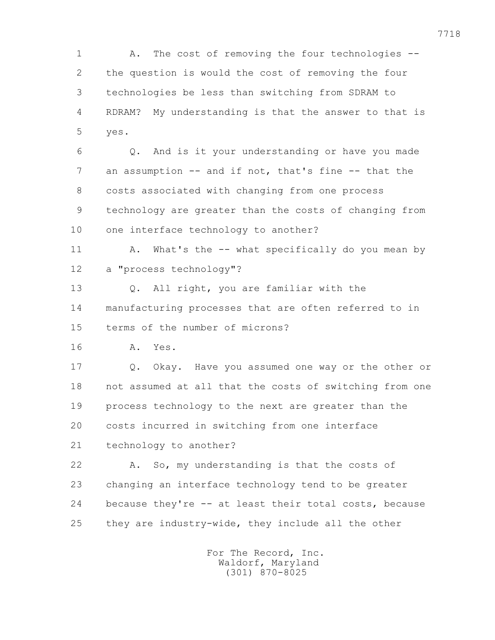1 A. The cost of removing the four technologies -- 2 the question is would the cost of removing the four 3 technologies be less than switching from SDRAM to 4 RDRAM? My understanding is that the answer to that is 5 yes.

 6 Q. And is it your understanding or have you made 7 an assumption -- and if not, that's fine -- that the 8 costs associated with changing from one process 9 technology are greater than the costs of changing from 10 one interface technology to another?

11 A. What's the -- what specifically do you mean by 12 a "process technology"?

 13 Q. All right, you are familiar with the 14 manufacturing processes that are often referred to in 15 terms of the number of microns?

16 A. Yes.

 17 Q. Okay. Have you assumed one way or the other or 18 not assumed at all that the costs of switching from one 19 process technology to the next are greater than the 20 costs incurred in switching from one interface 21 technology to another?

 22 A. So, my understanding is that the costs of 23 changing an interface technology tend to be greater 24 because they're -- at least their total costs, because 25 they are industry-wide, they include all the other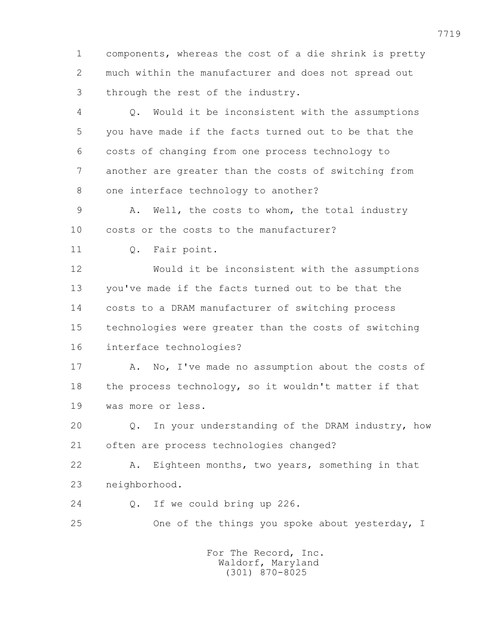1 components, whereas the cost of a die shrink is pretty 2 much within the manufacturer and does not spread out 3 through the rest of the industry.

 4 Q. Would it be inconsistent with the assumptions 5 you have made if the facts turned out to be that the 6 costs of changing from one process technology to 7 another are greater than the costs of switching from 8 one interface technology to another?

 9 A. Well, the costs to whom, the total industry 10 costs or the costs to the manufacturer?

11 Q. Fair point.

 12 Would it be inconsistent with the assumptions 13 you've made if the facts turned out to be that the 14 costs to a DRAM manufacturer of switching process 15 technologies were greater than the costs of switching 16 interface technologies?

17 A. No, I've made no assumption about the costs of 18 the process technology, so it wouldn't matter if that 19 was more or less.

 20 Q. In your understanding of the DRAM industry, how 21 often are process technologies changed?

 22 A. Eighteen months, two years, something in that 23 neighborhood.

- 24 Q. If we could bring up 226.
- 25 One of the things you spoke about yesterday, I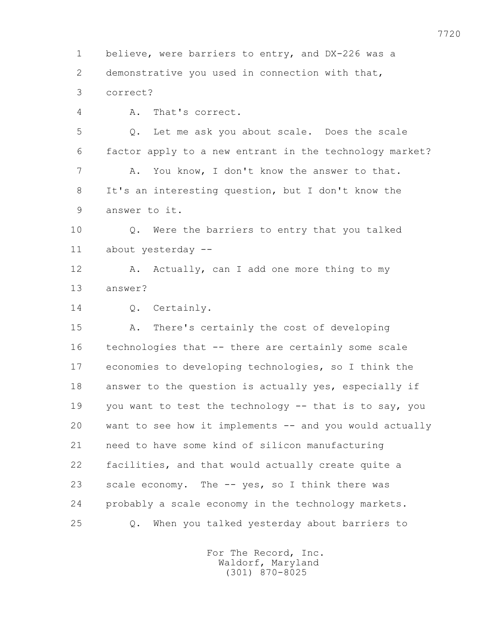1 believe, were barriers to entry, and DX-226 was a 2 demonstrative you used in connection with that,

3 correct?

4 A. That's correct.

 5 Q. Let me ask you about scale. Does the scale 6 factor apply to a new entrant in the technology market? 7 A. You know, I don't know the answer to that. 8 It's an interesting question, but I don't know the 9 answer to it.

 10 Q. Were the barriers to entry that you talked 11 about yesterday --

12 A. Actually, can I add one more thing to my 13 answer?

14 Q. Certainly.

 15 A. There's certainly the cost of developing 16 technologies that -- there are certainly some scale 17 economies to developing technologies, so I think the 18 answer to the question is actually yes, especially if 19 you want to test the technology -- that is to say, you 20 want to see how it implements -- and you would actually 21 need to have some kind of silicon manufacturing 22 facilities, and that would actually create quite a 23 scale economy. The -- yes, so I think there was 24 probably a scale economy in the technology markets. 25 Q. When you talked yesterday about barriers to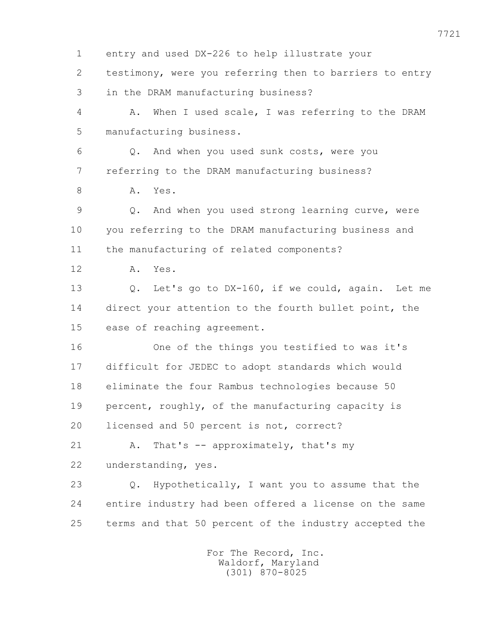1 entry and used DX-226 to help illustrate your 2 testimony, were you referring then to barriers to entry 3 in the DRAM manufacturing business? 4 A. When I used scale, I was referring to the DRAM 5 manufacturing business. 6 Q. And when you used sunk costs, were you 7 referring to the DRAM manufacturing business? 8 A. Yes. 9 Q. And when you used strong learning curve, were 10 you referring to the DRAM manufacturing business and 11 the manufacturing of related components? 12 A. Yes. 13 Q. Let's go to DX-160, if we could, again. Let me 14 direct your attention to the fourth bullet point, the 15 ease of reaching agreement. 16 One of the things you testified to was it's 17 difficult for JEDEC to adopt standards which would 18 eliminate the four Rambus technologies because 50 19 percent, roughly, of the manufacturing capacity is 20 licensed and 50 percent is not, correct? 21 A. That's -- approximately, that's my 22 understanding, yes. 23 Q. Hypothetically, I want you to assume that the 24 entire industry had been offered a license on the same 25 terms and that 50 percent of the industry accepted the For The Record, Inc.

 Waldorf, Maryland (301) 870-8025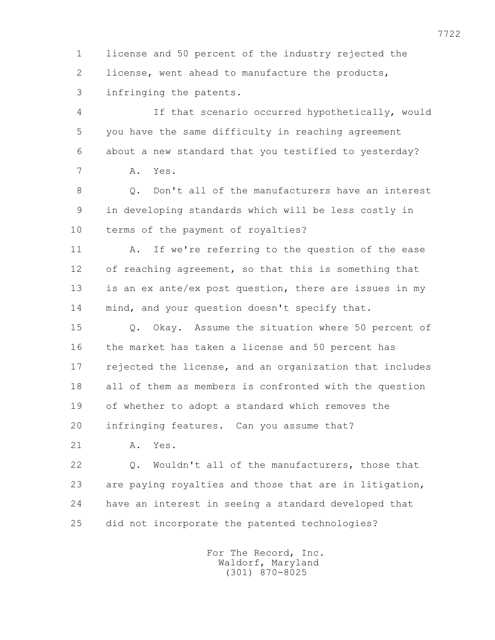1 license and 50 percent of the industry rejected the 2 license, went ahead to manufacture the products, 3 infringing the patents.

 4 If that scenario occurred hypothetically, would 5 you have the same difficulty in reaching agreement 6 about a new standard that you testified to yesterday? 7 A. Yes.

 8 Q. Don't all of the manufacturers have an interest 9 in developing standards which will be less costly in 10 terms of the payment of royalties?

11 A. If we're referring to the question of the ease 12 of reaching agreement, so that this is something that 13 is an ex ante/ex post question, there are issues in my 14 mind, and your question doesn't specify that.

 15 Q. Okay. Assume the situation where 50 percent of 16 the market has taken a license and 50 percent has 17 rejected the license, and an organization that includes 18 all of them as members is confronted with the question 19 of whether to adopt a standard which removes the 20 infringing features. Can you assume that?

21 A. Yes.

 22 Q. Wouldn't all of the manufacturers, those that 23 are paying royalties and those that are in litigation, 24 have an interest in seeing a standard developed that 25 did not incorporate the patented technologies?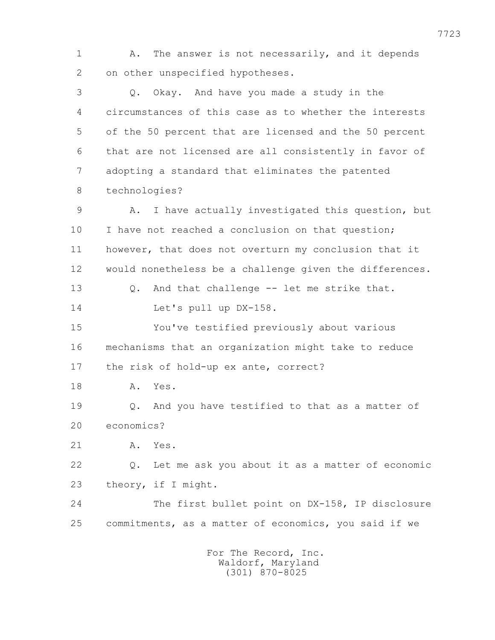1 A. The answer is not necessarily, and it depends 2 on other unspecified hypotheses. 3 Q. Okay. And have you made a study in the 4 circumstances of this case as to whether the interests 5 of the 50 percent that are licensed and the 50 percent 6 that are not licensed are all consistently in favor of 7 adopting a standard that eliminates the patented 8 technologies? 9 A. I have actually investigated this question, but 10 I have not reached a conclusion on that question; 11 however, that does not overturn my conclusion that it 12 would nonetheless be a challenge given the differences. 13 Q. And that challenge -- let me strike that. 14 Let's pull up DX-158. 15 You've testified previously about various 16 mechanisms that an organization might take to reduce 17 the risk of hold-up ex ante, correct? 18 A. Yes. 19 Q. And you have testified to that as a matter of 20 economics? 21 A. Yes. 22 Q. Let me ask you about it as a matter of economic 23 theory, if I might. 24 The first bullet point on DX-158, IP disclosure 25 commitments, as a matter of economics, you said if we For The Record, Inc.

 Waldorf, Maryland (301) 870-8025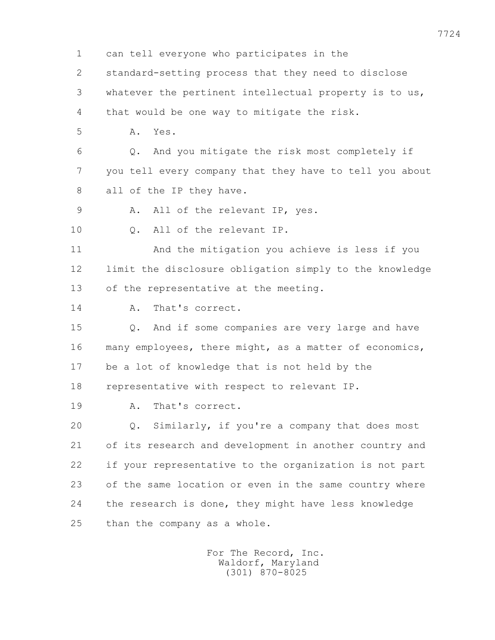1 can tell everyone who participates in the

2 standard-setting process that they need to disclose

3 whatever the pertinent intellectual property is to us,

4 that would be one way to mitigate the risk.

5 A. Yes.

 6 Q. And you mitigate the risk most completely if 7 you tell every company that they have to tell you about 8 all of the IP they have.

9 A. All of the relevant IP, yes.

10 Q. All of the relevant IP.

 11 And the mitigation you achieve is less if you 12 limit the disclosure obligation simply to the knowledge 13 of the representative at the meeting.

14 A. That's correct.

 15 Q. And if some companies are very large and have 16 many employees, there might, as a matter of economics, 17 be a lot of knowledge that is not held by the 18 representative with respect to relevant IP.

19 A. That's correct.

 20 Q. Similarly, if you're a company that does most 21 of its research and development in another country and 22 if your representative to the organization is not part 23 of the same location or even in the same country where 24 the research is done, they might have less knowledge 25 than the company as a whole.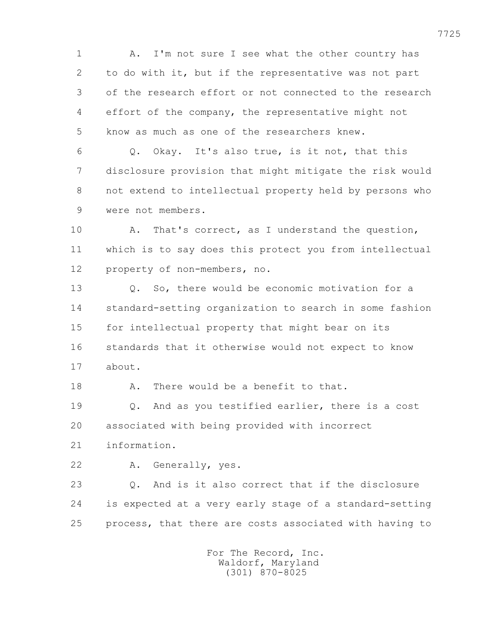1 A. I'm not sure I see what the other country has 2 to do with it, but if the representative was not part 3 of the research effort or not connected to the research 4 effort of the company, the representative might not 5 know as much as one of the researchers knew.

 6 Q. Okay. It's also true, is it not, that this 7 disclosure provision that might mitigate the risk would 8 not extend to intellectual property held by persons who 9 were not members.

 10 A. That's correct, as I understand the question, 11 which is to say does this protect you from intellectual 12 property of non-members, no.

 13 Q. So, there would be economic motivation for a 14 standard-setting organization to search in some fashion 15 for intellectual property that might bear on its 16 standards that it otherwise would not expect to know 17 about.

18 A. There would be a benefit to that.

 19 Q. And as you testified earlier, there is a cost 20 associated with being provided with incorrect

21 information.

22 A. Generally, yes.

 23 Q. And is it also correct that if the disclosure 24 is expected at a very early stage of a standard-setting 25 process, that there are costs associated with having to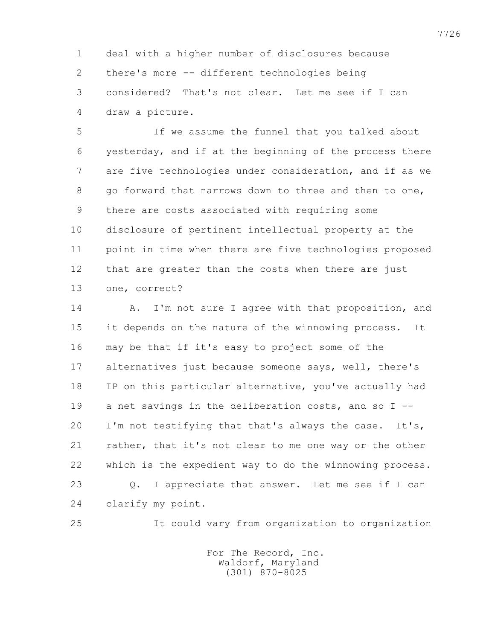1 deal with a higher number of disclosures because 2 there's more -- different technologies being 3 considered? That's not clear. Let me see if I can 4 draw a picture.

 5 If we assume the funnel that you talked about 6 yesterday, and if at the beginning of the process there 7 are five technologies under consideration, and if as we 8 go forward that narrows down to three and then to one, 9 there are costs associated with requiring some 10 disclosure of pertinent intellectual property at the 11 point in time when there are five technologies proposed 12 that are greater than the costs when there are just 13 one, correct?

14 A. I'm not sure I agree with that proposition, and 15 it depends on the nature of the winnowing process. It 16 may be that if it's easy to project some of the 17 alternatives just because someone says, well, there's 18 IP on this particular alternative, you've actually had 19 a net savings in the deliberation costs, and so I -- 20 I'm not testifying that that's always the case. It's, 21 rather, that it's not clear to me one way or the other 22 which is the expedient way to do the winnowing process. 23 Q. I appreciate that answer. Let me see if I can 24 clarify my point.

25 It could vary from organization to organization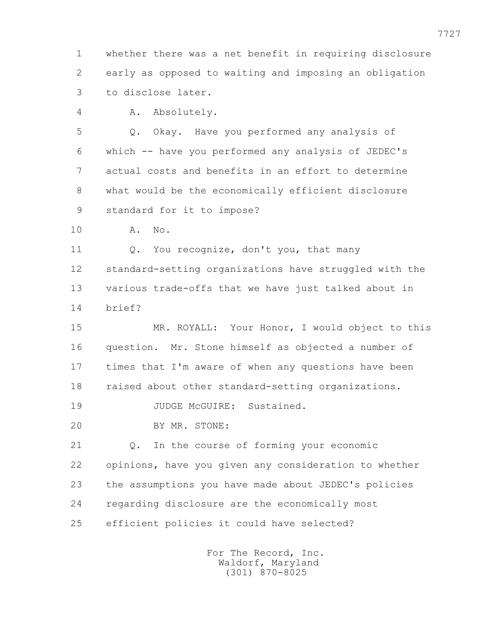1 whether there was a net benefit in requiring disclosure 2 early as opposed to waiting and imposing an obligation 3 to disclose later.

4 A. Absolutely.

 5 Q. Okay. Have you performed any analysis of 6 which -- have you performed any analysis of JEDEC's 7 actual costs and benefits in an effort to determine 8 what would be the economically efficient disclosure 9 standard for it to impose?

10 A. No.

 11 Q. You recognize, don't you, that many 12 standard-setting organizations have struggled with the 13 various trade-offs that we have just talked about in 14 brief?

 15 MR. ROYALL: Your Honor, I would object to this 16 question. Mr. Stone himself as objected a number of 17 times that I'm aware of when any questions have been 18 raised about other standard-setting organizations.

19 JUDGE McGUIRE: Sustained.

20 BY MR. STONE:

 21 Q. In the course of forming your economic 22 opinions, have you given any consideration to whether 23 the assumptions you have made about JEDEC's policies 24 regarding disclosure are the economically most 25 efficient policies it could have selected?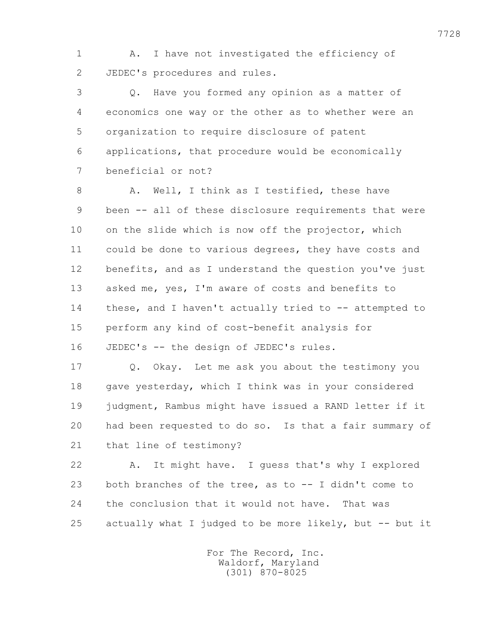1 A. I have not investigated the efficiency of 2 JEDEC's procedures and rules.

 3 Q. Have you formed any opinion as a matter of 4 economics one way or the other as to whether were an 5 organization to require disclosure of patent 6 applications, that procedure would be economically 7 beneficial or not?

8 A. Well, I think as I testified, these have 9 been -- all of these disclosure requirements that were 10 on the slide which is now off the projector, which 11 could be done to various degrees, they have costs and 12 benefits, and as I understand the question you've just 13 asked me, yes, I'm aware of costs and benefits to 14 these, and I haven't actually tried to -- attempted to 15 perform any kind of cost-benefit analysis for 16 JEDEC's -- the design of JEDEC's rules.

 17 Q. Okay. Let me ask you about the testimony you 18 gave yesterday, which I think was in your considered 19 judgment, Rambus might have issued a RAND letter if it 20 had been requested to do so. Is that a fair summary of 21 that line of testimony?

 22 A. It might have. I guess that's why I explored 23 both branches of the tree, as to -- I didn't come to 24 the conclusion that it would not have. That was 25 actually what I judged to be more likely, but -- but it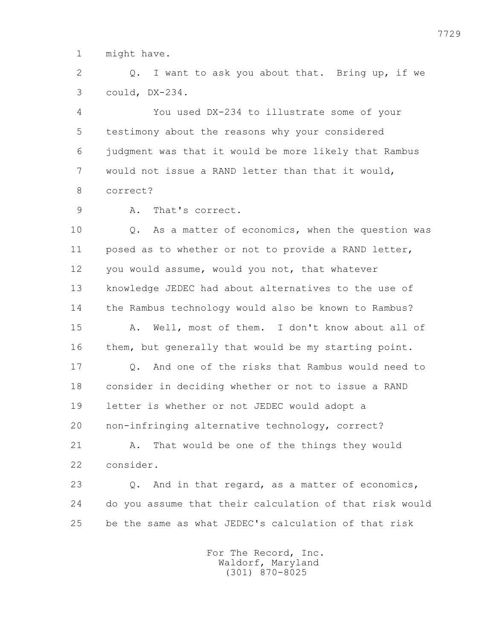1 might have.

 2 Q. I want to ask you about that. Bring up, if we 3 could, DX-234.

 4 You used DX-234 to illustrate some of your 5 testimony about the reasons why your considered 6 judgment was that it would be more likely that Rambus 7 would not issue a RAND letter than that it would, 8 correct?

9 A. That's correct.

 10 Q. As a matter of economics, when the question was 11 posed as to whether or not to provide a RAND letter, 12 you would assume, would you not, that whatever 13 knowledge JEDEC had about alternatives to the use of 14 the Rambus technology would also be known to Rambus? 15 A. Well, most of them. I don't know about all of 16 them, but generally that would be my starting point. 17 Q. And one of the risks that Rambus would need to 18 consider in deciding whether or not to issue a RAND 19 letter is whether or not JEDEC would adopt a 20 non-infringing alternative technology, correct? 21 A. That would be one of the things they would

22 consider.

 23 Q. And in that regard, as a matter of economics, 24 do you assume that their calculation of that risk would 25 be the same as what JEDEC's calculation of that risk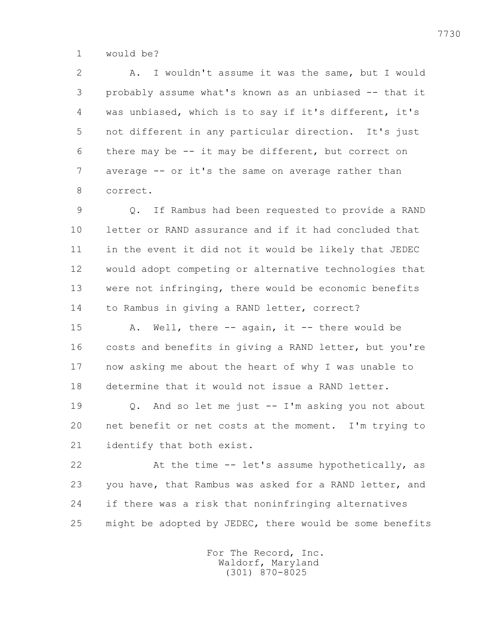1 would be?

 2 A. I wouldn't assume it was the same, but I would 3 probably assume what's known as an unbiased -- that it 4 was unbiased, which is to say if it's different, it's 5 not different in any particular direction. It's just 6 there may be -- it may be different, but correct on 7 average -- or it's the same on average rather than 8 correct.

 9 Q. If Rambus had been requested to provide a RAND 10 letter or RAND assurance and if it had concluded that 11 in the event it did not it would be likely that JEDEC 12 would adopt competing or alternative technologies that 13 were not infringing, there would be economic benefits 14 to Rambus in giving a RAND letter, correct?

15 A. Well, there -- again, it -- there would be 16 costs and benefits in giving a RAND letter, but you're 17 now asking me about the heart of why I was unable to 18 determine that it would not issue a RAND letter.

 19 Q. And so let me just -- I'm asking you not about 20 net benefit or net costs at the moment. I'm trying to 21 identify that both exist.

 22 At the time -- let's assume hypothetically, as 23 you have, that Rambus was asked for a RAND letter, and 24 if there was a risk that noninfringing alternatives 25 might be adopted by JEDEC, there would be some benefits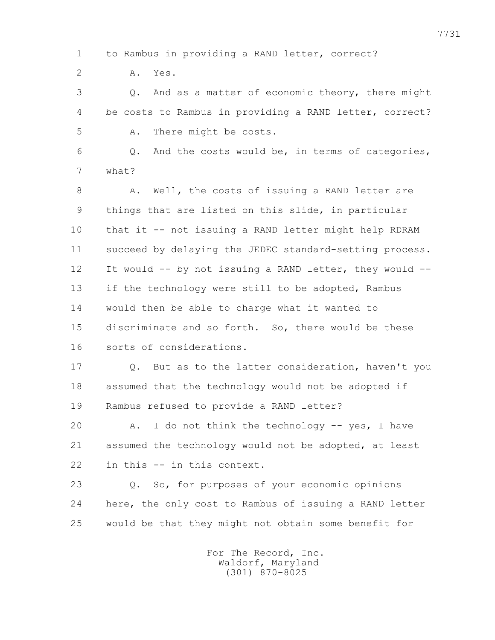1 to Rambus in providing a RAND letter, correct? 2 A. Yes. 3 Q. And as a matter of economic theory, there might 4 be costs to Rambus in providing a RAND letter, correct? 5 A. There might be costs. 6 Q. And the costs would be, in terms of categories, 7 what? 8 A. Well, the costs of issuing a RAND letter are 9 things that are listed on this slide, in particular 10 that it -- not issuing a RAND letter might help RDRAM 11 succeed by delaying the JEDEC standard-setting process. 12 It would -- by not issuing a RAND letter, they would -- 13 if the technology were still to be adopted, Rambus 14 would then be able to charge what it wanted to 15 discriminate and so forth. So, there would be these 16 sorts of considerations. 17 Q. But as to the latter consideration, haven't you 18 assumed that the technology would not be adopted if 19 Rambus refused to provide a RAND letter? 20 A. I do not think the technology -- yes, I have 21 assumed the technology would not be adopted, at least 22 in this -- in this context. 23 Q. So, for purposes of your economic opinions 24 here, the only cost to Rambus of issuing a RAND letter 25 would be that they might not obtain some benefit for

> For The Record, Inc. Waldorf, Maryland (301) 870-8025

7731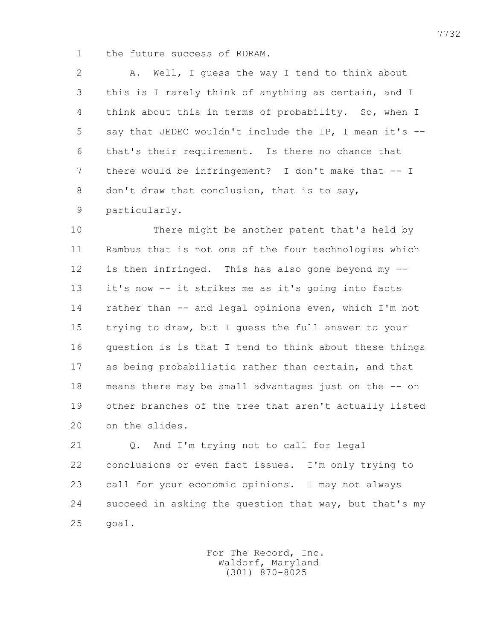1 the future success of RDRAM.

 2 A. Well, I guess the way I tend to think about 3 this is I rarely think of anything as certain, and I 4 think about this in terms of probability. So, when I 5 say that JEDEC wouldn't include the IP, I mean it's -- 6 that's their requirement. Is there no chance that 7 there would be infringement? I don't make that -- I 8 don't draw that conclusion, that is to say, 9 particularly.

 10 There might be another patent that's held by 11 Rambus that is not one of the four technologies which 12 is then infringed. This has also gone beyond my -- 13 it's now -- it strikes me as it's going into facts 14 rather than -- and legal opinions even, which I'm not 15 trying to draw, but I guess the full answer to your 16 question is is that I tend to think about these things 17 as being probabilistic rather than certain, and that 18 means there may be small advantages just on the -- on 19 other branches of the tree that aren't actually listed 20 on the slides.

21 0. And I'm trying not to call for legal 22 conclusions or even fact issues. I'm only trying to 23 call for your economic opinions. I may not always 24 succeed in asking the question that way, but that's my 25 goal.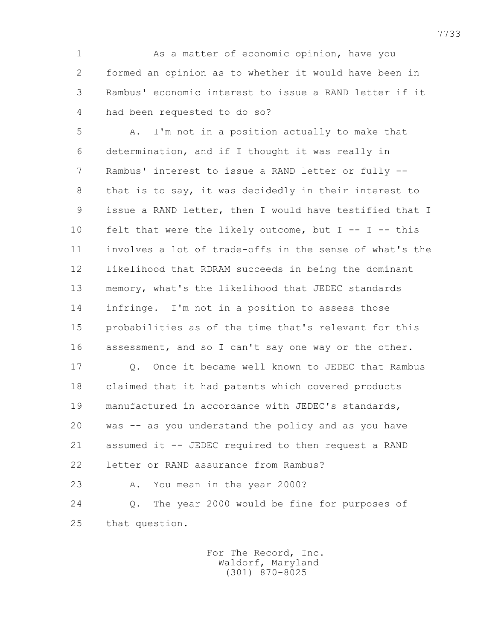1 As a matter of economic opinion, have you 2 formed an opinion as to whether it would have been in 3 Rambus' economic interest to issue a RAND letter if it 4 had been requested to do so?

 5 A. I'm not in a position actually to make that 6 determination, and if I thought it was really in 7 Rambus' interest to issue a RAND letter or fully -- 8 that is to say, it was decidedly in their interest to 9 issue a RAND letter, then I would have testified that I 10 felt that were the likely outcome, but I -- I -- this 11 involves a lot of trade-offs in the sense of what's the 12 likelihood that RDRAM succeeds in being the dominant 13 memory, what's the likelihood that JEDEC standards 14 infringe. I'm not in a position to assess those 15 probabilities as of the time that's relevant for this 16 assessment, and so I can't say one way or the other.

 17 Q. Once it became well known to JEDEC that Rambus 18 claimed that it had patents which covered products 19 manufactured in accordance with JEDEC's standards, 20 was -- as you understand the policy and as you have 21 assumed it -- JEDEC required to then request a RAND 22 letter or RAND assurance from Rambus?

 23 A. You mean in the year 2000? 24 Q. The year 2000 would be fine for purposes of 25 that question.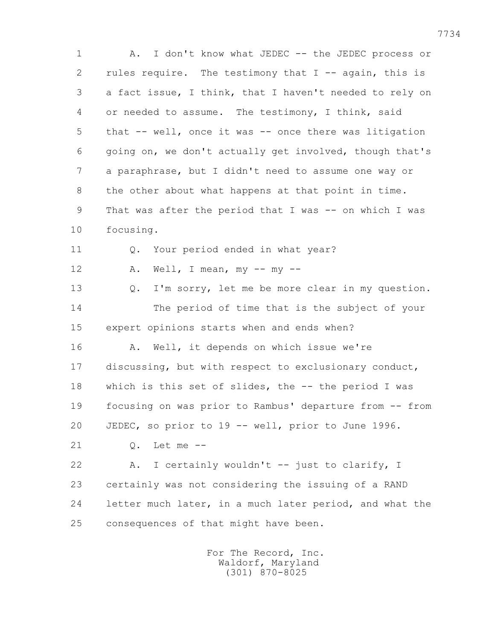1 A. I don't know what JEDEC -- the JEDEC process or 2 rules require. The testimony that  $I$  -- again, this is 3 a fact issue, I think, that I haven't needed to rely on 4 or needed to assume. The testimony, I think, said 5 that -- well, once it was -- once there was litigation 6 going on, we don't actually get involved, though that's 7 a paraphrase, but I didn't need to assume one way or 8 the other about what happens at that point in time. 9 That was after the period that I was -- on which I was 10 focusing. 11 Q. Your period ended in what year? 12  $A.$  Well, I mean,  $my --my --$  13 Q. I'm sorry, let me be more clear in my question. 14 The period of time that is the subject of your 15 expert opinions starts when and ends when? 16 A. Well, it depends on which issue we're 17 discussing, but with respect to exclusionary conduct, 18 which is this set of slides, the -- the period I was 19 focusing on was prior to Rambus' departure from -- from 20 JEDEC, so prior to 19 -- well, prior to June 1996. 21 Q. Let me -- 22 A. I certainly wouldn't -- just to clarify, I 23 certainly was not considering the issuing of a RAND 24 letter much later, in a much later period, and what the 25 consequences of that might have been.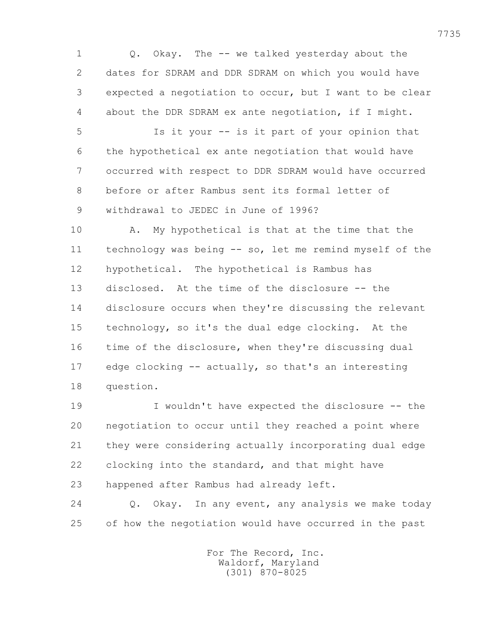1 Q. Okay. The -- we talked yesterday about the 2 dates for SDRAM and DDR SDRAM on which you would have 3 expected a negotiation to occur, but I want to be clear 4 about the DDR SDRAM ex ante negotiation, if I might.

 5 Is it your -- is it part of your opinion that 6 the hypothetical ex ante negotiation that would have 7 occurred with respect to DDR SDRAM would have occurred 8 before or after Rambus sent its formal letter of 9 withdrawal to JEDEC in June of 1996?

 10 A. My hypothetical is that at the time that the 11 technology was being -- so, let me remind myself of the 12 hypothetical. The hypothetical is Rambus has 13 disclosed. At the time of the disclosure -- the 14 disclosure occurs when they're discussing the relevant 15 technology, so it's the dual edge clocking. At the 16 time of the disclosure, when they're discussing dual 17 edge clocking -- actually, so that's an interesting 18 question.

 19 I wouldn't have expected the disclosure -- the 20 negotiation to occur until they reached a point where 21 they were considering actually incorporating dual edge 22 clocking into the standard, and that might have 23 happened after Rambus had already left.

 24 Q. Okay. In any event, any analysis we make today 25 of how the negotiation would have occurred in the past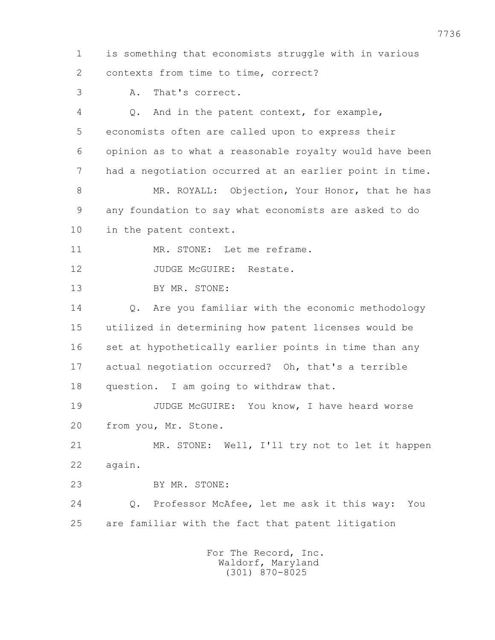1 is something that economists struggle with in various 2 contexts from time to time, correct?

3 A. That's correct.

 4 Q. And in the patent context, for example, 5 economists often are called upon to express their 6 opinion as to what a reasonable royalty would have been 7 had a negotiation occurred at an earlier point in time. 8 MR. ROYALL: Objection, Your Honor, that he has

 9 any foundation to say what economists are asked to do 10 in the patent context.

11 MR. STONE: Let me reframe.

12 JUDGE McGUIRE: Restate.

13 BY MR. STONE:

 14 Q. Are you familiar with the economic methodology 15 utilized in determining how patent licenses would be 16 set at hypothetically earlier points in time than any 17 actual negotiation occurred? Oh, that's a terrible 18 question. I am going to withdraw that.

 19 JUDGE McGUIRE: You know, I have heard worse 20 from you, Mr. Stone.

 21 MR. STONE: Well, I'll try not to let it happen 22 again.

23 BY MR. STONE:

 24 Q. Professor McAfee, let me ask it this way: You 25 are familiar with the fact that patent litigation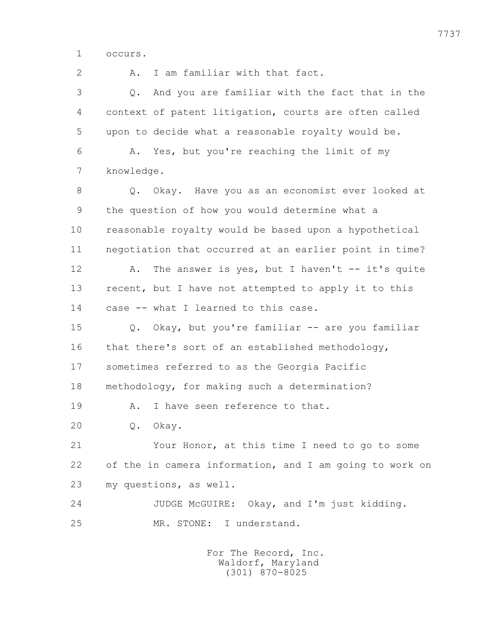1 occurs.

 2 A. I am familiar with that fact. 3 Q. And you are familiar with the fact that in the 4 context of patent litigation, courts are often called 5 upon to decide what a reasonable royalty would be. 6 A. Yes, but you're reaching the limit of my 7 knowledge. 8 Q. Okay. Have you as an economist ever looked at 9 the question of how you would determine what a 10 reasonable royalty would be based upon a hypothetical 11 negotiation that occurred at an earlier point in time? 12 A. The answer is yes, but I haven't -- it's quite 13 recent, but I have not attempted to apply it to this 14 case -- what I learned to this case. 15 Q. Okay, but you're familiar -- are you familiar 16 that there's sort of an established methodology, 17 sometimes referred to as the Georgia Pacific 18 methodology, for making such a determination? 19 A. I have seen reference to that. 20 Q. Okay. 21 Your Honor, at this time I need to go to some 22 of the in camera information, and I am going to work on 23 my questions, as well. 24 JUDGE McGUIRE: Okay, and I'm just kidding. 25 MR. STONE: I understand.

> For The Record, Inc. Waldorf, Maryland (301) 870-8025

7737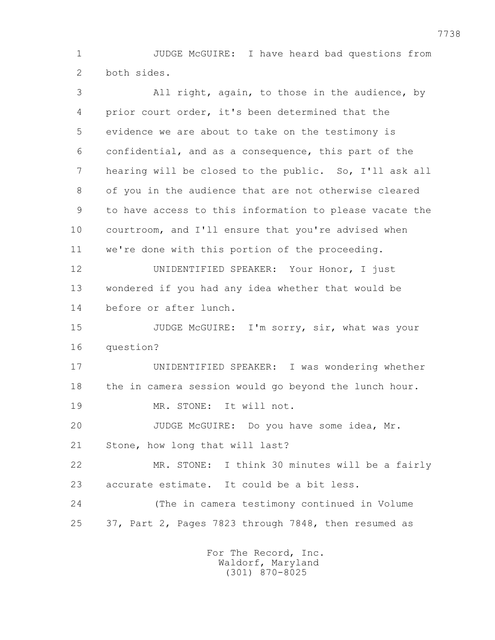1 JUDGE McGUIRE: I have heard bad questions from 2 both sides.

 3 All right, again, to those in the audience, by 4 prior court order, it's been determined that the 5 evidence we are about to take on the testimony is 6 confidential, and as a consequence, this part of the 7 hearing will be closed to the public. So, I'll ask all 8 of you in the audience that are not otherwise cleared 9 to have access to this information to please vacate the 10 courtroom, and I'll ensure that you're advised when 11 we're done with this portion of the proceeding. 12 UNIDENTIFIED SPEAKER: Your Honor, I just 13 wondered if you had any idea whether that would be 14 before or after lunch. 15 JUDGE McGUIRE: I'm sorry, sir, what was your 16 question? 17 UNIDENTIFIED SPEAKER: I was wondering whether 18 the in camera session would go beyond the lunch hour. 19 MR. STONE: It will not. 20 JUDGE McGUIRE: Do you have some idea, Mr. 21 Stone, how long that will last? 22 MR. STONE: I think 30 minutes will be a fairly 23 accurate estimate. It could be a bit less. 24 (The in camera testimony continued in Volume 25 37, Part 2, Pages 7823 through 7848, then resumed as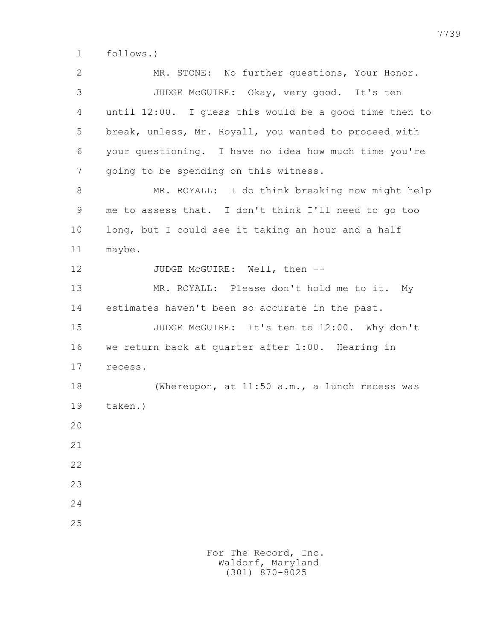1 follows.)

 2 MR. STONE: No further questions, Your Honor. 3 JUDGE McGUIRE: Okay, very good. It's ten 4 until 12:00. I guess this would be a good time then to 5 break, unless, Mr. Royall, you wanted to proceed with 6 your questioning. I have no idea how much time you're 7 going to be spending on this witness. 8 MR. ROYALL: I do think breaking now might help 9 me to assess that. I don't think I'll need to go too 10 long, but I could see it taking an hour and a half 11 maybe. 12 JUDGE McGUIRE: Well, then -- 13 MR. ROYALL: Please don't hold me to it. My 14 estimates haven't been so accurate in the past. 15 JUDGE McGUIRE: It's ten to 12:00. Why don't 16 we return back at quarter after 1:00. Hearing in 17 recess. 18 (Whereupon, at 11:50 a.m., a lunch recess was 19 taken.) 20 21 22 23 24 25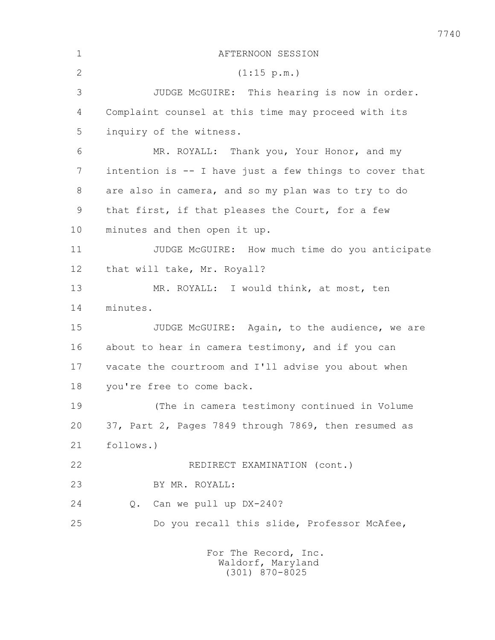| $\mathbf 1$  | AFTERNOON SESSION                                             |
|--------------|---------------------------------------------------------------|
| $\mathbf{2}$ | (1:15 p.m.)                                                   |
| 3            | JUDGE McGUIRE: This hearing is now in order.                  |
| 4            | Complaint counsel at this time may proceed with its           |
| 5            | inquiry of the witness.                                       |
| 6            | MR. ROYALL: Thank you, Your Honor, and my                     |
| 7            | intention is -- I have just a few things to cover that        |
| 8            | are also in camera, and so my plan was to try to do           |
| 9            | that first, if that pleases the Court, for a few              |
| 10           | minutes and then open it up.                                  |
| 11           | JUDGE McGUIRE: How much time do you anticipate                |
| 12           | that will take, Mr. Royall?                                   |
| 13           | MR. ROYALL: I would think, at most, ten                       |
| 14           | minutes.                                                      |
| 15           | JUDGE McGUIRE: Again, to the audience, we are                 |
| 16           | about to hear in camera testimony, and if you can             |
| 17           | vacate the courtroom and I'll advise you about when           |
| 18           | you're free to come back.                                     |
| 19           | (The in camera testimony continued in Volume                  |
| 20           | 37, Part 2, Pages 7849 through 7869, then resumed as          |
| 21           | follows.)                                                     |
| 22           | REDIRECT EXAMINATION (cont.)                                  |
| 23           | BY MR. ROYALL:                                                |
| 24           | Can we pull up DX-240?<br>Q.                                  |
| 25           | Do you recall this slide, Professor McAfee,                   |
|              | For The Record, Inc.<br>Waldorf, Maryland<br>$(301)$ 870-8025 |

7740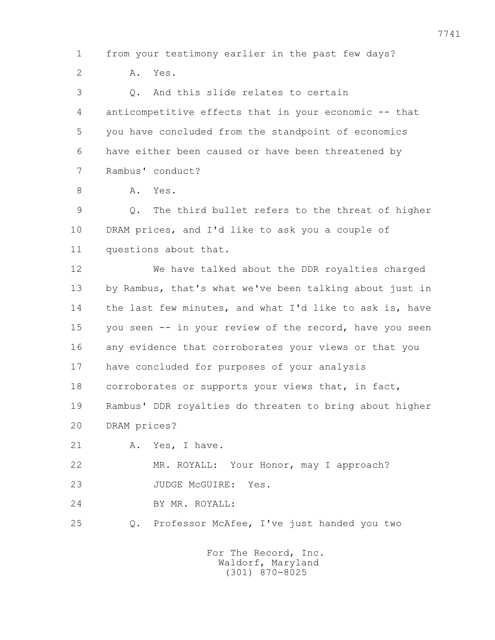1 from your testimony earlier in the past few days? 2 A. Yes. 3 Q. And this slide relates to certain 4 anticompetitive effects that in your economic -- that 5 you have concluded from the standpoint of economics 6 have either been caused or have been threatened by 7 Rambus' conduct? 8 A. Yes. 9 Q. The third bullet refers to the threat of higher 10 DRAM prices, and I'd like to ask you a couple of 11 questions about that. 12 We have talked about the DDR royalties charged 13 by Rambus, that's what we've been talking about just in 14 the last few minutes, and what I'd like to ask is, have 15 you seen -- in your review of the record, have you seen 16 any evidence that corroborates your views or that you 17 have concluded for purposes of your analysis 18 corroborates or supports your views that, in fact, 19 Rambus' DDR royalties do threaten to bring about higher 20 DRAM prices? 21 A. Yes, I have. 22 MR. ROYALL: Your Honor, may I approach? 23 JUDGE McGUIRE: Yes. 24 BY MR. ROYALL: 25 Q. Professor McAfee, I've just handed you two For The Record, Inc. Waldorf, Maryland (301) 870-8025

7741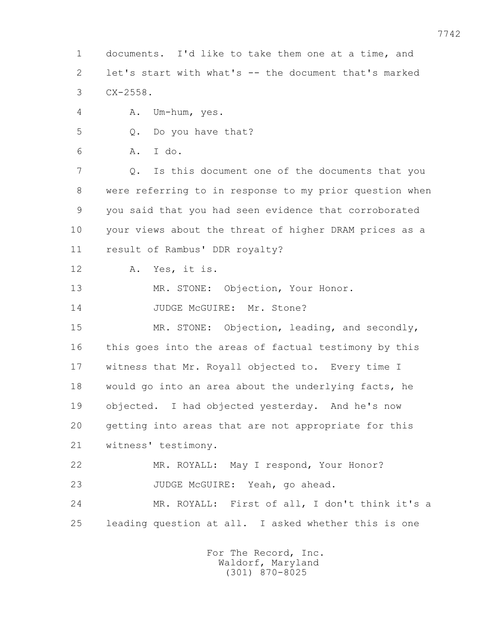1 documents. I'd like to take them one at a time, and 2 let's start with what's -- the document that's marked 3 CX-2558.

4 A. Um-hum, yes.

5 Q. Do you have that?

6 A. I do.

 7 Q. Is this document one of the documents that you 8 were referring to in response to my prior question when 9 you said that you had seen evidence that corroborated 10 your views about the threat of higher DRAM prices as a 11 result of Rambus' DDR royalty?

12 A. Yes, it is.

13 MR. STONE: Objection, Your Honor.

14 JUDGE McGUIRE: Mr. Stone?

 15 MR. STONE: Objection, leading, and secondly, 16 this goes into the areas of factual testimony by this 17 witness that Mr. Royall objected to. Every time I 18 would go into an area about the underlying facts, he 19 objected. I had objected yesterday. And he's now 20 getting into areas that are not appropriate for this 21 witness' testimony.

 22 MR. ROYALL: May I respond, Your Honor? 23 JUDGE McGUIRE: Yeah, go ahead.

 24 MR. ROYALL: First of all, I don't think it's a 25 leading question at all. I asked whether this is one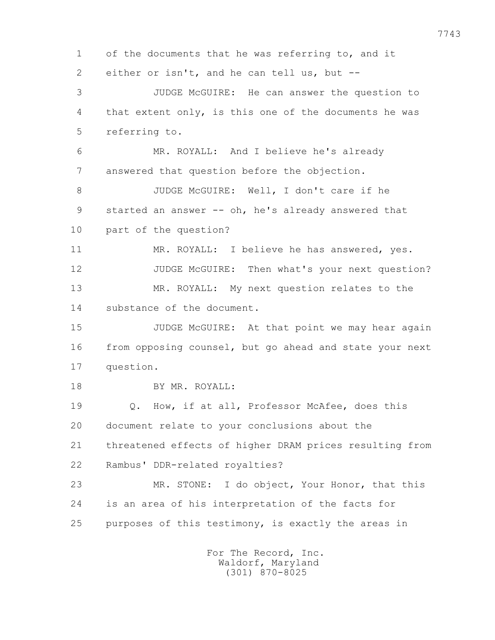1 of the documents that he was referring to, and it 2 either or isn't, and he can tell us, but -- 3 JUDGE McGUIRE: He can answer the question to 4 that extent only, is this one of the documents he was 5 referring to. 6 MR. ROYALL: And I believe he's already 7 answered that question before the objection. 8 JUDGE McGUIRE: Well, I don't care if he 9 started an answer -- oh, he's already answered that 10 part of the question? 11 MR. ROYALL: I believe he has answered, yes. 12 JUDGE McGUIRE: Then what's your next question? 13 MR. ROYALL: My next question relates to the 14 substance of the document. 15 JUDGE McGUIRE: At that point we may hear again 16 from opposing counsel, but go ahead and state your next 17 question. 18 BY MR. ROYALL: 19 Q. How, if at all, Professor McAfee, does this 20 document relate to your conclusions about the 21 threatened effects of higher DRAM prices resulting from 22 Rambus' DDR-related royalties? 23 MR. STONE: I do object, Your Honor, that this 24 is an area of his interpretation of the facts for 25 purposes of this testimony, is exactly the areas in For The Record, Inc. Waldorf, Maryland

(301) 870-8025

7743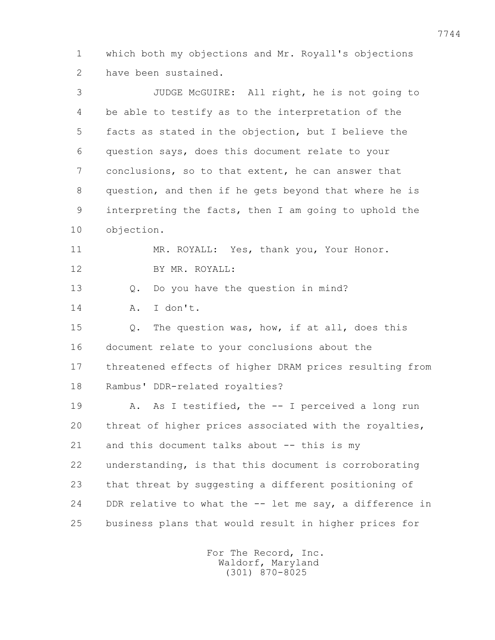1 which both my objections and Mr. Royall's objections 2 have been sustained.

 3 JUDGE McGUIRE: All right, he is not going to 4 be able to testify as to the interpretation of the 5 facts as stated in the objection, but I believe the 6 question says, does this document relate to your 7 conclusions, so to that extent, he can answer that 8 question, and then if he gets beyond that where he is 9 interpreting the facts, then I am going to uphold the 10 objection. 11 MR. ROYALL: Yes, thank you, Your Honor. 12 BY MR. ROYALL: 13 Q. Do you have the question in mind? 14 A. I don't. 15 Q. The question was, how, if at all, does this 16 document relate to your conclusions about the 17 threatened effects of higher DRAM prices resulting from 18 Rambus' DDR-related royalties? 19 A. As I testified, the -- I perceived a long run 20 threat of higher prices associated with the royalties, 21 and this document talks about -- this is my 22 understanding, is that this document is corroborating 23 that threat by suggesting a different positioning of 24 DDR relative to what the -- let me say, a difference in

> For The Record, Inc. Waldorf, Maryland (301) 870-8025

25 business plans that would result in higher prices for

7744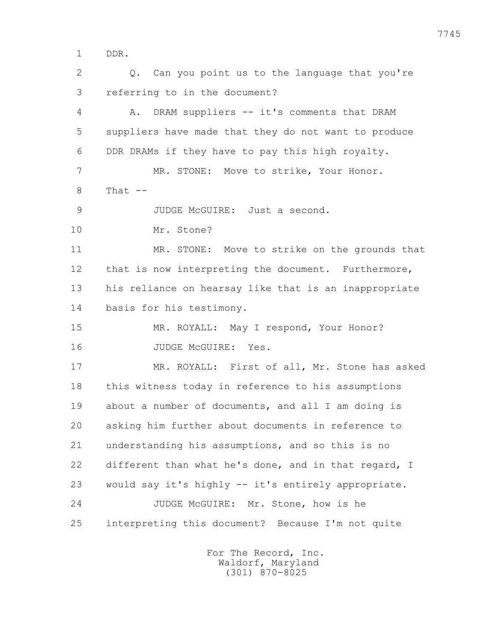1 DDR.

2 0. Can you point us to the language that you're 3 referring to in the document? 4 A. DRAM suppliers -- it's comments that DRAM 5 suppliers have made that they do not want to produce 6 DDR DRAMs if they have to pay this high royalty. 7 MR. STONE: Move to strike, Your Honor.  $8$  That  $-$  9 JUDGE McGUIRE: Just a second. 10 Mr. Stone? 11 MR. STONE: Move to strike on the grounds that 12 that is now interpreting the document. Furthermore, 13 his reliance on hearsay like that is an inappropriate 14 basis for his testimony. 15 MR. ROYALL: May I respond, Your Honor? 16 JUDGE McGUIRE: Yes. 17 MR. ROYALL: First of all, Mr. Stone has asked 18 this witness today in reference to his assumptions 19 about a number of documents, and all I am doing is 20 asking him further about documents in reference to 21 understanding his assumptions, and so this is no 22 different than what he's done, and in that regard, I 23 would say it's highly -- it's entirely appropriate. 24 JUDGE McGUIRE: Mr. Stone, how is he 25 interpreting this document? Because I'm not quite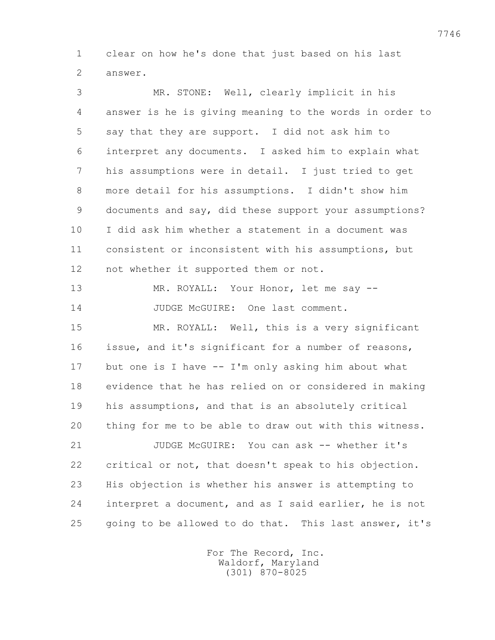1 clear on how he's done that just based on his last 2 answer.

 3 MR. STONE: Well, clearly implicit in his 4 answer is he is giving meaning to the words in order to 5 say that they are support. I did not ask him to 6 interpret any documents. I asked him to explain what 7 his assumptions were in detail. I just tried to get 8 more detail for his assumptions. I didn't show him 9 documents and say, did these support your assumptions? 10 I did ask him whether a statement in a document was 11 consistent or inconsistent with his assumptions, but 12 not whether it supported them or not.

13 MR. ROYALL: Your Honor, let me say --14 JUDGE McGUIRE: One last comment.

 15 MR. ROYALL: Well, this is a very significant 16 issue, and it's significant for a number of reasons, 17 but one is I have -- I'm only asking him about what 18 evidence that he has relied on or considered in making 19 his assumptions, and that is an absolutely critical 20 thing for me to be able to draw out with this witness.

 21 JUDGE McGUIRE: You can ask -- whether it's 22 critical or not, that doesn't speak to his objection. 23 His objection is whether his answer is attempting to 24 interpret a document, and as I said earlier, he is not 25 going to be allowed to do that. This last answer, it's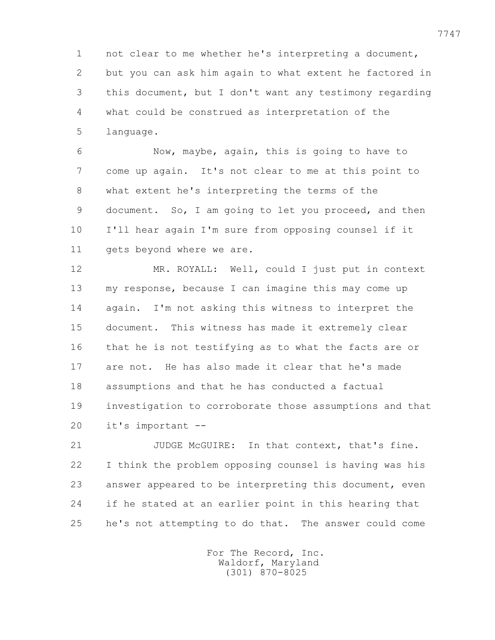1 not clear to me whether he's interpreting a document, 2 but you can ask him again to what extent he factored in 3 this document, but I don't want any testimony regarding 4 what could be construed as interpretation of the 5 language.

 6 Now, maybe, again, this is going to have to 7 come up again. It's not clear to me at this point to 8 what extent he's interpreting the terms of the 9 document. So, I am going to let you proceed, and then 10 I'll hear again I'm sure from opposing counsel if it 11 gets beyond where we are.

 12 MR. ROYALL: Well, could I just put in context 13 my response, because I can imagine this may come up 14 again. I'm not asking this witness to interpret the 15 document. This witness has made it extremely clear 16 that he is not testifying as to what the facts are or 17 are not. He has also made it clear that he's made 18 assumptions and that he has conducted a factual 19 investigation to corroborate those assumptions and that 20 it's important --

 21 JUDGE McGUIRE: In that context, that's fine. 22 I think the problem opposing counsel is having was his 23 answer appeared to be interpreting this document, even 24 if he stated at an earlier point in this hearing that 25 he's not attempting to do that. The answer could come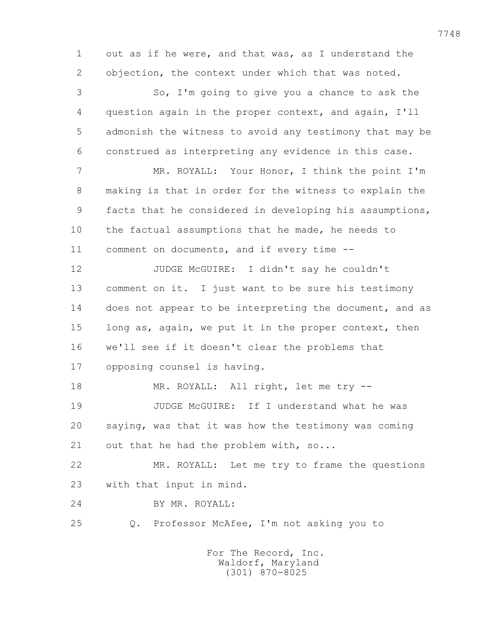1 out as if he were, and that was, as I understand the 2 objection, the context under which that was noted.

 3 So, I'm going to give you a chance to ask the 4 question again in the proper context, and again, I'll 5 admonish the witness to avoid any testimony that may be 6 construed as interpreting any evidence in this case.

 7 MR. ROYALL: Your Honor, I think the point I'm 8 making is that in order for the witness to explain the 9 facts that he considered in developing his assumptions, 10 the factual assumptions that he made, he needs to 11 comment on documents, and if every time --

 12 JUDGE McGUIRE: I didn't say he couldn't 13 comment on it. I just want to be sure his testimony 14 does not appear to be interpreting the document, and as 15 long as, again, we put it in the proper context, then 16 we'll see if it doesn't clear the problems that 17 opposing counsel is having.

18 MR. ROYALL: All right, let me try --19 JUDGE McGUIRE: If I understand what he was 20 saying, was that it was how the testimony was coming 21 out that he had the problem with, so...

 22 MR. ROYALL: Let me try to frame the questions 23 with that input in mind.

24 BY MR. ROYALL:

25 Q. Professor McAfee, I'm not asking you to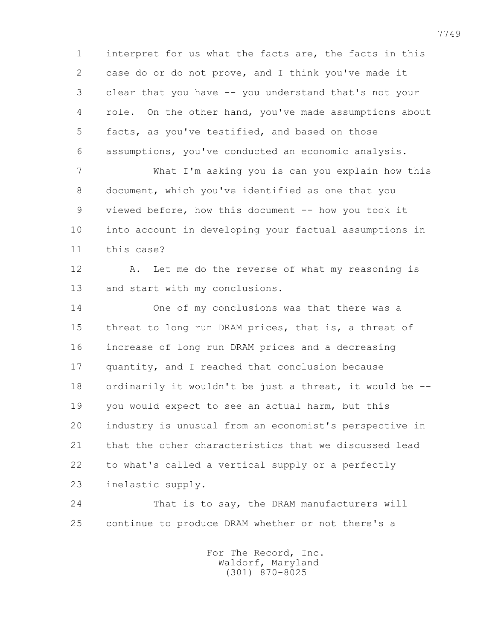1 interpret for us what the facts are, the facts in this 2 case do or do not prove, and I think you've made it 3 clear that you have -- you understand that's not your 4 role. On the other hand, you've made assumptions about 5 facts, as you've testified, and based on those 6 assumptions, you've conducted an economic analysis.

 7 What I'm asking you is can you explain how this 8 document, which you've identified as one that you 9 viewed before, how this document -- how you took it 10 into account in developing your factual assumptions in 11 this case?

12 A. Let me do the reverse of what my reasoning is 13 and start with my conclusions.

 14 One of my conclusions was that there was a 15 threat to long run DRAM prices, that is, a threat of 16 increase of long run DRAM prices and a decreasing 17 quantity, and I reached that conclusion because 18 ordinarily it wouldn't be just a threat, it would be -- 19 you would expect to see an actual harm, but this 20 industry is unusual from an economist's perspective in 21 that the other characteristics that we discussed lead 22 to what's called a vertical supply or a perfectly 23 inelastic supply.

 24 That is to say, the DRAM manufacturers will 25 continue to produce DRAM whether or not there's a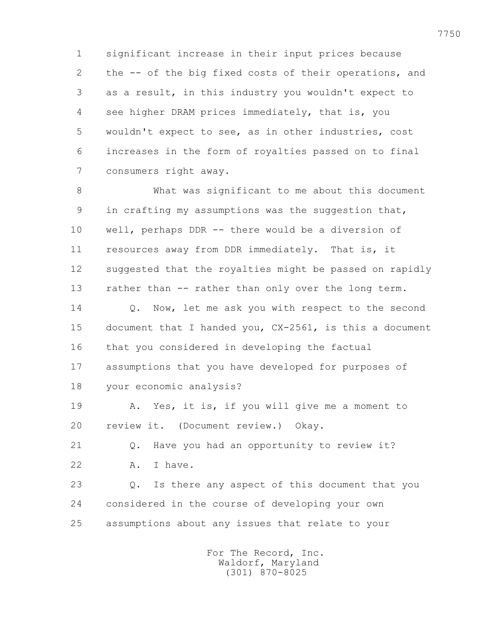1 significant increase in their input prices because 2 the -- of the big fixed costs of their operations, and 3 as a result, in this industry you wouldn't expect to 4 see higher DRAM prices immediately, that is, you 5 wouldn't expect to see, as in other industries, cost 6 increases in the form of royalties passed on to final 7 consumers right away.

 8 What was significant to me about this document 9 in crafting my assumptions was the suggestion that, 10 well, perhaps DDR -- there would be a diversion of 11 resources away from DDR immediately. That is, it 12 suggested that the royalties might be passed on rapidly 13 rather than -- rather than only over the long term. 14 Q. Now, let me ask you with respect to the second 15 document that I handed you, CX-2561, is this a document 16 that you considered in developing the factual

 17 assumptions that you have developed for purposes of 18 your economic analysis?

 19 A. Yes, it is, if you will give me a moment to 20 review it. (Document review.) Okay.

 21 Q. Have you had an opportunity to review it? 22 A. I have.

 23 Q. Is there any aspect of this document that you 24 considered in the course of developing your own 25 assumptions about any issues that relate to your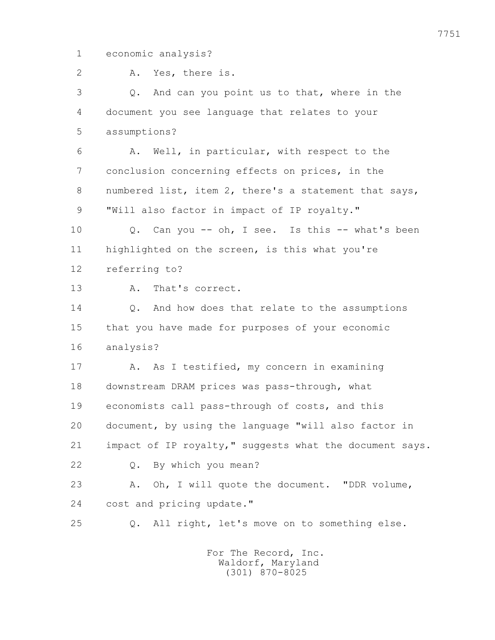1 economic analysis?

 2 A. Yes, there is. 3 Q. And can you point us to that, where in the 4 document you see language that relates to your 5 assumptions? 6 A. Well, in particular, with respect to the 7 conclusion concerning effects on prices, in the 8 numbered list, item 2, there's a statement that says, 9 **"Will also factor in impact of IP royalty."**  10 Q. Can you -- oh, I see. Is this -- what's been 11 highlighted on the screen, is this what you're 12 referring to? 13 A. That's correct. 14 Q. And how does that relate to the assumptions 15 that you have made for purposes of your economic 16 analysis? 17 A. As I testified, my concern in examining 18 downstream DRAM prices was pass-through, what 19 economists call pass-through of costs, and this 20 document, by using the language "will also factor in 21 impact of IP royalty," suggests what the document says. 22 Q. By which you mean? 23 A. Oh, I will quote the document. "DDR volume, 24 cost and pricing update." 25 Q. All right, let's move on to something else.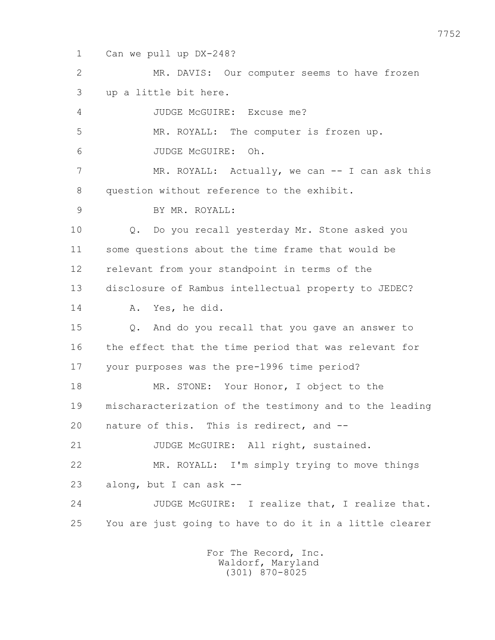1 Can we pull up DX-248?

 2 MR. DAVIS: Our computer seems to have frozen 3 up a little bit here. 4 JUDGE McGUIRE: Excuse me? 5 MR. ROYALL: The computer is frozen up. 6 JUDGE McGUIRE: Oh. 7 MR. ROYALL: Actually, we can -- I can ask this 8 question without reference to the exhibit. 9 BY MR. ROYALL: 10 Q. Do you recall yesterday Mr. Stone asked you 11 some questions about the time frame that would be 12 relevant from your standpoint in terms of the 13 disclosure of Rambus intellectual property to JEDEC? 14 A. Yes, he did. 15 Q. And do you recall that you gave an answer to 16 the effect that the time period that was relevant for 17 your purposes was the pre-1996 time period? 18 MR. STONE: Your Honor, I object to the 19 mischaracterization of the testimony and to the leading 20 nature of this. This is redirect, and -- 21 JUDGE McGUIRE: All right, sustained. 22 MR. ROYALL: I'm simply trying to move things 23 along, but I can ask -- 24 JUDGE McGUIRE: I realize that, I realize that. 25 You are just going to have to do it in a little clearer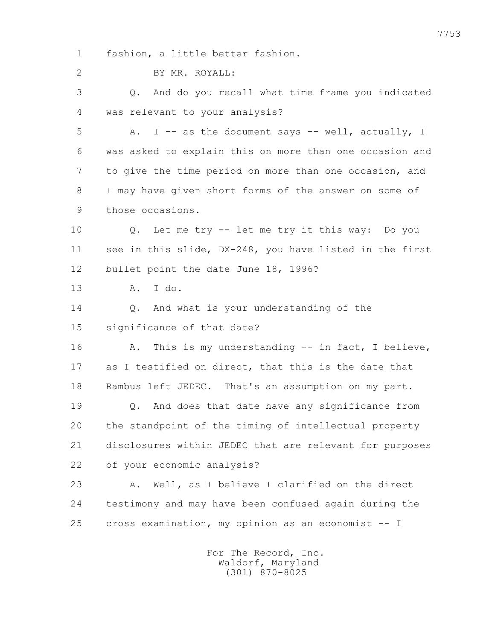1 fashion, a little better fashion.

2 BY MR. ROYALL:

 3 Q. And do you recall what time frame you indicated 4 was relevant to your analysis?

5 A. I -- as the document says -- well, actually, I 6 was asked to explain this on more than one occasion and 7 to give the time period on more than one occasion, and 8 I may have given short forms of the answer on some of 9 those occasions.

 10 Q. Let me try -- let me try it this way: Do you 11 see in this slide, DX-248, you have listed in the first 12 bullet point the date June 18, 1996?

13 A. I do.

 14 Q. And what is your understanding of the 15 significance of that date?

16 A. This is my understanding -- in fact, I believe, 17 as I testified on direct, that this is the date that 18 Rambus left JEDEC. That's an assumption on my part.

 19 Q. And does that date have any significance from 20 the standpoint of the timing of intellectual property 21 disclosures within JEDEC that are relevant for purposes 22 of your economic analysis?

 23 A. Well, as I believe I clarified on the direct 24 testimony and may have been confused again during the 25 cross examination, my opinion as an economist -- I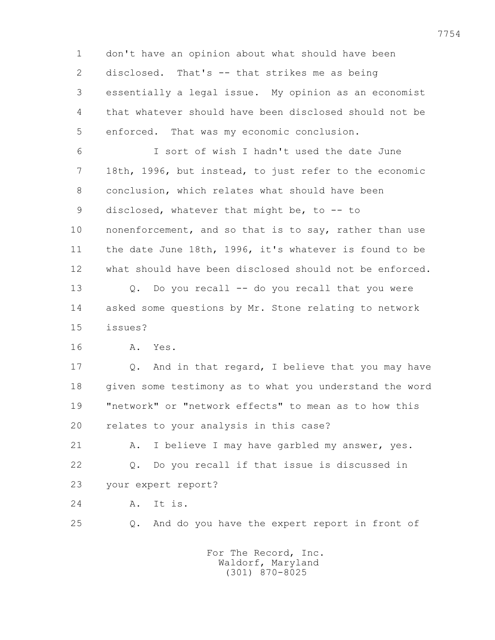1 don't have an opinion about what should have been 2 disclosed. That's -- that strikes me as being 3 essentially a legal issue. My opinion as an economist 4 that whatever should have been disclosed should not be 5 enforced. That was my economic conclusion. 6 I sort of wish I hadn't used the date June 7 18th, 1996, but instead, to just refer to the economic 8 conclusion, which relates what should have been 9 disclosed, whatever that might be, to -- to 10 nonenforcement, and so that is to say, rather than use 11 the date June 18th, 1996, it's whatever is found to be 12 what should have been disclosed should not be enforced. 13 Q. Do you recall -- do you recall that you were 14 asked some questions by Mr. Stone relating to network

15 issues?

16 A. Yes.

 17 Q. And in that regard, I believe that you may have 18 given some testimony as to what you understand the word 19 "network" or "network effects" to mean as to how this 20 relates to your analysis in this case?

 21 A. I believe I may have garbled my answer, yes. 22 Q. Do you recall if that issue is discussed in 23 your expert report?

24 A. It is.

25 Q. And do you have the expert report in front of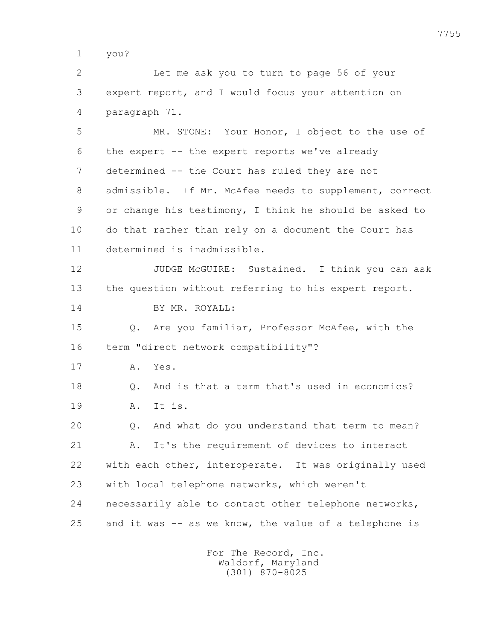1 you?

 2 Let me ask you to turn to page 56 of your 3 expert report, and I would focus your attention on 4 paragraph 71.

 5 MR. STONE: Your Honor, I object to the use of 6 the expert -- the expert reports we've already 7 determined -- the Court has ruled they are not 8 admissible. If Mr. McAfee needs to supplement, correct 9 or change his testimony, I think he should be asked to 10 do that rather than rely on a document the Court has 11 determined is inadmissible.

 12 JUDGE McGUIRE: Sustained. I think you can ask 13 the question without referring to his expert report. 14 BY MR. ROYALL:

 15 Q. Are you familiar, Professor McAfee, with the 16 term "direct network compatibility"?

17 A. Yes.

 18 Q. And is that a term that's used in economics? 19 A. It is.

 20 Q. And what do you understand that term to mean? 21 A. It's the requirement of devices to interact 22 with each other, interoperate. It was originally used 23 with local telephone networks, which weren't 24 necessarily able to contact other telephone networks, 25 and it was -- as we know, the value of a telephone is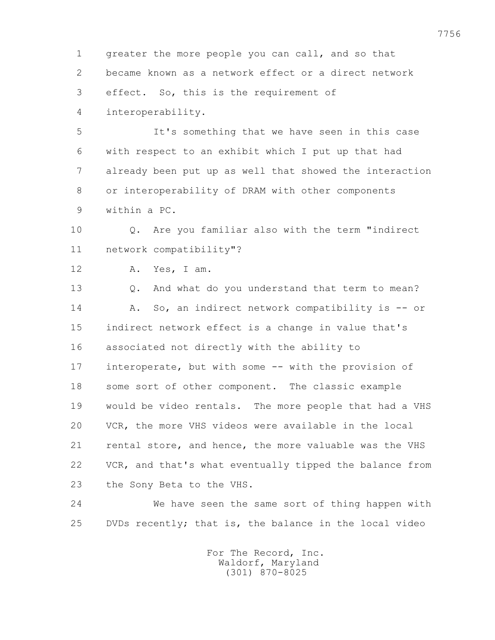1 greater the more people you can call, and so that 2 became known as a network effect or a direct network 3 effect. So, this is the requirement of

4 interoperability.

 5 It's something that we have seen in this case 6 with respect to an exhibit which I put up that had 7 already been put up as well that showed the interaction 8 or interoperability of DRAM with other components 9 within a PC.

 10 Q. Are you familiar also with the term "indirect 11 network compatibility"?

12 A. Yes, I am.

 13 Q. And what do you understand that term to mean? 14 A. So, an indirect network compatibility is -- or 15 indirect network effect is a change in value that's 16 associated not directly with the ability to 17 interoperate, but with some -- with the provision of 18 some sort of other component. The classic example 19 would be video rentals. The more people that had a VHS 20 VCR, the more VHS videos were available in the local 21 rental store, and hence, the more valuable was the VHS 22 VCR, and that's what eventually tipped the balance from 23 the Sony Beta to the VHS.

 24 We have seen the same sort of thing happen with 25 DVDs recently; that is, the balance in the local video

> For The Record, Inc. Waldorf, Maryland (301) 870-8025

7756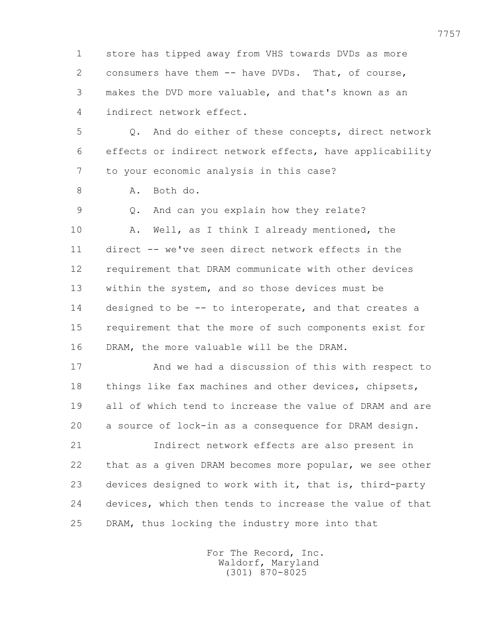1 store has tipped away from VHS towards DVDs as more 2 consumers have them -- have DVDs. That, of course, 3 makes the DVD more valuable, and that's known as an 4 indirect network effect.

 5 Q. And do either of these concepts, direct network 6 effects or indirect network effects, have applicability 7 to your economic analysis in this case?

8 A. Both do.

 9 Q. And can you explain how they relate? 10 A. Well, as I think I already mentioned, the 11 direct -- we've seen direct network effects in the 12 requirement that DRAM communicate with other devices 13 within the system, and so those devices must be 14 designed to be -- to interoperate, and that creates a 15 requirement that the more of such components exist for 16 DRAM, the more valuable will be the DRAM.

 17 And we had a discussion of this with respect to 18 things like fax machines and other devices, chipsets, 19 all of which tend to increase the value of DRAM and are 20 a source of lock-in as a consequence for DRAM design.

 21 Indirect network effects are also present in 22 that as a given DRAM becomes more popular, we see other 23 devices designed to work with it, that is, third-party 24 devices, which then tends to increase the value of that 25 DRAM, thus locking the industry more into that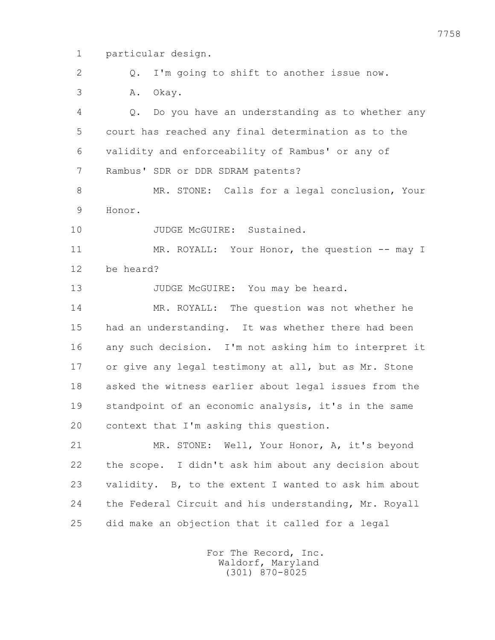1 particular design.

2 Q. I'm going to shift to another issue now.

3 A. Okay.

 4 Q. Do you have an understanding as to whether any 5 court has reached any final determination as to the 6 validity and enforceability of Rambus' or any of 7 Rambus' SDR or DDR SDRAM patents?

 8 MR. STONE: Calls for a legal conclusion, Your 9 Honor.

10 JUDGE McGUIRE: Sustained.

11 MR. ROYALL: Your Honor, the question -- may I 12 be heard?

13 JUDGE McGUIRE: You may be heard.

 14 MR. ROYALL: The question was not whether he 15 had an understanding. It was whether there had been 16 any such decision. I'm not asking him to interpret it 17 or give any legal testimony at all, but as Mr. Stone 18 asked the witness earlier about legal issues from the 19 standpoint of an economic analysis, it's in the same 20 context that I'm asking this question.

 21 MR. STONE: Well, Your Honor, A, it's beyond 22 the scope. I didn't ask him about any decision about 23 validity. B, to the extent I wanted to ask him about 24 the Federal Circuit and his understanding, Mr. Royall 25 did make an objection that it called for a legal

> For The Record, Inc. Waldorf, Maryland (301) 870-8025

7758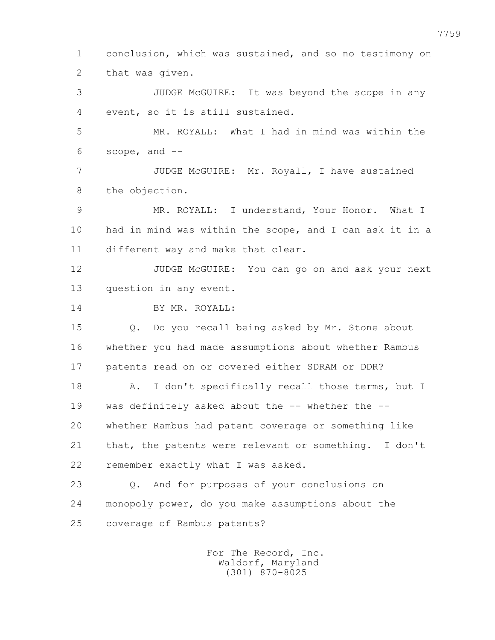1 conclusion, which was sustained, and so no testimony on 2 that was given.

 3 JUDGE McGUIRE: It was beyond the scope in any 4 event, so it is still sustained.

 5 MR. ROYALL: What I had in mind was within the 6 scope, and --

 7 JUDGE McGUIRE: Mr. Royall, I have sustained 8 the objection.

 9 MR. ROYALL: I understand, Your Honor. What I 10 had in mind was within the scope, and I can ask it in a 11 different way and make that clear.

12 JUDGE McGUIRE: You can go on and ask your next 13 question in any event.

14 BY MR. ROYALL:

 15 Q. Do you recall being asked by Mr. Stone about 16 whether you had made assumptions about whether Rambus 17 patents read on or covered either SDRAM or DDR?

18 A. I don't specifically recall those terms, but I 19 was definitely asked about the -- whether the -- 20 whether Rambus had patent coverage or something like 21 that, the patents were relevant or something. I don't 22 remember exactly what I was asked.

 23 Q. And for purposes of your conclusions on 24 monopoly power, do you make assumptions about the 25 coverage of Rambus patents?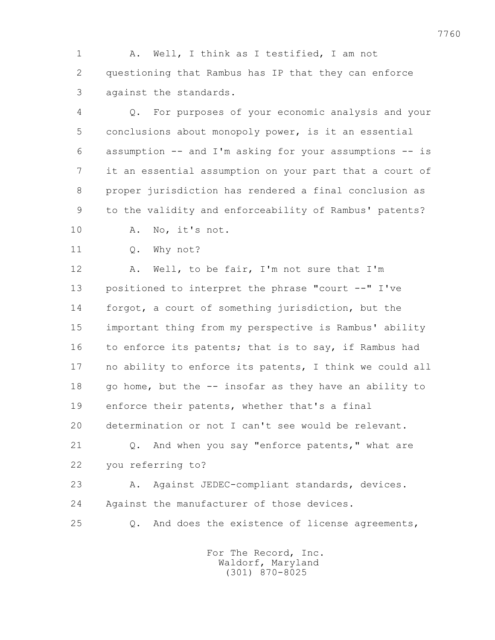1 A. Well, I think as I testified, I am not 2 questioning that Rambus has IP that they can enforce 3 against the standards.

 4 Q. For purposes of your economic analysis and your 5 conclusions about monopoly power, is it an essential 6 assumption -- and I'm asking for your assumptions -- is 7 it an essential assumption on your part that a court of 8 proper jurisdiction has rendered a final conclusion as 9 to the validity and enforceability of Rambus' patents?

- 10 A. No, it's not.
- 11 Q. Why not?

12 A. Well, to be fair, I'm not sure that I'm 13 positioned to interpret the phrase "court --" I've 14 forgot, a court of something jurisdiction, but the 15 important thing from my perspective is Rambus' ability 16 to enforce its patents; that is to say, if Rambus had 17 no ability to enforce its patents, I think we could all 18 go home, but the -- insofar as they have an ability to 19 enforce their patents, whether that's a final 20 determination or not I can't see would be relevant. 21 0. And when you say "enforce patents," what are

22 you referring to?

23 A. Against JEDEC-compliant standards, devices. 24 Against the manufacturer of those devices.

- 
- 25 Q. And does the existence of license agreements,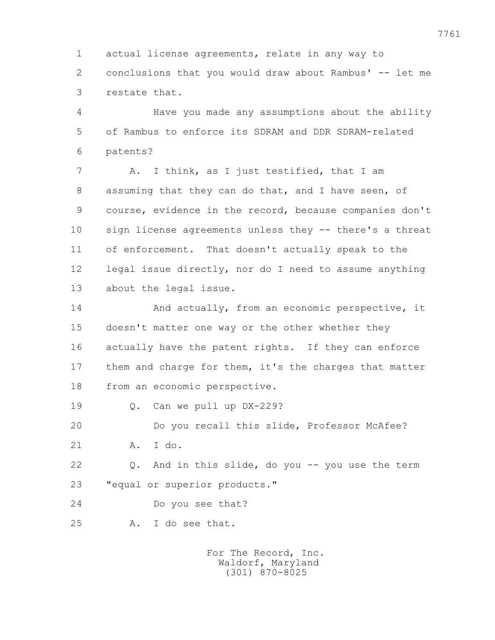1 actual license agreements, relate in any way to 2 conclusions that you would draw about Rambus' -- let me 3 restate that.

 4 Have you made any assumptions about the ability 5 of Rambus to enforce its SDRAM and DDR SDRAM-related 6 patents?

7 A. I think, as I just testified, that I am 8 assuming that they can do that, and I have seen, of 9 course, evidence in the record, because companies don't 10 sign license agreements unless they -- there's a threat 11 of enforcement. That doesn't actually speak to the 12 legal issue directly, nor do I need to assume anything 13 about the legal issue.

 14 And actually, from an economic perspective, it 15 doesn't matter one way or the other whether they 16 actually have the patent rights. If they can enforce 17 them and charge for them, it's the charges that matter 18 from an economic perspective.

19 Q. Can we pull up DX-229?

 20 Do you recall this slide, Professor McAfee? 21 A. I do.

 22 Q. And in this slide, do you -- you use the term 23 "equal or superior products."

- 24 Do you see that?
- 25 A. I do see that.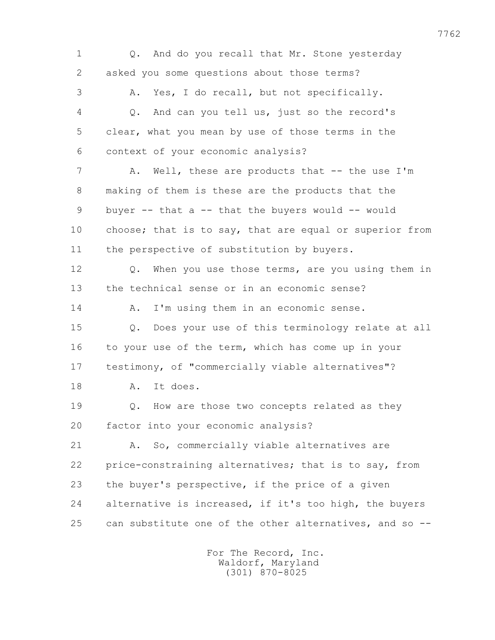1 Q. And do you recall that Mr. Stone yesterday 2 asked you some questions about those terms? 3 A. Yes, I do recall, but not specifically. 4 Q. And can you tell us, just so the record's 5 clear, what you mean by use of those terms in the 6 context of your economic analysis? 7 A. Well, these are products that -- the use I'm 8 making of them is these are the products that the 9 buyer -- that a -- that the buyers would -- would 10 choose; that is to say, that are equal or superior from 11 the perspective of substitution by buyers. 12 Q. When you use those terms, are you using them in 13 the technical sense or in an economic sense? 14 A. I'm using them in an economic sense. 15 Q. Does your use of this terminology relate at all 16 to your use of the term, which has come up in your 17 testimony, of "commercially viable alternatives"? 18 A. It does. 19 **Q.** How are those two concepts related as they 20 factor into your economic analysis? 21 A. So, commercially viable alternatives are 22 price-constraining alternatives; that is to say, from 23 the buyer's perspective, if the price of a given 24 alternative is increased, if it's too high, the buyers 25 can substitute one of the other alternatives, and so --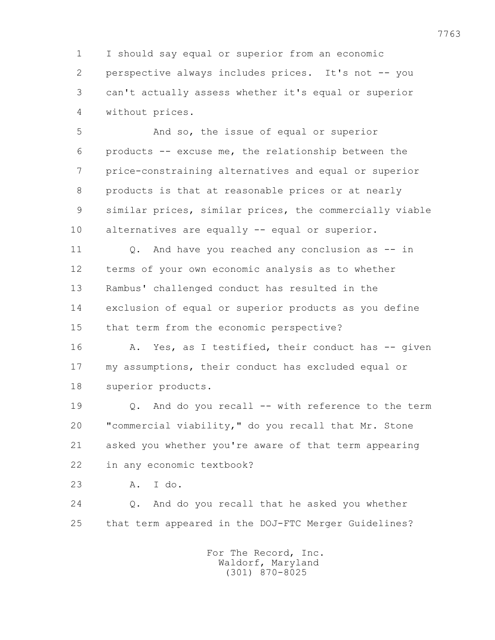1 I should say equal or superior from an economic 2 perspective always includes prices. It's not -- you 3 can't actually assess whether it's equal or superior 4 without prices.

 5 And so, the issue of equal or superior 6 products -- excuse me, the relationship between the 7 price-constraining alternatives and equal or superior 8 products is that at reasonable prices or at nearly 9 similar prices, similar prices, the commercially viable 10 alternatives are equally -- equal or superior.

 11 Q. And have you reached any conclusion as -- in 12 terms of your own economic analysis as to whether 13 Rambus' challenged conduct has resulted in the 14 exclusion of equal or superior products as you define 15 that term from the economic perspective?

16 A. Yes, as I testified, their conduct has -- given 17 my assumptions, their conduct has excluded equal or 18 superior products.

 19 Q. And do you recall -- with reference to the term 20 "commercial viability," do you recall that Mr. Stone 21 asked you whether you're aware of that term appearing 22 in any economic textbook?

23 A. I do.

 24 Q. And do you recall that he asked you whether 25 that term appeared in the DOJ-FTC Merger Guidelines?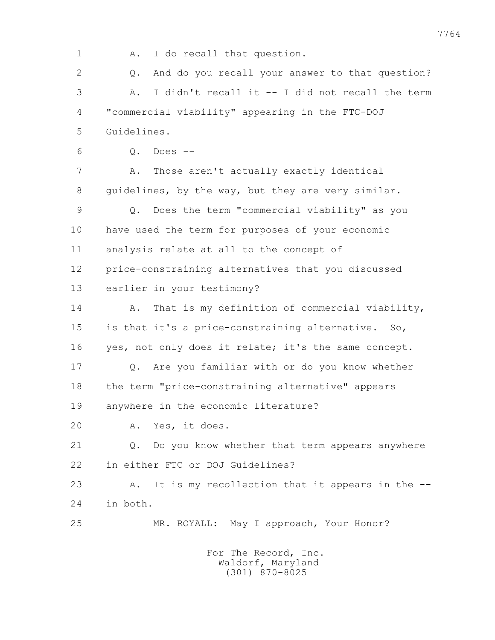1 A. I do recall that question. 2 Q. And do you recall your answer to that question? 3 A. I didn't recall it -- I did not recall the term 4 "commercial viability" appearing in the FTC-DOJ 5 Guidelines. 6 Q. Does -- 7 A. Those aren't actually exactly identical 8 guidelines, by the way, but they are very similar. 9 Q. Does the term "commercial viability" as you 10 have used the term for purposes of your economic 11 analysis relate at all to the concept of 12 price-constraining alternatives that you discussed 13 earlier in your testimony? 14 A. That is my definition of commercial viability, 15 is that it's a price-constraining alternative. So, 16 yes, not only does it relate; it's the same concept. 17 Q. Are you familiar with or do you know whether 18 the term "price-constraining alternative" appears 19 anywhere in the economic literature? 20 A. Yes, it does. 21 Q. Do you know whether that term appears anywhere 22 in either FTC or DOJ Guidelines? 23 A. It is my recollection that it appears in the -- 24 in both. 25 MR. ROYALL: May I approach, Your Honor? For The Record, Inc.

 Waldorf, Maryland (301) 870-8025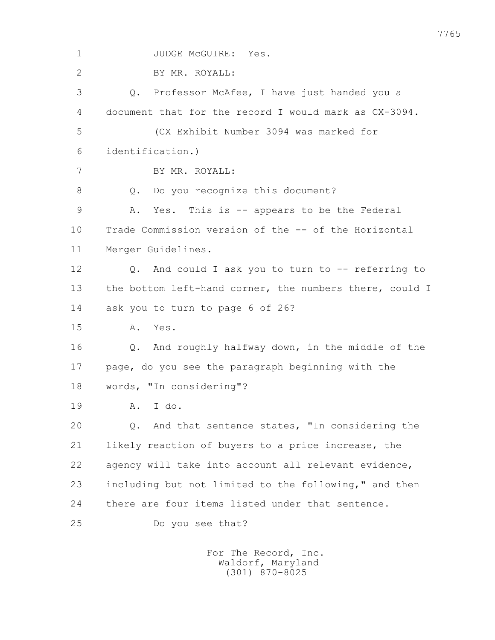1 JUDGE McGUIRE: Yes. 2 BY MR. ROYALL: 3 Q. Professor McAfee, I have just handed you a 4 document that for the record I would mark as CX-3094. 5 (CX Exhibit Number 3094 was marked for 6 identification.) 7 BY MR. ROYALL: 8 Q. Do you recognize this document? 9 A. Yes. This is -- appears to be the Federal 10 Trade Commission version of the -- of the Horizontal 11 Merger Guidelines. 12 Q. And could I ask you to turn to -- referring to 13 the bottom left-hand corner, the numbers there, could I 14 ask you to turn to page 6 of 26? 15 A. Yes. 16 Q. And roughly halfway down, in the middle of the 17 page, do you see the paragraph beginning with the 18 words, "In considering"? 19 A. I do. 20 Q. And that sentence states, "In considering the 21 likely reaction of buyers to a price increase, the 22 agency will take into account all relevant evidence, 23 including but not limited to the following," and then 24 there are four items listed under that sentence. 25 Do you see that?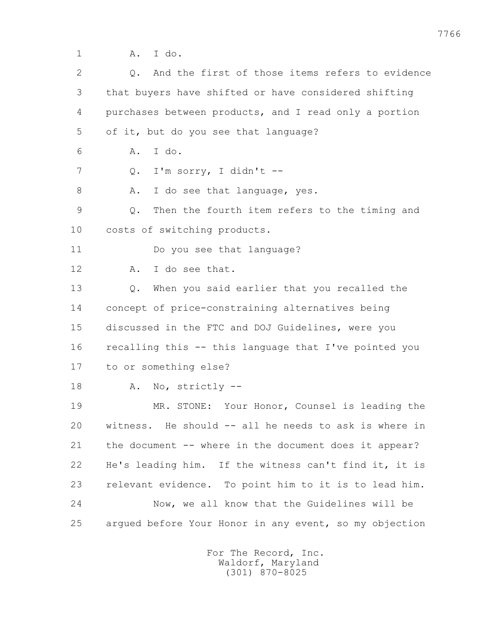1 A. I do.

| $\overline{2}$ | And the first of those items refers to evidence<br>$Q$ .       |
|----------------|----------------------------------------------------------------|
| 3              | that buyers have shifted or have considered shifting           |
| 4              | purchases between products, and I read only a portion          |
| 5              | of it, but do you see that language?                           |
| 6              | I do.<br>Α.                                                    |
| 7              | I'm sorry, I didn't --<br>Q.                                   |
| 8              | I do see that language, yes.<br>Α.                             |
| 9              | Then the fourth item refers to the timing and<br>$\mathbb Q$ . |
| 10             | costs of switching products.                                   |
| 11             | Do you see that language?                                      |
| 12             | I do see that.<br>Α.                                           |
| 13             | When you said earlier that you recalled the<br>$Q$ .           |
| 14             | concept of price-constraining alternatives being               |
| 15             | discussed in the FTC and DOJ Guidelines, were you              |
| 16             | recalling this -- this language that I've pointed you          |
| 17             | to or something else?                                          |
| 18             | No, strictly --<br>Α.                                          |
| 19             | MR. STONE: Your Honor, Counsel is leading the                  |
| 20             | witness. He should -- all he needs to ask is where in          |
| 21             | the document -- where in the document does it appear?          |
| 22             | He's leading him. If the witness can't find it, it is          |
| 23             | relevant evidence. To point him to it is to lead him.          |
| 24             | Now, we all know that the Guidelines will be                   |
| 25             | arqued before Your Honor in any event, so my objection         |
|                |                                                                |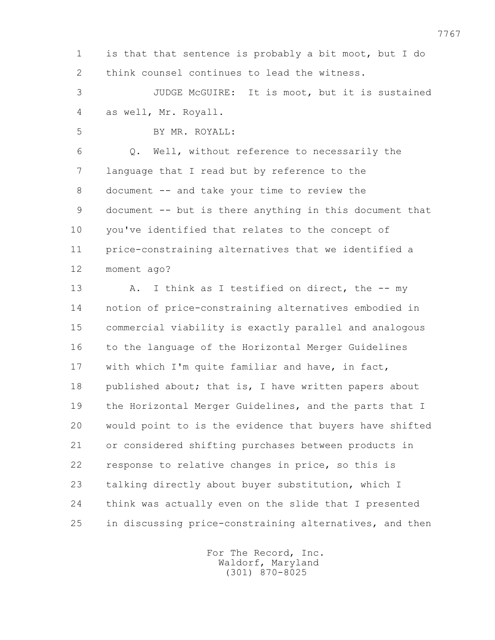1 is that that sentence is probably a bit moot, but I do 2 think counsel continues to lead the witness. 3 JUDGE McGUIRE: It is moot, but it is sustained 4 as well, Mr. Royall. 5 BY MR. ROYALL: 6 Q. Well, without reference to necessarily the 7 language that I read but by reference to the 8 document -- and take your time to review the 9 document -- but is there anything in this document that 10 you've identified that relates to the concept of 11 price-constraining alternatives that we identified a 12 moment ago? 13 A. I think as I testified on direct, the -- my 14 notion of price-constraining alternatives embodied in 15 commercial viability is exactly parallel and analogous 16 to the language of the Horizontal Merger Guidelines 17 with which I'm quite familiar and have, in fact, 18 published about; that is, I have written papers about 19 the Horizontal Merger Guidelines, and the parts that I 20 would point to is the evidence that buyers have shifted 21 or considered shifting purchases between products in 22 response to relative changes in price, so this is 23 talking directly about buyer substitution, which I 24 think was actually even on the slide that I presented 25 in discussing price-constraining alternatives, and then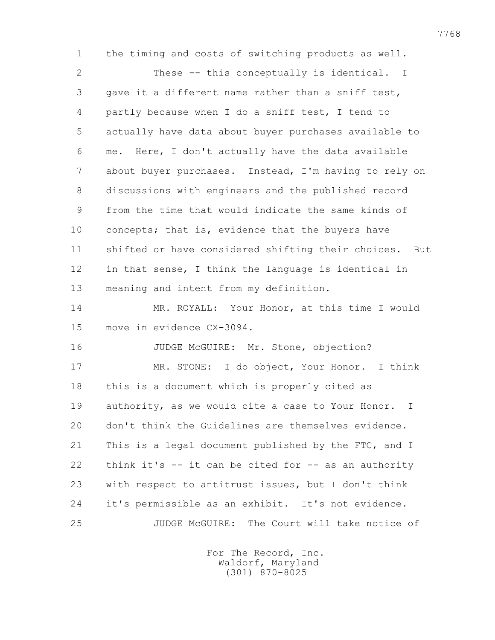2 These -- this conceptually is identical. I 3 gave it a different name rather than a sniff test, 4 partly because when I do a sniff test, I tend to 5 actually have data about buyer purchases available to 6 me. Here, I don't actually have the data available 7 about buyer purchases. Instead, I'm having to rely on 8 discussions with engineers and the published record

1 the timing and costs of switching products as well.

 9 from the time that would indicate the same kinds of 10 concepts; that is, evidence that the buyers have 11 shifted or have considered shifting their choices. But 12 in that sense, I think the language is identical in 13 meaning and intent from my definition.

 14 MR. ROYALL: Your Honor, at this time I would 15 move in evidence CX-3094.

16 JUDGE McGUIRE: Mr. Stone, objection? 17 MR. STONE: I do object, Your Honor. I think 18 this is a document which is properly cited as 19 authority, as we would cite a case to Your Honor. I 20 don't think the Guidelines are themselves evidence. 21 This is a legal document published by the FTC, and I 22 think it's -- it can be cited for -- as an authority 23 with respect to antitrust issues, but I don't think 24 it's permissible as an exhibit. It's not evidence. 25 JUDGE McGUIRE: The Court will take notice of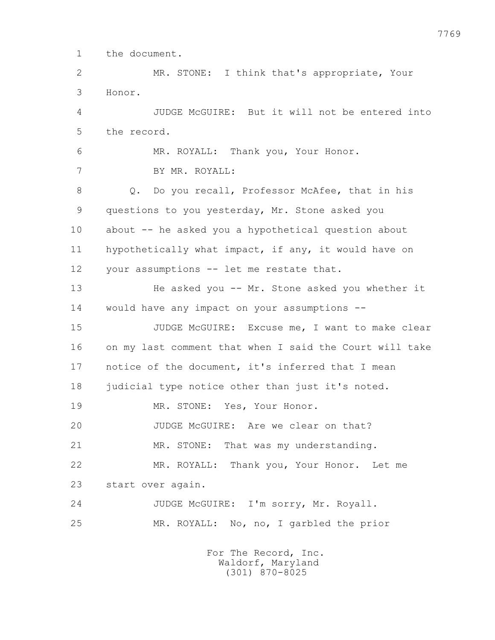1 the document.

 2 MR. STONE: I think that's appropriate, Your 3 Honor.

 4 JUDGE McGUIRE: But it will not be entered into 5 the record.

 6 MR. ROYALL: Thank you, Your Honor. 7 BY MR. ROYALL: 8 Q. Do you recall, Professor McAfee, that in his 9 questions to you yesterday, Mr. Stone asked you 10 about -- he asked you a hypothetical question about 11 hypothetically what impact, if any, it would have on 12 your assumptions -- let me restate that.

 13 He asked you -- Mr. Stone asked you whether it 14 would have any impact on your assumptions --

 15 JUDGE McGUIRE: Excuse me, I want to make clear 16 on my last comment that when I said the Court will take 17 notice of the document, it's inferred that I mean 18 judicial type notice other than just it's noted.

19 MR. STONE: Yes, Your Honor.

20 JUDGE McGUIRE: Are we clear on that?

21 MR. STONE: That was my understanding.

 22 MR. ROYALL: Thank you, Your Honor. Let me 23 start over again.

 24 JUDGE McGUIRE: I'm sorry, Mr. Royall. 25 MR. ROYALL: No, no, I garbled the prior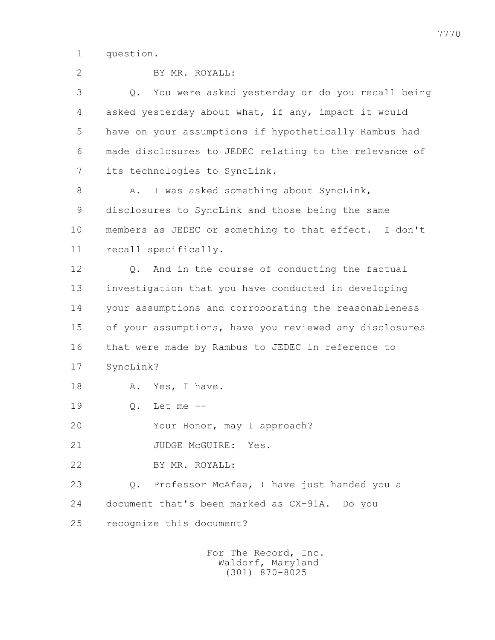1 question.

| $\overline{2}$ | BY MR. ROYALL:                                           |
|----------------|----------------------------------------------------------|
| 3              | You were asked yesterday or do you recall being<br>$Q$ . |
| 4              | asked yesterday about what, if any, impact it would      |
| 5              | have on your assumptions if hypothetically Rambus had    |
| 6              | made disclosures to JEDEC relating to the relevance of   |
| 7              | its technologies to SyncLink.                            |
| 8              | I was asked something about SyncLink,<br>Α.              |
| 9              | disclosures to SyncLink and those being the same         |
| 10             | members as JEDEC or something to that effect. I don't    |
| 11             | recall specifically.                                     |
| 12             | And in the course of conducting the factual<br>$Q$ .     |
| 13             | investigation that you have conducted in developing      |
| 14             | your assumptions and corroborating the reasonableness    |
| 15             | of your assumptions, have you reviewed any disclosures   |
| 16             | that were made by Rambus to JEDEC in reference to        |
| 17             | SyncLink?                                                |
| 18             | Α.<br>Yes, I have.                                       |
| 19             | Let me --<br>$\mathbb Q$ .                               |
| 20             | Your Honor, may I approach?                              |
| 21             | JUDGE McGUIRE: Yes.                                      |
| 22             | BY MR. ROYALL:                                           |
| 23             | Professor McAfee, I have just handed you a<br>Q.         |
| 24             | document that's been marked as CX-91A. Do you            |
| 25             | recognize this document?                                 |
|                | For The Record, Inc.                                     |

Waldorf, Maryland (301) 870-8025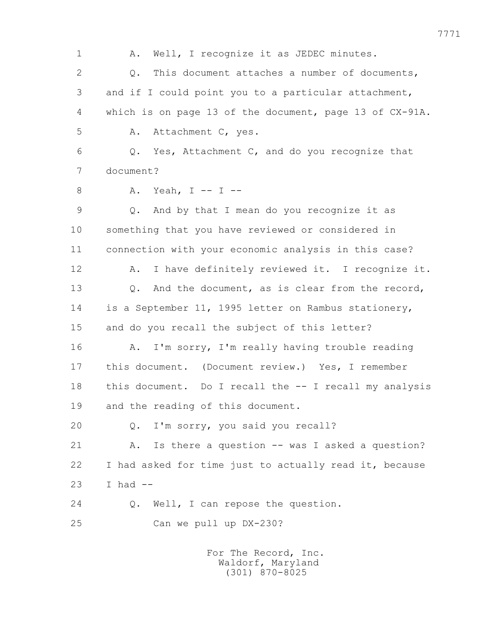1 A. Well, I recognize it as JEDEC minutes. 2 0. This document attaches a number of documents, 3 and if I could point you to a particular attachment, 4 which is on page 13 of the document, page 13 of CX-91A. 5 A. Attachment C, yes. 6 Q. Yes, Attachment C, and do you recognize that 7 document? 8 A. Yeah, I -- I -- 9 Q. And by that I mean do you recognize it as 10 something that you have reviewed or considered in 11 connection with your economic analysis in this case? 12 A. I have definitely reviewed it. I recognize it. 13 Q. And the document, as is clear from the record, 14 is a September 11, 1995 letter on Rambus stationery, 15 and do you recall the subject of this letter? 16 A. I'm sorry, I'm really having trouble reading 17 this document. (Document review.) Yes, I remember 18 this document. Do I recall the -- I recall my analysis 19 and the reading of this document. 20 Q. I'm sorry, you said you recall? 21 A. Is there a question -- was I asked a question? 22 I had asked for time just to actually read it, because 23 I had -- 24 Q. Well, I can repose the question. 25 Can we pull up DX-230? For The Record, Inc.

 Waldorf, Maryland (301) 870-8025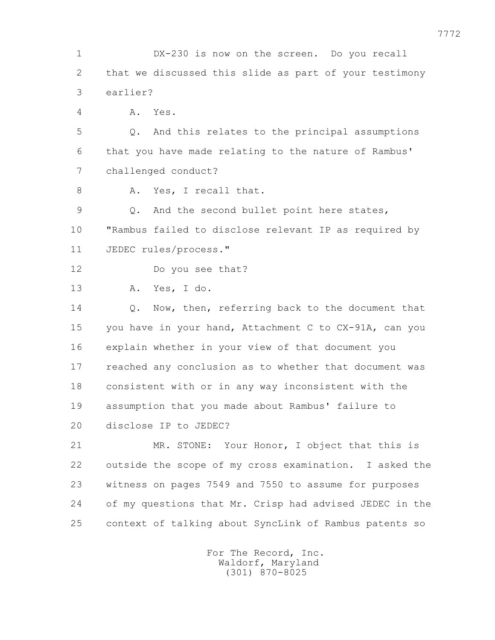1 DX-230 is now on the screen. Do you recall 2 that we discussed this slide as part of your testimony 3 earlier? 4 A. Yes. 5 Q. And this relates to the principal assumptions 6 that you have made relating to the nature of Rambus' 7 challenged conduct? 8 A. Yes, I recall that. 9 Q. And the second bullet point here states, 10 "Rambus failed to disclose relevant IP as required by 11 JEDEC rules/process." 12 Do you see that? 13 A. Yes, I do. 14 Q. Now, then, referring back to the document that 15 you have in your hand, Attachment C to CX-91A, can you 16 explain whether in your view of that document you 17 reached any conclusion as to whether that document was 18 consistent with or in any way inconsistent with the 19 assumption that you made about Rambus' failure to 20 disclose IP to JEDEC? 21 MR. STONE: Your Honor, I object that this is 22 outside the scope of my cross examination. I asked the 23 witness on pages 7549 and 7550 to assume for purposes 24 of my questions that Mr. Crisp had advised JEDEC in the 25 context of talking about SyncLink of Rambus patents so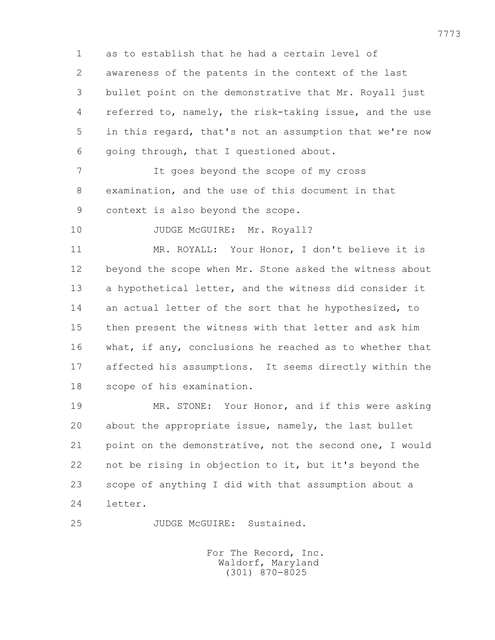1 as to establish that he had a certain level of 2 awareness of the patents in the context of the last 3 bullet point on the demonstrative that Mr. Royall just 4 referred to, namely, the risk-taking issue, and the use 5 in this regard, that's not an assumption that we're now 6 going through, that I questioned about.

 7 It goes beyond the scope of my cross 8 examination, and the use of this document in that 9 context is also beyond the scope.

10 JUDGE McGUIRE: Mr. Royall?

 11 MR. ROYALL: Your Honor, I don't believe it is 12 beyond the scope when Mr. Stone asked the witness about 13 a hypothetical letter, and the witness did consider it 14 an actual letter of the sort that he hypothesized, to 15 then present the witness with that letter and ask him 16 what, if any, conclusions he reached as to whether that 17 affected his assumptions. It seems directly within the 18 scope of his examination.

 19 MR. STONE: Your Honor, and if this were asking 20 about the appropriate issue, namely, the last bullet 21 point on the demonstrative, not the second one, I would 22 not be rising in objection to it, but it's beyond the 23 scope of anything I did with that assumption about a 24 letter.

25 JUDGE McGUIRE: Sustained.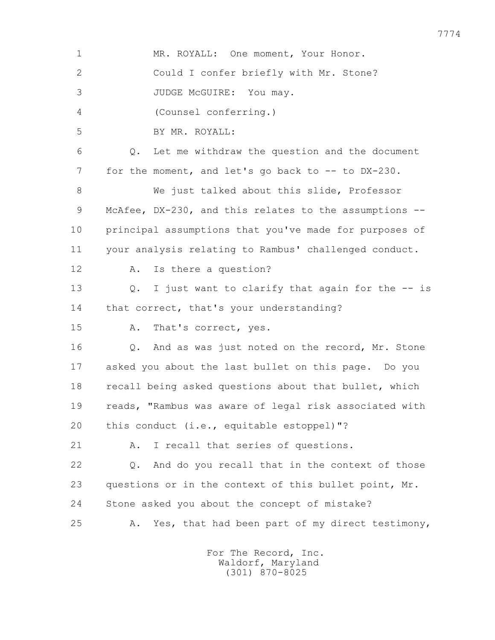1 MR. ROYALL: One moment, Your Honor. 2 Could I confer briefly with Mr. Stone? 3 JUDGE McGUIRE: You may. 4 (Counsel conferring.) 5 BY MR. ROYALL: 6 Q. Let me withdraw the question and the document 7 for the moment, and let's go back to -- to DX-230. 8 We just talked about this slide, Professor 9 McAfee, DX-230, and this relates to the assumptions -- 10 principal assumptions that you've made for purposes of 11 your analysis relating to Rambus' challenged conduct. 12 A. Is there a question? 13 Q. I just want to clarify that again for the -- is 14 that correct, that's your understanding? 15 A. That's correct, yes. 16 Q. And as was just noted on the record, Mr. Stone 17 asked you about the last bullet on this page. Do you 18 recall being asked questions about that bullet, which 19 reads, "Rambus was aware of legal risk associated with 20 this conduct (i.e., equitable estoppel)"? 21 A. I recall that series of questions. 22 Q. And do you recall that in the context of those 23 questions or in the context of this bullet point, Mr. 24 Stone asked you about the concept of mistake? 25 A. Yes, that had been part of my direct testimony,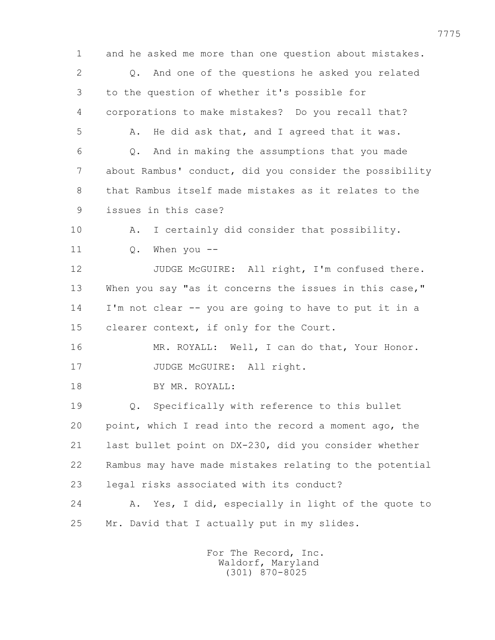1 and he asked me more than one question about mistakes. 2 Q. And one of the questions he asked you related 3 to the question of whether it's possible for 4 corporations to make mistakes? Do you recall that? 5 A. He did ask that, and I agreed that it was. 6 Q. And in making the assumptions that you made 7 about Rambus' conduct, did you consider the possibility 8 that Rambus itself made mistakes as it relates to the 9 issues in this case? 10 A. I certainly did consider that possibility. 11 Q. When you -- 12 JUDGE McGUIRE: All right, I'm confused there. 13 When you say "as it concerns the issues in this case," 14 I'm not clear -- you are going to have to put it in a 15 clearer context, if only for the Court. 16 MR. ROYALL: Well, I can do that, Your Honor. 17 JUDGE McGUIRE: All right. 18 BY MR. ROYALL: 19 Q. Specifically with reference to this bullet 20 point, which I read into the record a moment ago, the 21 last bullet point on DX-230, did you consider whether 22 Rambus may have made mistakes relating to the potential 23 legal risks associated with its conduct? 24 A. Yes, I did, especially in light of the quote to 25 Mr. David that I actually put in my slides.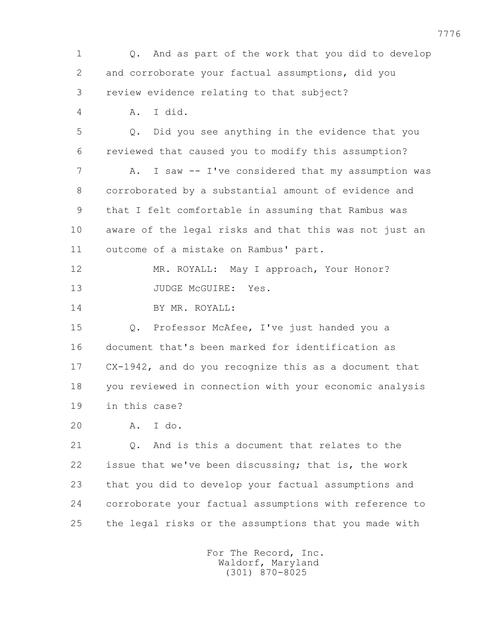1 Q. And as part of the work that you did to develop 2 and corroborate your factual assumptions, did you 3 review evidence relating to that subject? 4 A. I did. 5 Q. Did you see anything in the evidence that you 6 reviewed that caused you to modify this assumption? 7 A. I saw -- I've considered that my assumption was 8 corroborated by a substantial amount of evidence and 9 that I felt comfortable in assuming that Rambus was 10 aware of the legal risks and that this was not just an 11 outcome of a mistake on Rambus' part. 12 MR. ROYALL: May I approach, Your Honor? 13 JUDGE McGUIRE: Yes. 14 BY MR. ROYALL: 15 Q. Professor McAfee, I've just handed you a 16 document that's been marked for identification as 17 CX-1942, and do you recognize this as a document that 18 you reviewed in connection with your economic analysis 19 in this case? 20 A. I do. 21 Q. And is this a document that relates to the 22 issue that we've been discussing; that is, the work 23 that you did to develop your factual assumptions and 24 corroborate your factual assumptions with reference to 25 the legal risks or the assumptions that you made with For The Record, Inc. Waldorf, Maryland (301) 870-8025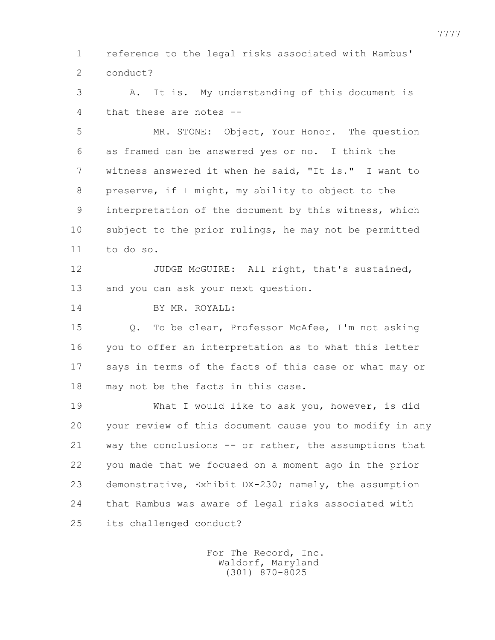1 reference to the legal risks associated with Rambus' 2 conduct?

 3 A. It is. My understanding of this document is 4 that these are notes --

 5 MR. STONE: Object, Your Honor. The question 6 as framed can be answered yes or no. I think the 7 witness answered it when he said, "It is." I want to 8 preserve, if I might, my ability to object to the 9 interpretation of the document by this witness, which 10 subject to the prior rulings, he may not be permitted 11 to do so.

12 JUDGE McGUIRE: All right, that's sustained, 13 and you can ask your next question.

14 BY MR. ROYALL:

 15 Q. To be clear, Professor McAfee, I'm not asking 16 you to offer an interpretation as to what this letter 17 says in terms of the facts of this case or what may or 18 may not be the facts in this case.

 19 What I would like to ask you, however, is did 20 your review of this document cause you to modify in any 21 way the conclusions -- or rather, the assumptions that 22 you made that we focused on a moment ago in the prior 23 demonstrative, Exhibit DX-230; namely, the assumption 24 that Rambus was aware of legal risks associated with 25 its challenged conduct?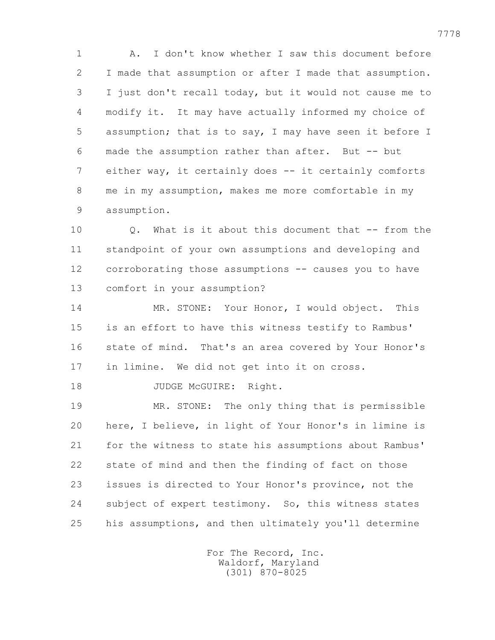1 A. I don't know whether I saw this document before 2 I made that assumption or after I made that assumption. 3 I just don't recall today, but it would not cause me to 4 modify it. It may have actually informed my choice of 5 assumption; that is to say, I may have seen it before I 6 made the assumption rather than after. But -- but 7 either way, it certainly does -- it certainly comforts 8 me in my assumption, makes me more comfortable in my 9 assumption.

 10 Q. What is it about this document that -- from the 11 standpoint of your own assumptions and developing and 12 corroborating those assumptions -- causes you to have 13 comfort in your assumption?

 14 MR. STONE: Your Honor, I would object. This 15 is an effort to have this witness testify to Rambus' 16 state of mind. That's an area covered by Your Honor's 17 in limine. We did not get into it on cross.

18 JUDGE McGUIRE: Right.

 19 MR. STONE: The only thing that is permissible 20 here, I believe, in light of Your Honor's in limine is 21 for the witness to state his assumptions about Rambus' 22 state of mind and then the finding of fact on those 23 issues is directed to Your Honor's province, not the 24 subject of expert testimony. So, this witness states 25 his assumptions, and then ultimately you'll determine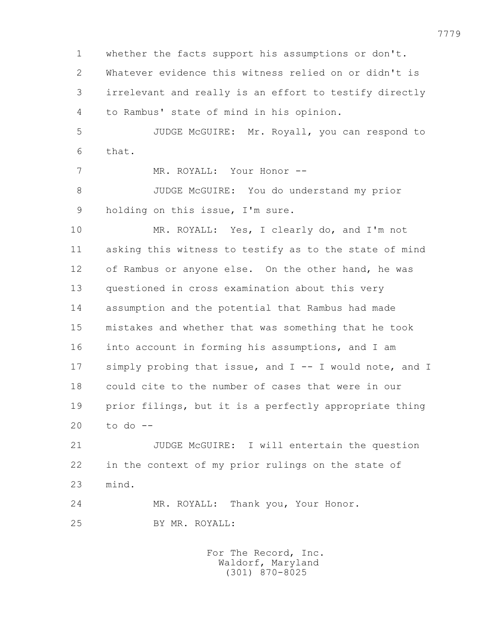1 whether the facts support his assumptions or don't. 2 Whatever evidence this witness relied on or didn't is 3 irrelevant and really is an effort to testify directly 4 to Rambus' state of mind in his opinion.

 5 JUDGE McGUIRE: Mr. Royall, you can respond to 6 that.

7 MR. ROYALL: Your Honor --

 8 JUDGE McGUIRE: You do understand my prior 9 holding on this issue, I'm sure.

 10 MR. ROYALL: Yes, I clearly do, and I'm not 11 asking this witness to testify as to the state of mind 12 of Rambus or anyone else. On the other hand, he was 13 questioned in cross examination about this very 14 assumption and the potential that Rambus had made 15 mistakes and whether that was something that he took 16 into account in forming his assumptions, and I am 17 simply probing that issue, and I -- I would note, and I 18 could cite to the number of cases that were in our 19 prior filings, but it is a perfectly appropriate thing 20 to do --

 21 JUDGE McGUIRE: I will entertain the question 22 in the context of my prior rulings on the state of 23 mind.

 24 MR. ROYALL: Thank you, Your Honor. 25 BY MR. ROYALL: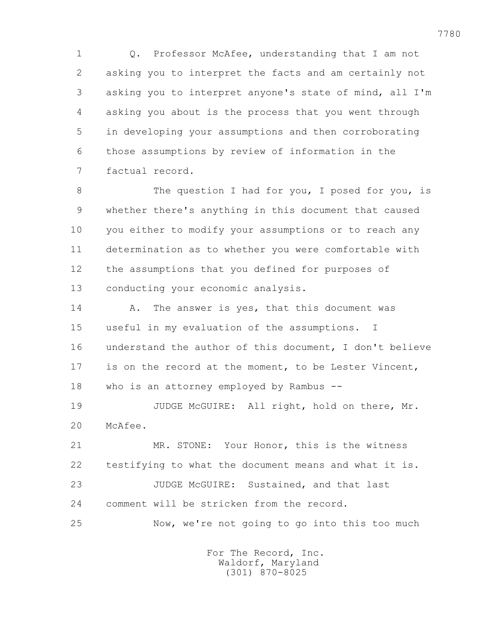1 Q. Professor McAfee, understanding that I am not 2 asking you to interpret the facts and am certainly not 3 asking you to interpret anyone's state of mind, all I'm 4 asking you about is the process that you went through 5 in developing your assumptions and then corroborating 6 those assumptions by review of information in the 7 factual record.

8 The question I had for you, I posed for you, is 9 whether there's anything in this document that caused 10 you either to modify your assumptions or to reach any 11 determination as to whether you were comfortable with 12 the assumptions that you defined for purposes of 13 conducting your economic analysis.

14 A. The answer is yes, that this document was 15 useful in my evaluation of the assumptions. I 16 understand the author of this document, I don't believe 17 is on the record at the moment, to be Lester Vincent, 18 who is an attorney employed by Rambus --

 19 JUDGE McGUIRE: All right, hold on there, Mr. 20 McAfee.

 21 MR. STONE: Your Honor, this is the witness 22 testifying to what the document means and what it is. 23 JUDGE McGUIRE: Sustained, and that last 24 comment will be stricken from the record.

25 Now, we're not going to go into this too much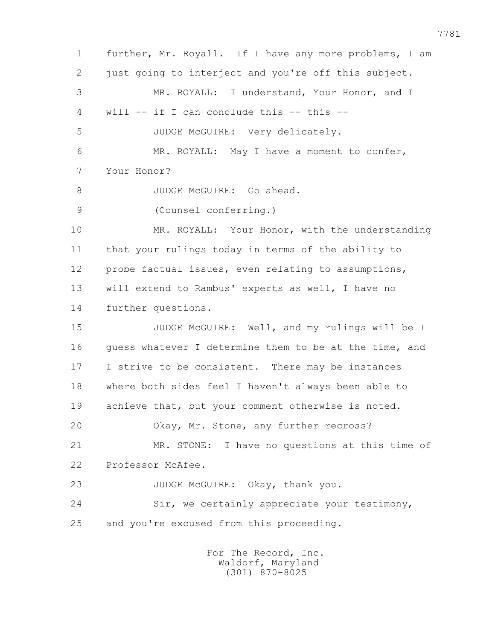1 further, Mr. Royall. If I have any more problems, I am 2 just going to interject and you're off this subject. 3 MR. ROYALL: I understand, Your Honor, and I 4 will -- if I can conclude this -- this -- 5 JUDGE McGUIRE: Very delicately. 6 MR. ROYALL: May I have a moment to confer, 7 Your Honor? 8 JUDGE McGUIRE: Go ahead. 9 (Counsel conferring.) 10 MR. ROYALL: Your Honor, with the understanding 11 that your rulings today in terms of the ability to 12 probe factual issues, even relating to assumptions, 13 will extend to Rambus' experts as well, I have no 14 further questions. 15 JUDGE McGUIRE: Well, and my rulings will be I 16 guess whatever I determine them to be at the time, and 17 I strive to be consistent. There may be instances 18 where both sides feel I haven't always been able to 19 achieve that, but your comment otherwise is noted. 20 Okay, Mr. Stone, any further recross? 21 MR. STONE: I have no questions at this time of 22 Professor McAfee. 23 JUDGE McGUIRE: Okay, thank you. 24 Sir, we certainly appreciate your testimony, 25 and you're excused from this proceeding.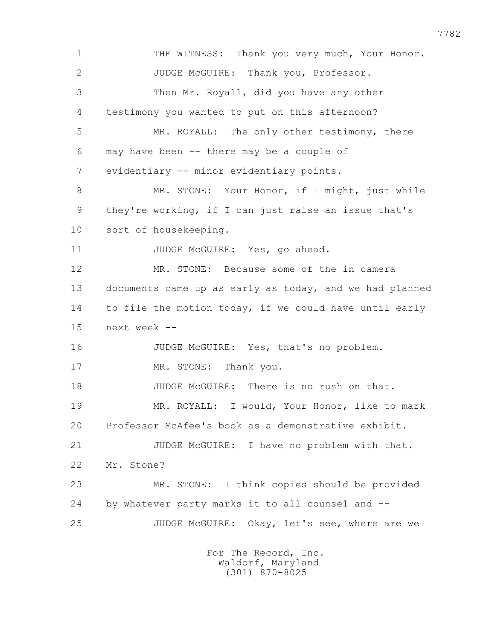1 THE WITNESS: Thank you very much, Your Honor. 2 JUDGE McGUIRE: Thank you, Professor. 3 Then Mr. Royall, did you have any other 4 testimony you wanted to put on this afternoon? 5 MR. ROYALL: The only other testimony, there 6 may have been -- there may be a couple of 7 evidentiary -- minor evidentiary points. 8 MR. STONE: Your Honor, if I might, just while 9 they're working, if I can just raise an issue that's 10 sort of housekeeping. 11 JUDGE McGUIRE: Yes, go ahead. 12 MR. STONE: Because some of the in camera 13 documents came up as early as today, and we had planned 14 to file the motion today, if we could have until early 15 next week -- 16 JUDGE McGUIRE: Yes, that's no problem. 17 MR. STONE: Thank you. 18 JUDGE McGUIRE: There is no rush on that. 19 MR. ROYALL: I would, Your Honor, like to mark 20 Professor McAfee's book as a demonstrative exhibit. 21 JUDGE McGUIRE: I have no problem with that. 22 Mr. Stone? 23 MR. STONE: I think copies should be provided 24 by whatever party marks it to all counsel and -- 25 JUDGE McGUIRE: Okay, let's see, where are we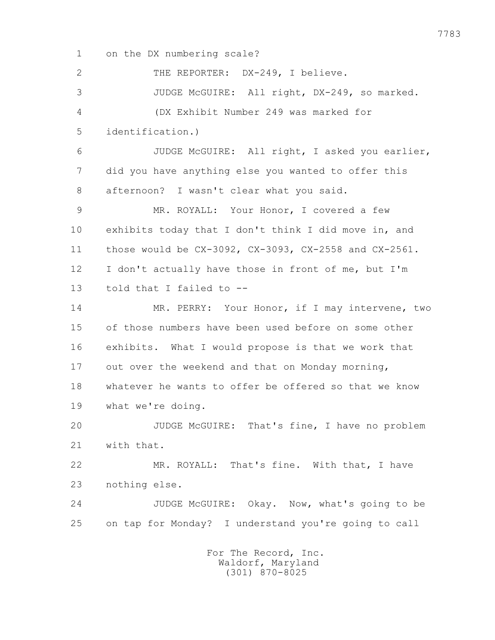1 on the DX numbering scale? 2 THE REPORTER: DX-249, I believe. 3 JUDGE McGUIRE: All right, DX-249, so marked. 4 (DX Exhibit Number 249 was marked for 5 identification.) 6 JUDGE McGUIRE: All right, I asked you earlier, 7 did you have anything else you wanted to offer this 8 afternoon? I wasn't clear what you said. 9 MR. ROYALL: Your Honor, I covered a few 10 exhibits today that I don't think I did move in, and 11 those would be CX-3092, CX-3093, CX-2558 and CX-2561. 12 I don't actually have those in front of me, but I'm 13 told that I failed to -- 14 MR. PERRY: Your Honor, if I may intervene, two 15 of those numbers have been used before on some other 16 exhibits. What I would propose is that we work that 17 out over the weekend and that on Monday morning, 18 whatever he wants to offer be offered so that we know 19 what we're doing. 20 JUDGE McGUIRE: That's fine, I have no problem 21 with that. 22 MR. ROYALL: That's fine. With that, I have 23 nothing else. 24 JUDGE McGUIRE: Okay. Now, what's going to be 25 on tap for Monday? I understand you're going to call For The Record, Inc.

 Waldorf, Maryland (301) 870-8025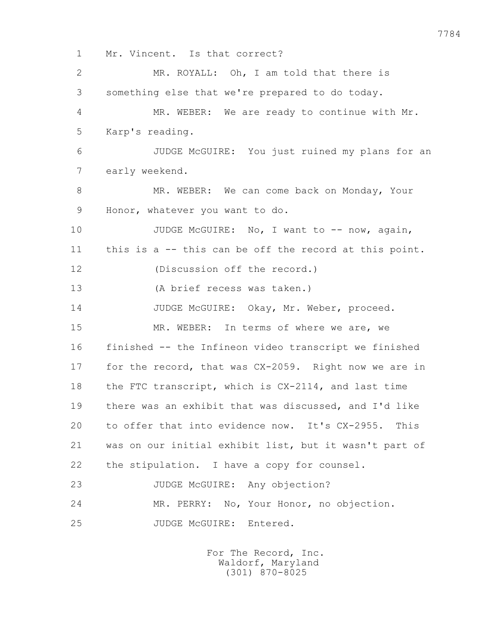1 Mr. Vincent. Is that correct? 2 MR. ROYALL: Oh, I am told that there is 3 something else that we're prepared to do today. 4 MR. WEBER: We are ready to continue with Mr. 5 Karp's reading. 6 JUDGE McGUIRE: You just ruined my plans for an 7 early weekend. 8 MR. WEBER: We can come back on Monday, Your 9 Honor, whatever you want to do. 10 JUDGE McGUIRE: No, I want to -- now, again, 11 this is a -- this can be off the record at this point. 12 (Discussion off the record.) 13 (A brief recess was taken.) 14 JUDGE McGUIRE: Okay, Mr. Weber, proceed. 15 MR. WEBER: In terms of where we are, we 16 finished -- the Infineon video transcript we finished 17 for the record, that was CX-2059. Right now we are in 18 the FTC transcript, which is CX-2114, and last time 19 there was an exhibit that was discussed, and I'd like 20 to offer that into evidence now. It's CX-2955. This 21 was on our initial exhibit list, but it wasn't part of 22 the stipulation. I have a copy for counsel. 23 JUDGE McGUIRE: Any objection? 24 MR. PERRY: No, Your Honor, no objection. 25 JUDGE McGUIRE: Entered.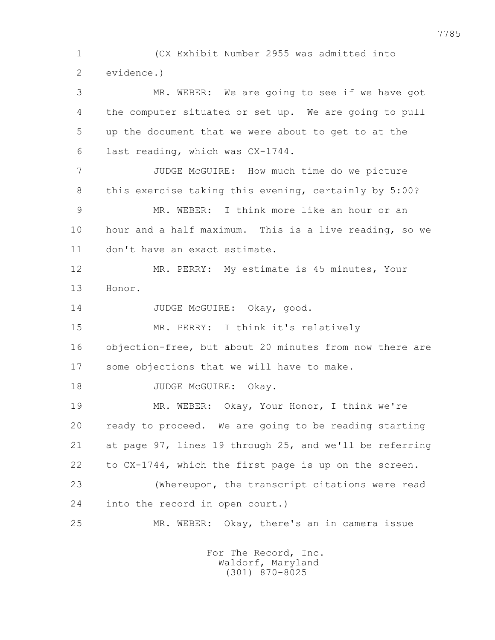1 (CX Exhibit Number 2955 was admitted into 2 evidence.)

 3 MR. WEBER: We are going to see if we have got 4 the computer situated or set up. We are going to pull 5 up the document that we were about to get to at the 6 last reading, which was CX-1744.

 7 JUDGE McGUIRE: How much time do we picture 8 this exercise taking this evening, certainly by 5:00?

 9 MR. WEBER: I think more like an hour or an 10 hour and a half maximum. This is a live reading, so we 11 don't have an exact estimate.

 12 MR. PERRY: My estimate is 45 minutes, Your 13 Honor.

14 JUDGE McGUIRE: Okay, good.

 15 MR. PERRY: I think it's relatively 16 objection-free, but about 20 minutes from now there are

17 some objections that we will have to make.

18 JUDGE McGUIRE: Okay.

 19 MR. WEBER: Okay, Your Honor, I think we're 20 ready to proceed. We are going to be reading starting 21 at page 97, lines 19 through 25, and we'll be referring 22 to CX-1744, which the first page is up on the screen. 23 (Whereupon, the transcript citations were read 24 into the record in open court.)

25 MR. WEBER: Okay, there's an in camera issue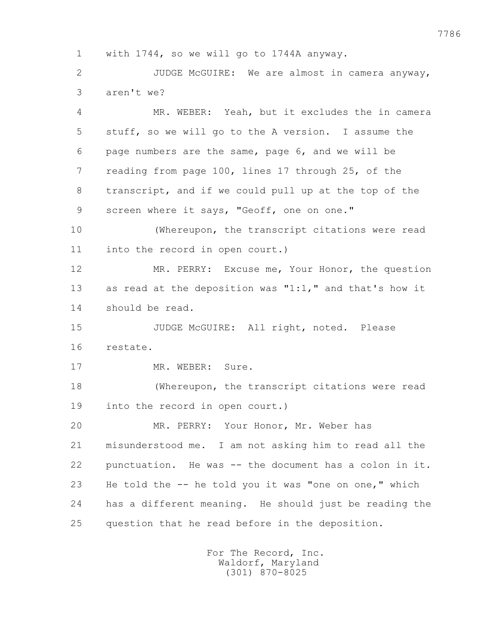1 with 1744, so we will go to 1744A anyway.

 2 JUDGE McGUIRE: We are almost in camera anyway, 3 aren't we?

 4 MR. WEBER: Yeah, but it excludes the in camera 5 stuff, so we will go to the A version. I assume the 6 page numbers are the same, page 6, and we will be 7 reading from page 100, lines 17 through 25, of the 8 transcript, and if we could pull up at the top of the 9 screen where it says, "Geoff, one on one."

 10 (Whereupon, the transcript citations were read 11 into the record in open court.)

 12 MR. PERRY: Excuse me, Your Honor, the question 13 as read at the deposition was "1:1," and that's how it 14 should be read.

 15 JUDGE McGUIRE: All right, noted. Please 16 restate.

17 MR. WEBER: Sure.

 18 (Whereupon, the transcript citations were read 19 into the record in open court.)

 20 MR. PERRY: Your Honor, Mr. Weber has 21 misunderstood me. I am not asking him to read all the 22 punctuation. He was -- the document has a colon in it. 23 He told the -- he told you it was "one on one," which 24 has a different meaning. He should just be reading the 25 question that he read before in the deposition.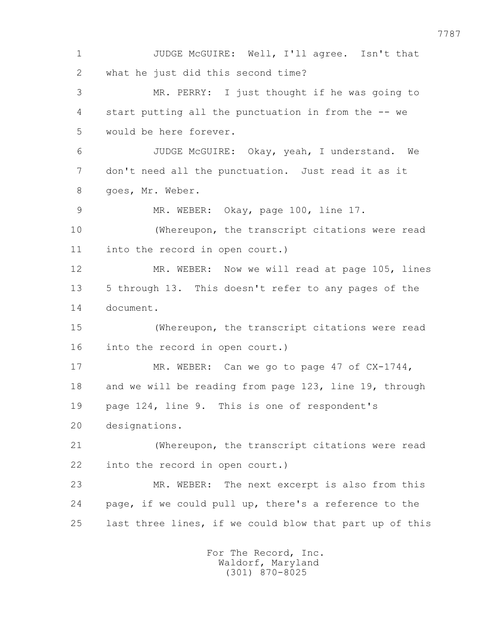1 JUDGE McGUIRE: Well, I'll agree. Isn't that 2 what he just did this second time? 3 MR. PERRY: I just thought if he was going to 4 start putting all the punctuation in from the -- we 5 would be here forever. 6 JUDGE McGUIRE: Okay, yeah, I understand. We 7 don't need all the punctuation. Just read it as it 8 goes, Mr. Weber. 9 MR. WEBER: Okay, page 100, line 17. 10 (Whereupon, the transcript citations were read 11 into the record in open court.) 12 MR. WEBER: Now we will read at page 105, lines 13 5 through 13. This doesn't refer to any pages of the 14 document. 15 (Whereupon, the transcript citations were read 16 into the record in open court.) 17 MR. WEBER: Can we go to page 47 of CX-1744, 18 and we will be reading from page 123, line 19, through 19 page 124, line 9. This is one of respondent's 20 designations. 21 (Whereupon, the transcript citations were read 22 into the record in open court.) 23 MR. WEBER: The next excerpt is also from this 24 page, if we could pull up, there's a reference to the 25 last three lines, if we could blow that part up of this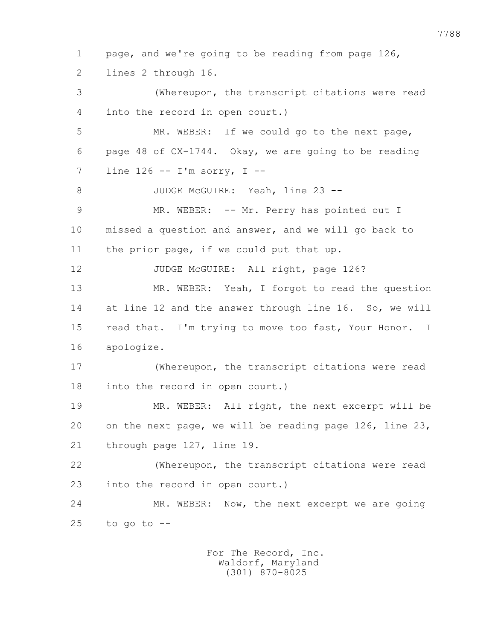1 page, and we're going to be reading from page 126, 2 lines 2 through 16. 3 (Whereupon, the transcript citations were read 4 into the record in open court.) 5 MR. WEBER: If we could go to the next page, 6 page 48 of CX-1744. Okay, we are going to be reading 7 line 126 -- I'm sorry, I -- 8 JUDGE McGUIRE: Yeah, line 23 --9 MR. WEBER: -- Mr. Perry has pointed out I 10 missed a question and answer, and we will go back to 11 the prior page, if we could put that up. 12 JUDGE McGUIRE: All right, page 126? 13 MR. WEBER: Yeah, I forgot to read the question 14 at line 12 and the answer through line 16. So, we will 15 read that. I'm trying to move too fast, Your Honor. I 16 apologize. 17 (Whereupon, the transcript citations were read 18 into the record in open court.) 19 MR. WEBER: All right, the next excerpt will be 20 on the next page, we will be reading page 126, line 23, 21 through page 127, line 19. 22 (Whereupon, the transcript citations were read 23 into the record in open court.) 24 MR. WEBER: Now, the next excerpt we are going  $25$  to go to  $-$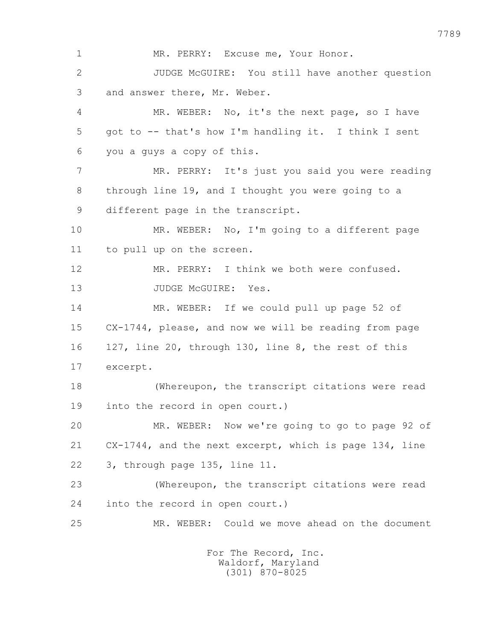1 MR. PERRY: Excuse me, Your Honor. 2 JUDGE McGUIRE: You still have another question 3 and answer there, Mr. Weber. 4 MR. WEBER: No, it's the next page, so I have 5 got to -- that's how I'm handling it. I think I sent 6 you a guys a copy of this. 7 MR. PERRY: It's just you said you were reading 8 through line 19, and I thought you were going to a 9 different page in the transcript. 10 MR. WEBER: No, I'm going to a different page 11 to pull up on the screen. 12 MR. PERRY: I think we both were confused. 13 JUDGE McGUIRE: Yes. 14 MR. WEBER: If we could pull up page 52 of 15 CX-1744, please, and now we will be reading from page 16 127, line 20, through 130, line 8, the rest of this 17 excerpt. 18 (Whereupon, the transcript citations were read 19 into the record in open court.) 20 MR. WEBER: Now we're going to go to page 92 of 21 CX-1744, and the next excerpt, which is page 134, line 22 3, through page 135, line 11. 23 (Whereupon, the transcript citations were read 24 into the record in open court.) 25 MR. WEBER: Could we move ahead on the document For The Record, Inc. Waldorf, Maryland

(301) 870-8025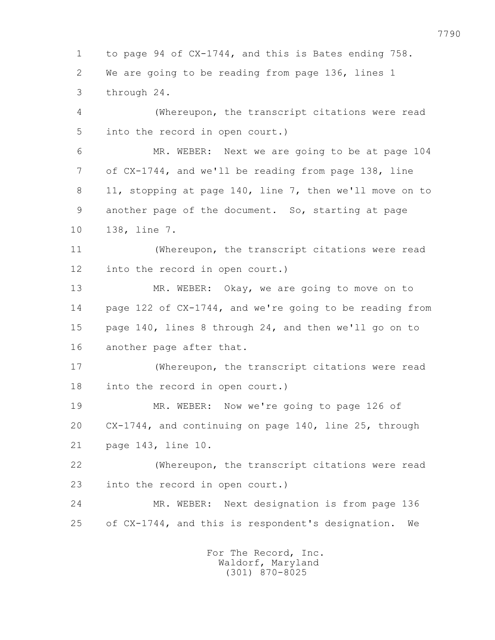1 to page 94 of CX-1744, and this is Bates ending 758. 2 We are going to be reading from page 136, lines 1 3 through 24. 4 (Whereupon, the transcript citations were read 5 into the record in open court.) 6 MR. WEBER: Next we are going to be at page 104 7 of CX-1744, and we'll be reading from page 138, line 8 11, stopping at page 140, line 7, then we'll move on to 9 another page of the document. So, starting at page 10 138, line 7. 11 (Whereupon, the transcript citations were read 12 into the record in open court.) 13 MR. WEBER: Okay, we are going to move on to 14 page 122 of CX-1744, and we're going to be reading from 15 page 140, lines 8 through 24, and then we'll go on to 16 another page after that. 17 (Whereupon, the transcript citations were read 18 into the record in open court.) 19 MR. WEBER: Now we're going to page 126 of 20 CX-1744, and continuing on page 140, line 25, through 21 page 143, line 10. 22 (Whereupon, the transcript citations were read 23 into the record in open court.) 24 MR. WEBER: Next designation is from page 136 25 of CX-1744, and this is respondent's designation. We For The Record, Inc.

 Waldorf, Maryland (301) 870-8025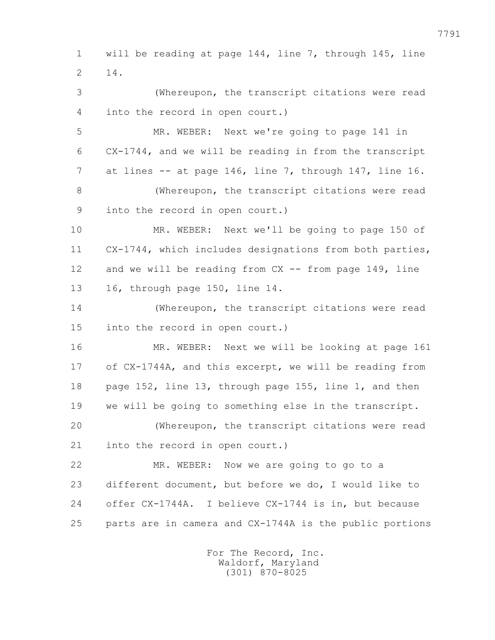1 will be reading at page 144, line 7, through 145, line 2 14.

 3 (Whereupon, the transcript citations were read 4 into the record in open court.)

 5 MR. WEBER: Next we're going to page 141 in 6 CX-1744, and we will be reading in from the transcript 7 at lines -- at page 146, line 7, through 147, line 16. 8 (Whereupon, the transcript citations were read

9 into the record in open court.)

 10 MR. WEBER: Next we'll be going to page 150 of 11 CX-1744, which includes designations from both parties, 12 and we will be reading from CX -- from page 149, line 13 16, through page 150, line 14.

 14 (Whereupon, the transcript citations were read 15 into the record in open court.)

 16 MR. WEBER: Next we will be looking at page 161 17 of CX-1744A, and this excerpt, we will be reading from 18 page 152, line 13, through page 155, line 1, and then 19 we will be going to something else in the transcript. 20 (Whereupon, the transcript citations were read 21 into the record in open court.)

 22 MR. WEBER: Now we are going to go to a 23 different document, but before we do, I would like to 24 offer CX-1744A. I believe CX-1744 is in, but because 25 parts are in camera and CX-1744A is the public portions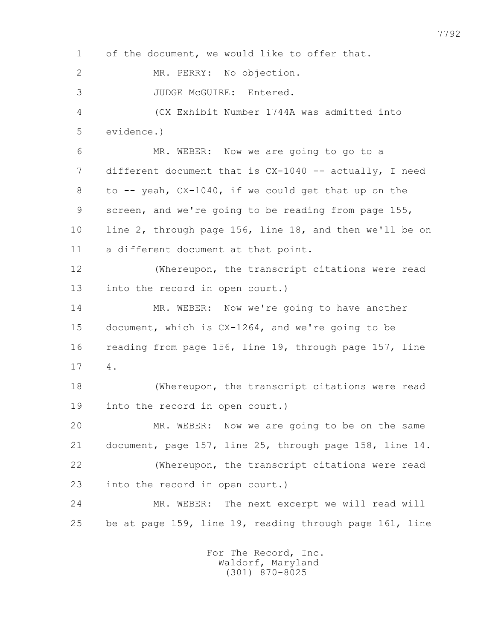1 of the document, we would like to offer that. 2 MR. PERRY: No objection. 3 JUDGE McGUIRE: Entered. 4 (CX Exhibit Number 1744A was admitted into 5 evidence.) 6 MR. WEBER: Now we are going to go to a 7 different document that is CX-1040 -- actually, I need 8 to -- yeah, CX-1040, if we could get that up on the 9 screen, and we're going to be reading from page 155, 10 line 2, through page 156, line 18, and then we'll be on 11 a different document at that point. 12 (Whereupon, the transcript citations were read 13 into the record in open court.) 14 MR. WEBER: Now we're going to have another 15 document, which is CX-1264, and we're going to be 16 reading from page 156, line 19, through page 157, line 17 4. 18 (Whereupon, the transcript citations were read 19 into the record in open court.) 20 MR. WEBER: Now we are going to be on the same 21 document, page 157, line 25, through page 158, line 14. 22 (Whereupon, the transcript citations were read 23 into the record in open court.) 24 MR. WEBER: The next excerpt we will read will 25 be at page 159, line 19, reading through page 161, line For The Record, Inc.

 Waldorf, Maryland (301) 870-8025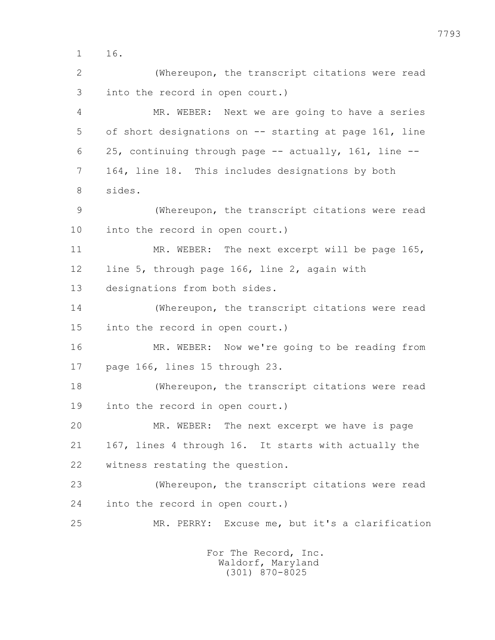1 16.

 2 (Whereupon, the transcript citations were read 3 into the record in open court.)

 4 MR. WEBER: Next we are going to have a series 5 of short designations on -- starting at page 161, line 6 25, continuing through page -- actually, 161, line -- 7 164, line 18. This includes designations by both 8 sides.

 9 (Whereupon, the transcript citations were read 10 into the record in open court.)

11 MR. WEBER: The next excerpt will be page 165, 12 line 5, through page 166, line 2, again with

13 designations from both sides.

 14 (Whereupon, the transcript citations were read 15 into the record in open court.)

 16 MR. WEBER: Now we're going to be reading from 17 page 166, lines 15 through 23.

 18 (Whereupon, the transcript citations were read 19 into the record in open court.)

 20 MR. WEBER: The next excerpt we have is page 21 167, lines 4 through 16. It starts with actually the 22 witness restating the question.

 23 (Whereupon, the transcript citations were read 24 into the record in open court.)

25 MR. PERRY: Excuse me, but it's a clarification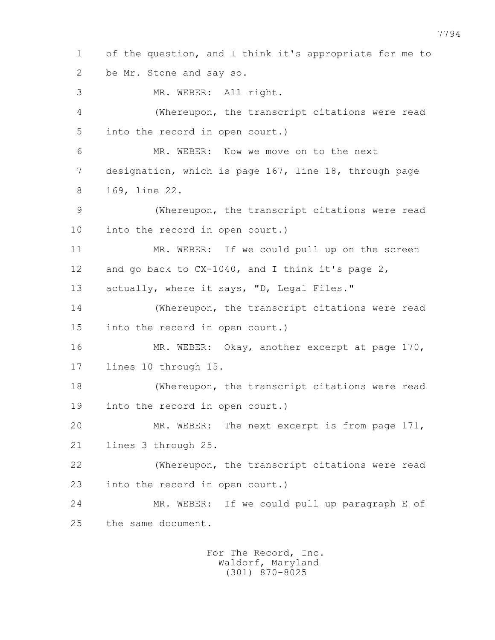1 of the question, and I think it's appropriate for me to 2 be Mr. Stone and say so. 3 MR. WEBER: All right. 4 (Whereupon, the transcript citations were read 5 into the record in open court.) 6 MR. WEBER: Now we move on to the next 7 designation, which is page 167, line 18, through page 8 169, line 22. 9 (Whereupon, the transcript citations were read 10 into the record in open court.) 11 MR. WEBER: If we could pull up on the screen 12 and go back to CX-1040, and I think it's page 2, 13 actually, where it says, "D, Legal Files." 14 (Whereupon, the transcript citations were read 15 into the record in open court.) 16 MR. WEBER: Okay, another excerpt at page 170, 17 lines 10 through 15. 18 (Whereupon, the transcript citations were read 19 into the record in open court.) 20 MR. WEBER: The next excerpt is from page 171, 21 lines 3 through 25. 22 (Whereupon, the transcript citations were read 23 into the record in open court.) 24 MR. WEBER: If we could pull up paragraph E of 25 the same document.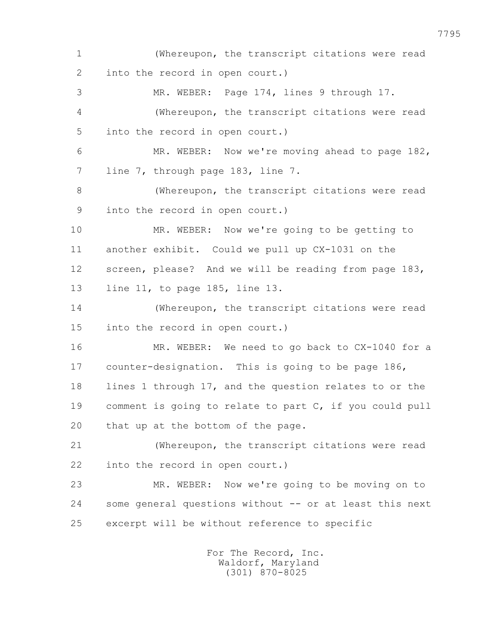1 (Whereupon, the transcript citations were read 2 into the record in open court.) 3 MR. WEBER: Page 174, lines 9 through 17. 4 (Whereupon, the transcript citations were read 5 into the record in open court.) 6 MR. WEBER: Now we're moving ahead to page 182, 7 line 7, through page 183, line 7. 8 (Whereupon, the transcript citations were read 9 into the record in open court.) 10 MR. WEBER: Now we're going to be getting to 11 another exhibit. Could we pull up CX-1031 on the 12 screen, please? And we will be reading from page 183, 13 line 11, to page 185, line 13. 14 (Whereupon, the transcript citations were read 15 into the record in open court.) 16 MR. WEBER: We need to go back to CX-1040 for a 17 counter-designation. This is going to be page 186, 18 lines 1 through 17, and the question relates to or the 19 comment is going to relate to part C, if you could pull 20 that up at the bottom of the page. 21 (Whereupon, the transcript citations were read 22 into the record in open court.) 23 MR. WEBER: Now we're going to be moving on to 24 some general questions without -- or at least this next 25 excerpt will be without reference to specific

> For The Record, Inc. Waldorf, Maryland (301) 870-8025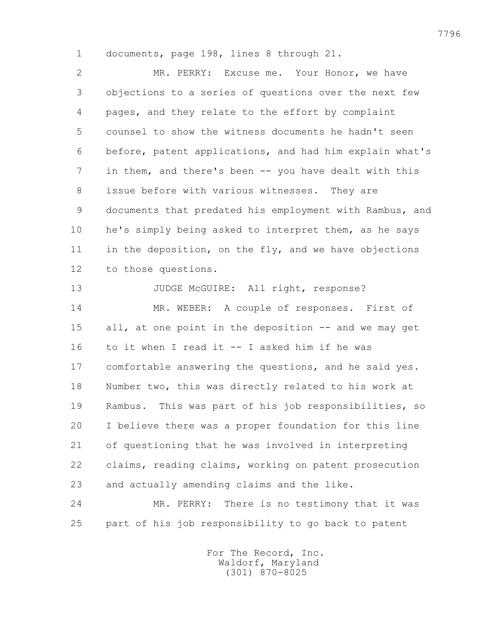1 documents, page 198, lines 8 through 21.

 2 MR. PERRY: Excuse me. Your Honor, we have 3 objections to a series of questions over the next few 4 pages, and they relate to the effort by complaint 5 counsel to show the witness documents he hadn't seen 6 before, patent applications, and had him explain what's 7 in them, and there's been -- you have dealt with this 8 issue before with various witnesses. They are 9 documents that predated his employment with Rambus, and 10 he's simply being asked to interpret them, as he says 11 in the deposition, on the fly, and we have objections 12 to those questions.

13 JUDGE McGUIRE: All right, response? 14 MR. WEBER: A couple of responses. First of 15 all, at one point in the deposition -- and we may get 16 to it when I read it -- I asked him if he was 17 comfortable answering the questions, and he said yes. 18 Number two, this was directly related to his work at 19 Rambus. This was part of his job responsibilities, so 20 I believe there was a proper foundation for this line 21 of questioning that he was involved in interpreting 22 claims, reading claims, working on patent prosecution 23 and actually amending claims and the like.

 24 MR. PERRY: There is no testimony that it was 25 part of his job responsibility to go back to patent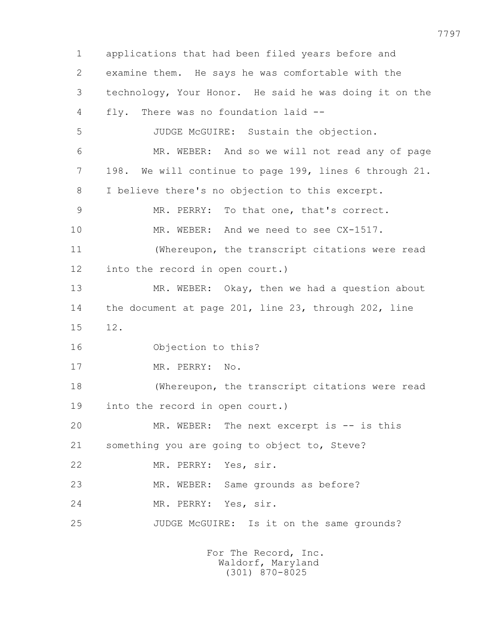1 applications that had been filed years before and 2 examine them. He says he was comfortable with the 3 technology, Your Honor. He said he was doing it on the 4 fly. There was no foundation laid -- 5 JUDGE McGUIRE: Sustain the objection. 6 MR. WEBER: And so we will not read any of page 7 198. We will continue to page 199, lines 6 through 21. 8 I believe there's no objection to this excerpt. 9 MR. PERRY: To that one, that's correct. 10 MR. WEBER: And we need to see CX-1517. 11 (Whereupon, the transcript citations were read 12 into the record in open court.) 13 MR. WEBER: Okay, then we had a question about 14 the document at page 201, line 23, through 202, line 15 12. 16 Objection to this? 17 MR. PERRY: No. 18 (Whereupon, the transcript citations were read 19 into the record in open court.) 20 MR. WEBER: The next excerpt is -- is this 21 something you are going to object to, Steve? 22 MR. PERRY: Yes, sir. 23 MR. WEBER: Same grounds as before? 24 MR. PERRY: Yes, sir. 25 JUDGE McGUIRE: Is it on the same grounds? For The Record, Inc. Waldorf, Maryland (301) 870-8025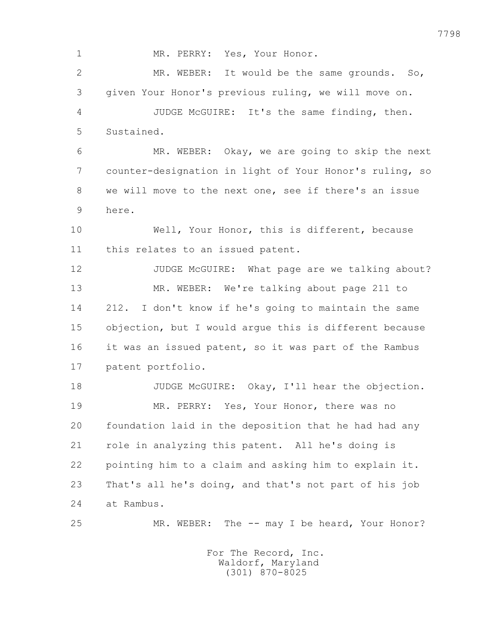1 MR. PERRY: Yes, Your Honor. 2 MR. WEBER: It would be the same grounds. So, 3 given Your Honor's previous ruling, we will move on. 4 JUDGE McGUIRE: It's the same finding, then. 5 Sustained. 6 MR. WEBER: Okay, we are going to skip the next 7 counter-designation in light of Your Honor's ruling, so 8 we will move to the next one, see if there's an issue 9 here. 10 Well, Your Honor, this is different, because 11 this relates to an issued patent. 12 JUDGE McGUIRE: What page are we talking about? 13 MR. WEBER: We're talking about page 211 to 14 212. I don't know if he's going to maintain the same 15 objection, but I would argue this is different because 16 it was an issued patent, so it was part of the Rambus 17 patent portfolio. 18 JUDGE McGUIRE: Okay, I'll hear the objection. 19 MR. PERRY: Yes, Your Honor, there was no 20 foundation laid in the deposition that he had had any 21 role in analyzing this patent. All he's doing is 22 pointing him to a claim and asking him to explain it. 23 That's all he's doing, and that's not part of his job 24 at Rambus. 25 MR. WEBER: The -- may I be heard, Your Honor?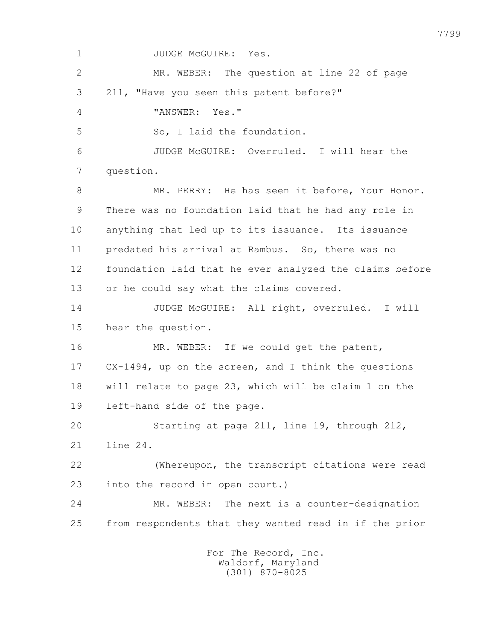1 JUDGE McGUIRE: Yes. 2 MR. WEBER: The question at line 22 of page 3 211, "Have you seen this patent before?" 4 "ANSWER: Yes." 5 So, I laid the foundation. 6 JUDGE McGUIRE: Overruled. I will hear the 7 question. 8 MR. PERRY: He has seen it before, Your Honor. 9 There was no foundation laid that he had any role in 10 anything that led up to its issuance. Its issuance 11 predated his arrival at Rambus. So, there was no 12 foundation laid that he ever analyzed the claims before 13 or he could say what the claims covered. 14 JUDGE McGUIRE: All right, overruled. I will 15 hear the question. 16 MR. WEBER: If we could get the patent, 17 CX-1494, up on the screen, and I think the questions 18 will relate to page 23, which will be claim 1 on the 19 left-hand side of the page. 20 Starting at page 211, line 19, through 212, 21 line 24. 22 (Whereupon, the transcript citations were read 23 into the record in open court.) 24 MR. WEBER: The next is a counter-designation 25 from respondents that they wanted read in if the prior For The Record, Inc. Waldorf, Maryland

(301) 870-8025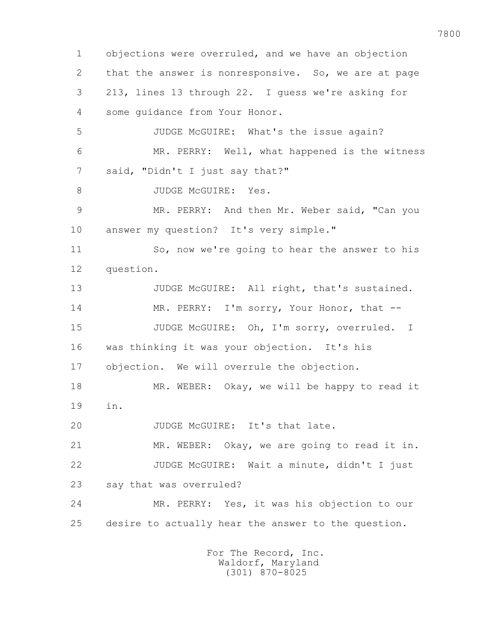1 objections were overruled, and we have an objection 2 that the answer is nonresponsive. So, we are at page 3 213, lines 13 through 22. I guess we're asking for 4 some guidance from Your Honor. 5 JUDGE McGUIRE: What's the issue again? 6 MR. PERRY: Well, what happened is the witness 7 said, "Didn't I just say that?" 8 JUDGE McGUIRE: Yes. 9 MR. PERRY: And then Mr. Weber said, "Can you 10 answer my question? It's very simple." 11 So, now we're going to hear the answer to his 12 question. 13 JUDGE McGUIRE: All right, that's sustained. 14 MR. PERRY: I'm sorry, Your Honor, that -- 15 JUDGE McGUIRE: Oh, I'm sorry, overruled. I 16 was thinking it was your objection. It's his 17 objection. We will overrule the objection. 18 MR. WEBER: Okay, we will be happy to read it 19 in. 20 JUDGE McGUIRE: It's that late. 21 MR. WEBER: Okay, we are going to read it in. 22 JUDGE McGUIRE: Wait a minute, didn't I just 23 say that was overruled? 24 MR. PERRY: Yes, it was his objection to our 25 desire to actually hear the answer to the question.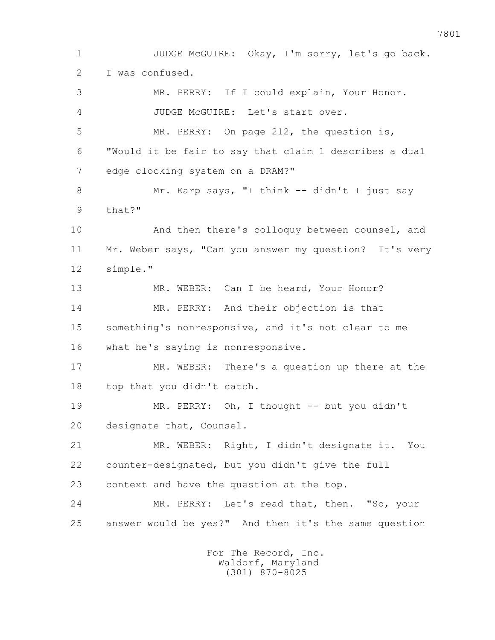1 JUDGE McGUIRE: Okay, I'm sorry, let's go back. 2 I was confused. 3 MR. PERRY: If I could explain, Your Honor. 4 JUDGE McGUIRE: Let's start over. 5 MR. PERRY: On page 212, the question is, 6 "Would it be fair to say that claim 1 describes a dual 7 edge clocking system on a DRAM?" 8 Mr. Karp says, "I think -- didn't I just say 9 that?" 10 And then there's colloquy between counsel, and 11 Mr. Weber says, "Can you answer my question? It's very 12 simple." 13 MR. WEBER: Can I be heard, Your Honor? 14 MR. PERRY: And their objection is that 15 something's nonresponsive, and it's not clear to me 16 what he's saying is nonresponsive. 17 MR. WEBER: There's a question up there at the 18 top that you didn't catch. 19 MR. PERRY: Oh, I thought -- but you didn't 20 designate that, Counsel. 21 MR. WEBER: Right, I didn't designate it. You 22 counter-designated, but you didn't give the full 23 context and have the question at the top. 24 MR. PERRY: Let's read that, then. "So, your 25 answer would be yes?" And then it's the same question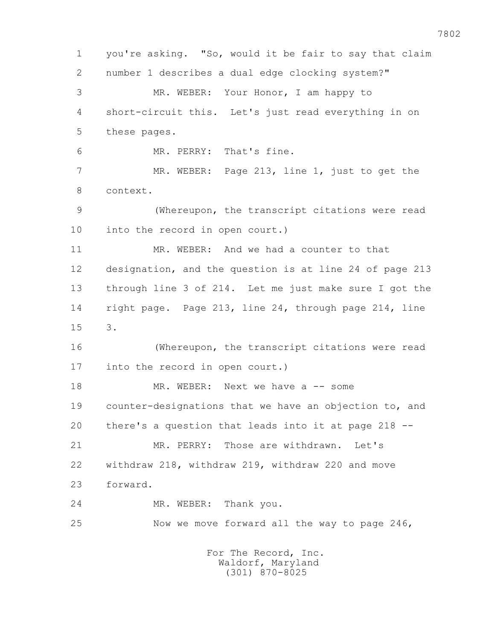1 you're asking. "So, would it be fair to say that claim 2 number 1 describes a dual edge clocking system?" 3 MR. WEBER: Your Honor, I am happy to 4 short-circuit this. Let's just read everything in on 5 these pages. 6 MR. PERRY: That's fine. 7 MR. WEBER: Page 213, line 1, just to get the 8 context. 9 (Whereupon, the transcript citations were read 10 into the record in open court.) 11 MR. WEBER: And we had a counter to that 12 designation, and the question is at line 24 of page 213 13 through line 3 of 214. Let me just make sure I got the 14 right page. Page 213, line 24, through page 214, line 15 3. 16 (Whereupon, the transcript citations were read 17 into the record in open court.) 18 MR. WEBER: Next we have a -- some 19 counter-designations that we have an objection to, and 20 there's a question that leads into it at page 218 -- 21 MR. PERRY: Those are withdrawn. Let's 22 withdraw 218, withdraw 219, withdraw 220 and move 23 forward. 24 MR. WEBER: Thank you. 25 Now we move forward all the way to page 246, For The Record, Inc.

 Waldorf, Maryland (301) 870-8025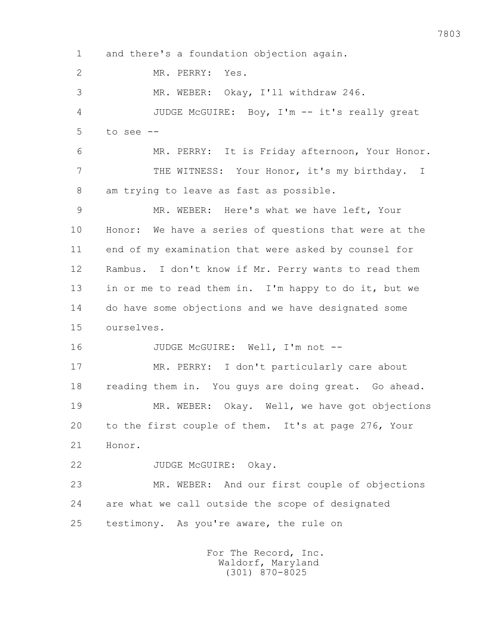1 and there's a foundation objection again. 2 MR. PERRY: Yes. 3 MR. WEBER: Okay, I'll withdraw 246. 4 JUDGE McGUIRE: Boy, I'm -- it's really great  $5$  to see  $-$  6 MR. PERRY: It is Friday afternoon, Your Honor. 7 THE WITNESS: Your Honor, it's my birthday. I 8 am trying to leave as fast as possible. 9 MR. WEBER: Here's what we have left, Your 10 Honor: We have a series of questions that were at the 11 end of my examination that were asked by counsel for 12 Rambus. I don't know if Mr. Perry wants to read them 13 in or me to read them in. I'm happy to do it, but we 14 do have some objections and we have designated some 15 ourselves. 16 JUDGE McGUIRE: Well, I'm not -- 17 MR. PERRY: I don't particularly care about 18 reading them in. You guys are doing great. Go ahead. 19 MR. WEBER: Okay. Well, we have got objections 20 to the first couple of them. It's at page 276, Your 21 Honor. 22 JUDGE McGUIRE: Okay. 23 MR. WEBER: And our first couple of objections 24 are what we call outside the scope of designated 25 testimony. As you're aware, the rule on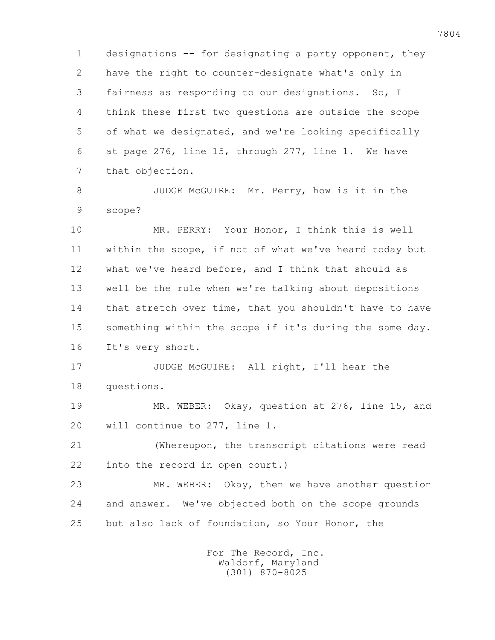1 designations -- for designating a party opponent, they 2 have the right to counter-designate what's only in 3 fairness as responding to our designations. So, I 4 think these first two questions are outside the scope 5 of what we designated, and we're looking specifically 6 at page 276, line 15, through 277, line 1. We have 7 that objection.

 8 JUDGE McGUIRE: Mr. Perry, how is it in the 9 scope?

 10 MR. PERRY: Your Honor, I think this is well 11 within the scope, if not of what we've heard today but 12 what we've heard before, and I think that should as 13 well be the rule when we're talking about depositions 14 that stretch over time, that you shouldn't have to have 15 something within the scope if it's during the same day. 16 It's very short.

 17 JUDGE McGUIRE: All right, I'll hear the 18 questions.

 19 MR. WEBER: Okay, question at 276, line 15, and 20 will continue to 277, line 1.

 21 (Whereupon, the transcript citations were read 22 into the record in open court.)

 23 MR. WEBER: Okay, then we have another question 24 and answer. We've objected both on the scope grounds 25 but also lack of foundation, so Your Honor, the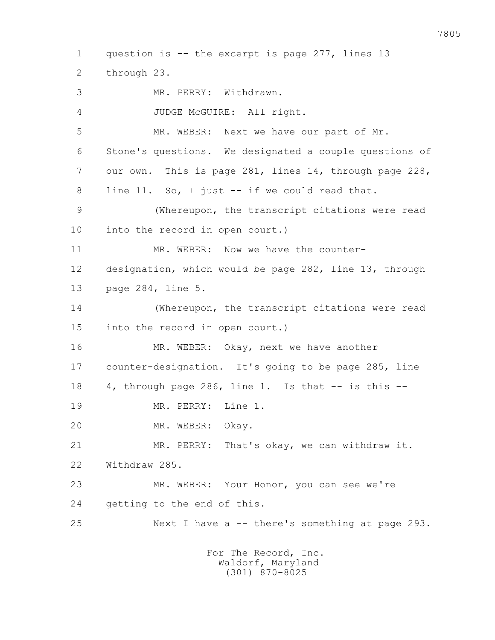1 question is -- the excerpt is page 277, lines 13 2 through 23. 3 MR. PERRY: Withdrawn. 4 JUDGE McGUIRE: All right. 5 MR. WEBER: Next we have our part of Mr. 6 Stone's questions. We designated a couple questions of 7 our own. This is page 281, lines 14, through page 228, 8 line 11. So, I just -- if we could read that. 9 (Whereupon, the transcript citations were read 10 into the record in open court.) 11 MR. WEBER: Now we have the counter- 12 designation, which would be page 282, line 13, through 13 page 284, line 5. 14 (Whereupon, the transcript citations were read 15 into the record in open court.) 16 MR. WEBER: Okay, next we have another 17 counter-designation. It's going to be page 285, line 18  $4$ , through page 286, line 1. Is that  $-$  is this  $-$  19 MR. PERRY: Line 1. 20 MR. WEBER: Okay. 21 MR. PERRY: That's okay, we can withdraw it. 22 Withdraw 285. 23 MR. WEBER: Your Honor, you can see we're 24 getting to the end of this. 25 Next I have a -- there's something at page 293. For The Record, Inc. Waldorf, Maryland

(301) 870-8025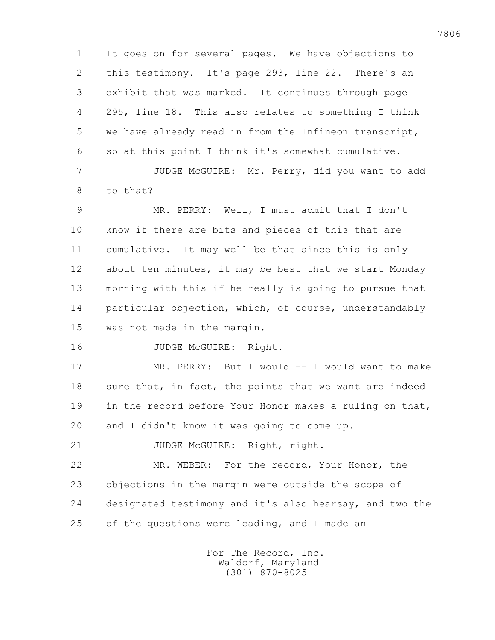1 It goes on for several pages. We have objections to 2 this testimony. It's page 293, line 22. There's an 3 exhibit that was marked. It continues through page 4 295, line 18. This also relates to something I think 5 we have already read in from the Infineon transcript, 6 so at this point I think it's somewhat cumulative.

 7 JUDGE McGUIRE: Mr. Perry, did you want to add 8 to that?

 9 MR. PERRY: Well, I must admit that I don't 10 know if there are bits and pieces of this that are 11 cumulative. It may well be that since this is only 12 about ten minutes, it may be best that we start Monday 13 morning with this if he really is going to pursue that 14 particular objection, which, of course, understandably 15 was not made in the margin.

16 JUDGE McGUIRE: Right.

17 MR. PERRY: But I would -- I would want to make 18 sure that, in fact, the points that we want are indeed 19 in the record before Your Honor makes a ruling on that, 20 and I didn't know it was going to come up.

21 JUDGE McGUIRE: Right, right.

 22 MR. WEBER: For the record, Your Honor, the 23 objections in the margin were outside the scope of 24 designated testimony and it's also hearsay, and two the 25 of the questions were leading, and I made an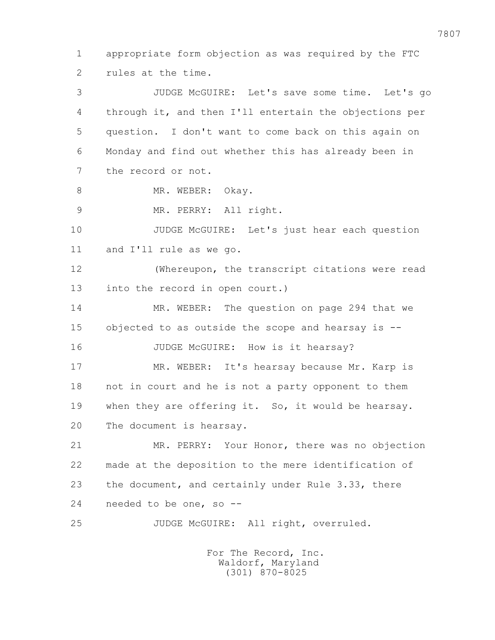1 appropriate form objection as was required by the FTC 2 rules at the time.

 3 JUDGE McGUIRE: Let's save some time. Let's go 4 through it, and then I'll entertain the objections per 5 question. I don't want to come back on this again on 6 Monday and find out whether this has already been in 7 the record or not.

8 MR. WEBER: Okay.

9 MR. PERRY: All right.

 10 JUDGE McGUIRE: Let's just hear each question 11 and I'll rule as we go.

 12 (Whereupon, the transcript citations were read 13 into the record in open court.)

 14 MR. WEBER: The question on page 294 that we 15 objected to as outside the scope and hearsay is --

16 JUDGE McGUIRE: How is it hearsay?

 17 MR. WEBER: It's hearsay because Mr. Karp is 18 not in court and he is not a party opponent to them 19 when they are offering it. So, it would be hearsay. 20 The document is hearsay.

 21 MR. PERRY: Your Honor, there was no objection 22 made at the deposition to the mere identification of 23 the document, and certainly under Rule 3.33, there 24 needed to be one, so --

25 JUDGE McGUIRE: All right, overruled.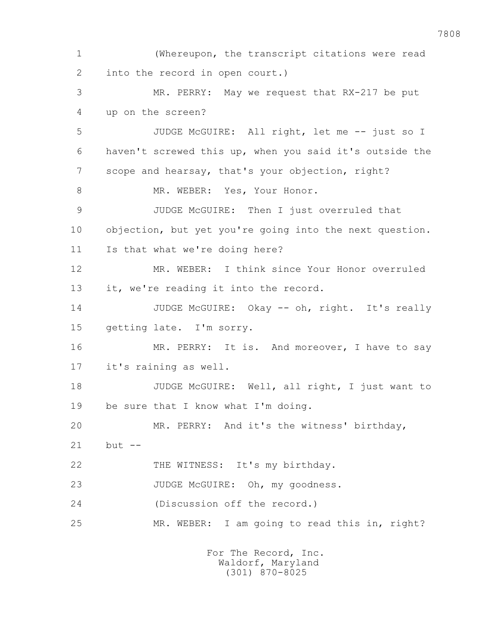1 (Whereupon, the transcript citations were read 2 into the record in open court.) 3 MR. PERRY: May we request that RX-217 be put 4 up on the screen? 5 JUDGE McGUIRE: All right, let me -- just so I 6 haven't screwed this up, when you said it's outside the 7 scope and hearsay, that's your objection, right? 8 MR. WEBER: Yes, Your Honor. 9 JUDGE McGUIRE: Then I just overruled that 10 objection, but yet you're going into the next question. 11 Is that what we're doing here? 12 MR. WEBER: I think since Your Honor overruled 13 it, we're reading it into the record. 14 JUDGE McGUIRE: Okay -- oh, right. It's really 15 getting late. I'm sorry. 16 MR. PERRY: It is. And moreover, I have to say 17 it's raining as well. 18 JUDGE McGUIRE: Well, all right, I just want to 19 be sure that I know what I'm doing. 20 MR. PERRY: And it's the witness' birthday, 21 but -- 22 THE WITNESS: It's my birthday. 23 JUDGE McGUIRE: Oh, my goodness. 24 (Discussion off the record.) 25 MR. WEBER: I am going to read this in, right? For The Record, Inc.

 Waldorf, Maryland (301) 870-8025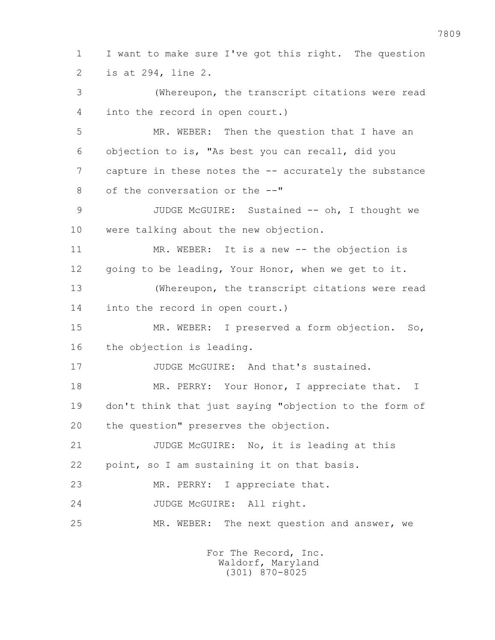1 I want to make sure I've got this right. The question 2 is at 294, line 2. 3 (Whereupon, the transcript citations were read

4 into the record in open court.)

 5 MR. WEBER: Then the question that I have an 6 objection to is, "As best you can recall, did you 7 capture in these notes the -- accurately the substance 8 of the conversation or the --"

9 JUDGE McGUIRE: Sustained -- oh, I thought we 10 were talking about the new objection.

 11 MR. WEBER: It is a new -- the objection is 12 going to be leading, Your Honor, when we get to it.

 13 (Whereupon, the transcript citations were read 14 into the record in open court.)

 15 MR. WEBER: I preserved a form objection. So, 16 the objection is leading.

17 JUDGE McGUIRE: And that's sustained.

18 MR. PERRY: Your Honor, I appreciate that. I 19 don't think that just saying "objection to the form of 20 the question" preserves the objection.

 21 JUDGE McGUIRE: No, it is leading at this 22 point, so I am sustaining it on that basis.

23 MR. PERRY: I appreciate that.

24 JUDGE McGUIRE: All right.

25 MR. WEBER: The next question and answer, we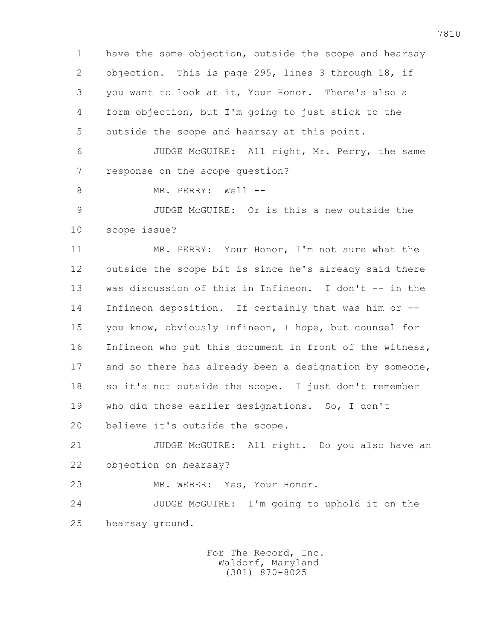1 have the same objection, outside the scope and hearsay 2 objection. This is page 295, lines 3 through 18, if 3 you want to look at it, Your Honor. There's also a 4 form objection, but I'm going to just stick to the 5 outside the scope and hearsay at this point. 6 JUDGE McGUIRE: All right, Mr. Perry, the same 7 response on the scope question? 8 MR. PERRY: Well -- 9 JUDGE McGUIRE: Or is this a new outside the 10 scope issue? 11 MR. PERRY: Your Honor, I'm not sure what the 12 outside the scope bit is since he's already said there 13 was discussion of this in Infineon. I don't -- in the 14 Infineon deposition. If certainly that was him or -- 15 you know, obviously Infineon, I hope, but counsel for 16 Infineon who put this document in front of the witness, 17 and so there has already been a designation by someone, 18 so it's not outside the scope. I just don't remember 19 who did those earlier designations. So, I don't 20 believe it's outside the scope. 21 JUDGE McGUIRE: All right. Do you also have an 22 objection on hearsay? 23 MR. WEBER: Yes, Your Honor. 24 JUDGE McGUIRE: I'm going to uphold it on the 25 hearsay ground.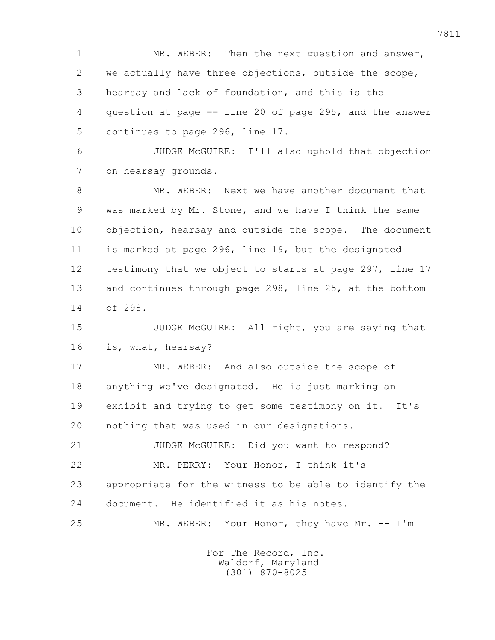1 MR. WEBER: Then the next question and answer, 2 we actually have three objections, outside the scope, 3 hearsay and lack of foundation, and this is the 4 question at page -- line 20 of page 295, and the answer 5 continues to page 296, line 17.

 6 JUDGE McGUIRE: I'll also uphold that objection 7 on hearsay grounds.

 8 MR. WEBER: Next we have another document that 9 was marked by Mr. Stone, and we have I think the same 10 objection, hearsay and outside the scope. The document 11 is marked at page 296, line 19, but the designated 12 testimony that we object to starts at page 297, line 17 13 and continues through page 298, line 25, at the bottom 14 of 298.

 15 JUDGE McGUIRE: All right, you are saying that 16 is, what, hearsay?

 17 MR. WEBER: And also outside the scope of 18 anything we've designated. He is just marking an 19 exhibit and trying to get some testimony on it. It's 20 nothing that was used in our designations.

 21 JUDGE McGUIRE: Did you want to respond? 22 MR. PERRY: Your Honor, I think it's 23 appropriate for the witness to be able to identify the 24 document. He identified it as his notes.

25 MR. WEBER: Your Honor, they have Mr. -- I'm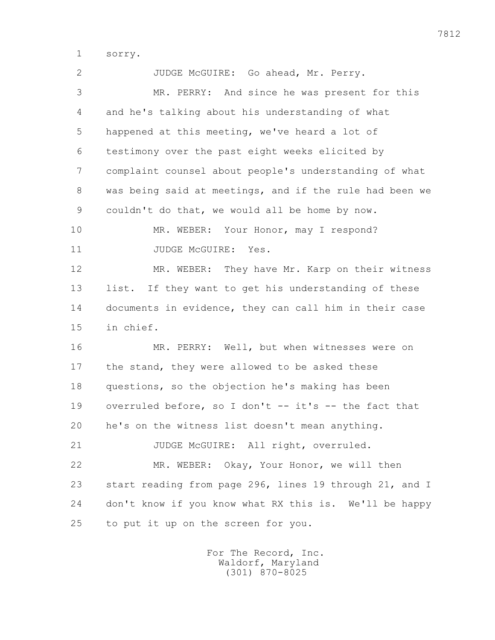1 sorry.

| $\overline{2}$ | JUDGE McGUIRE: Go ahead, Mr. Perry.                     |
|----------------|---------------------------------------------------------|
| 3              | MR. PERRY: And since he was present for this            |
| 4              | and he's talking about his understanding of what        |
| 5              | happened at this meeting, we've heard a lot of          |
| 6              | testimony over the past eight weeks elicited by         |
| 7              | complaint counsel about people's understanding of what  |
| 8              | was being said at meetings, and if the rule had been we |
| 9              | couldn't do that, we would all be home by now.          |
| 10             | MR. WEBER: Your Honor, may I respond?                   |
| 11             | JUDGE MCGUIRE:<br>Yes.                                  |
| 12             | MR. WEBER:<br>They have Mr. Karp on their witness       |
| 13             | If they want to get his understanding of these<br>list. |
| 14             | documents in evidence, they can call him in their case  |
| 15             | in chief.                                               |
| 16             | MR. PERRY: Well, but when witnesses were on             |
| 17             | the stand, they were allowed to be asked these          |
| 18             | questions, so the objection he's making has been        |
| 19             | overruled before, so I don't -- it's -- the fact that   |
| 20             | he's on the witness list doesn't mean anything.         |
| 21             | JUDGE McGUIRE: All right, overruled.                    |
| 22             | MR. WEBER: Okay, Your Honor, we will then               |
| 23             | start reading from page 296, lines 19 through 21, and I |
| 24             | don't know if you know what RX this is. We'll be happy  |
| 25             | to put it up on the screen for you.                     |
|                |                                                         |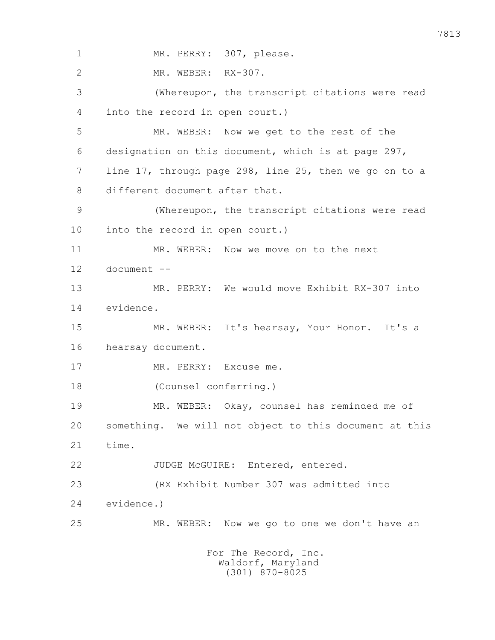1 MR. PERRY: 307, please. 2 MR. WEBER: RX-307. 3 (Whereupon, the transcript citations were read 4 into the record in open court.) 5 MR. WEBER: Now we get to the rest of the 6 designation on this document, which is at page 297, 7 line 17, through page 298, line 25, then we go on to a 8 different document after that. 9 (Whereupon, the transcript citations were read 10 into the record in open court.) 11 MR. WEBER: Now we move on to the next 12 document -- 13 MR. PERRY: We would move Exhibit RX-307 into 14 evidence. 15 MR. WEBER: It's hearsay, Your Honor. It's a 16 hearsay document. 17 MR. PERRY: Excuse me. 18 (Counsel conferring.) 19 MR. WEBER: Okay, counsel has reminded me of 20 something. We will not object to this document at this 21 time. 22 JUDGE McGUIRE: Entered, entered. 23 (RX Exhibit Number 307 was admitted into 24 evidence.) 25 MR. WEBER: Now we go to one we don't have an For The Record, Inc. Waldorf, Maryland (301) 870-8025

7813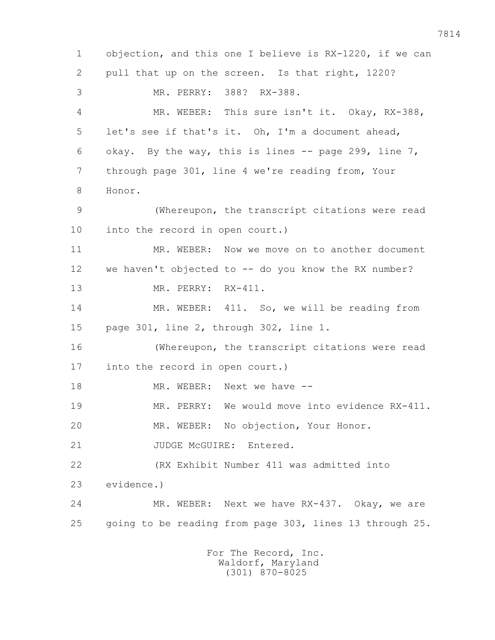1 objection, and this one I believe is RX-1220, if we can 2 pull that up on the screen. Is that right, 1220? 3 MR. PERRY: 388? RX-388. 4 MR. WEBER: This sure isn't it. Okay, RX-388, 5 let's see if that's it. Oh, I'm a document ahead, 6 okay. By the way, this is lines  $-$ - page 299, line  $7$ , 7 through page 301, line 4 we're reading from, Your 8 Honor. 9 (Whereupon, the transcript citations were read 10 into the record in open court.) 11 MR. WEBER: Now we move on to another document 12 we haven't objected to -- do you know the RX number? 13 MR. PERRY: RX-411. 14 MR. WEBER: 411. So, we will be reading from 15 page 301, line 2, through 302, line 1. 16 (Whereupon, the transcript citations were read 17 into the record in open court.) 18 MR. WEBER: Next we have -- 19 MR. PERRY: We would move into evidence RX-411. 20 MR. WEBER: No objection, Your Honor. 21 JUDGE McGUIRE: Entered. 22 (RX Exhibit Number 411 was admitted into 23 evidence.) 24 MR. WEBER: Next we have RX-437. Okay, we are 25 going to be reading from page 303, lines 13 through 25. For The Record, Inc.

 Waldorf, Maryland (301) 870-8025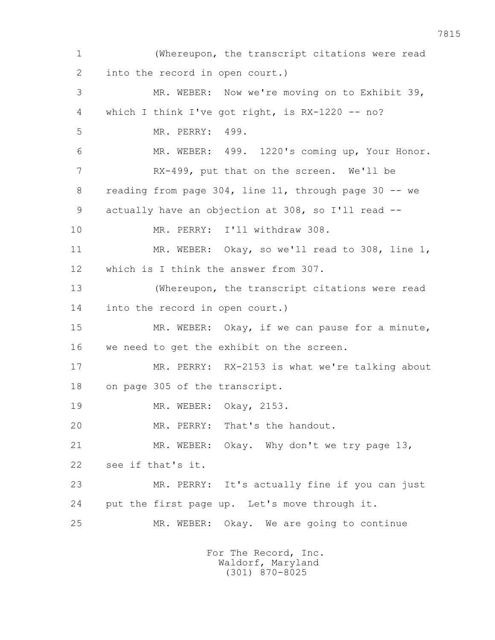1 (Whereupon, the transcript citations were read 2 into the record in open court.) 3 MR. WEBER: Now we're moving on to Exhibit 39, 4 which I think I've got right, is RX-1220 -- no? 5 MR. PERRY: 499. 6 MR. WEBER: 499. 1220's coming up, Your Honor. 7 RX-499, put that on the screen. We'll be 8 reading from page 304, line 11, through page 30 -- we 9 actually have an objection at 308, so I'll read -- 10 MR. PERRY: I'll withdraw 308. 11 MR. WEBER: Okay, so we'll read to 308, line 1, 12 which is I think the answer from 307. 13 (Whereupon, the transcript citations were read 14 into the record in open court.) 15 MR. WEBER: Okay, if we can pause for a minute, 16 we need to get the exhibit on the screen. 17 MR. PERRY: RX-2153 is what we're talking about 18 on page 305 of the transcript. 19 MR. WEBER: Okay, 2153. 20 MR. PERRY: That's the handout. 21 MR. WEBER: Okay. Why don't we try page 13, 22 see if that's it. 23 MR. PERRY: It's actually fine if you can just 24 put the first page up. Let's move through it. 25 MR. WEBER: Okay. We are going to continue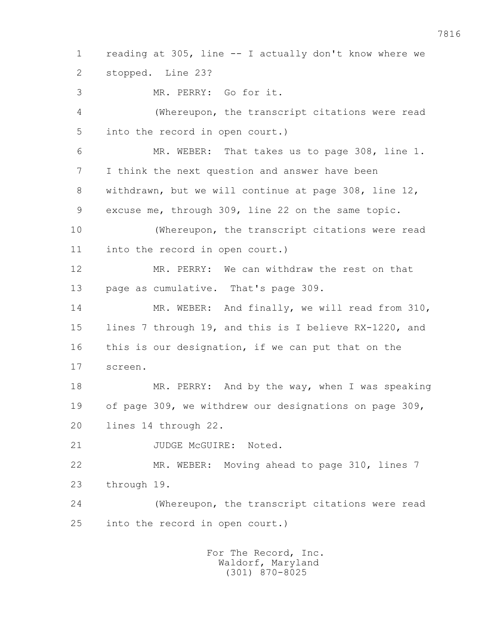1 reading at 305, line -- I actually don't know where we 2 stopped. Line 23? 3 MR. PERRY: Go for it. 4 (Whereupon, the transcript citations were read 5 into the record in open court.) 6 MR. WEBER: That takes us to page 308, line 1. 7 I think the next question and answer have been 8 withdrawn, but we will continue at page 308, line 12, 9 excuse me, through 309, line 22 on the same topic. 10 (Whereupon, the transcript citations were read 11 into the record in open court.) 12 MR. PERRY: We can withdraw the rest on that 13 page as cumulative. That's page 309. 14 MR. WEBER: And finally, we will read from 310, 15 lines 7 through 19, and this is I believe RX-1220, and 16 this is our designation, if we can put that on the 17 screen. 18 MR. PERRY: And by the way, when I was speaking 19 of page 309, we withdrew our designations on page 309, 20 lines 14 through 22. 21 JUDGE McGUIRE: Noted. 22 MR. WEBER: Moving ahead to page 310, lines 7 23 through 19. 24 (Whereupon, the transcript citations were read 25 into the record in open court.)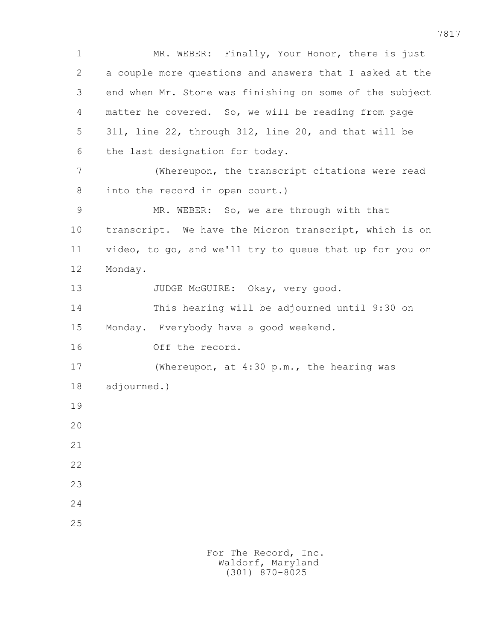1 MR. WEBER: Finally, Your Honor, there is just 2 a couple more questions and answers that I asked at the 3 end when Mr. Stone was finishing on some of the subject 4 matter he covered. So, we will be reading from page 5 311, line 22, through 312, line 20, and that will be 6 the last designation for today. 7 (Whereupon, the transcript citations were read 8 into the record in open court.) 9 MR. WEBER: So, we are through with that 10 transcript. We have the Micron transcript, which is on 11 video, to go, and we'll try to queue that up for you on 12 Monday. 13 JUDGE McGUIRE: Okay, very good. 14 This hearing will be adjourned until 9:30 on 15 Monday. Everybody have a good weekend. 16 Off the record. 17 (Whereupon, at 4:30 p.m., the hearing was 18 adjourned.) 19 20 21 22 23 24 25